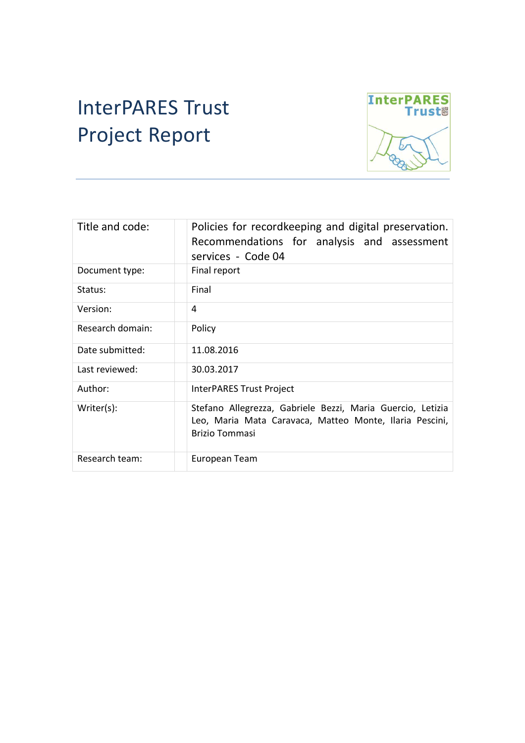# InterPARES Trust Project Report



| Title and code:  | Policies for recordkeeping and digital preservation.<br>Recommendations for analysis and assessment<br>services - Code 04                      |  |  |
|------------------|------------------------------------------------------------------------------------------------------------------------------------------------|--|--|
| Document type:   | Final report                                                                                                                                   |  |  |
| Status:          | Final                                                                                                                                          |  |  |
| Version:         | 4                                                                                                                                              |  |  |
| Research domain: | Policy                                                                                                                                         |  |  |
| Date submitted:  | 11.08.2016                                                                                                                                     |  |  |
| Last reviewed:   | 30.03.2017                                                                                                                                     |  |  |
| Author:          | InterPARES Trust Project                                                                                                                       |  |  |
| $Writer(s)$ :    | Stefano Allegrezza, Gabriele Bezzi, Maria Guercio, Letizia<br>Leo, Maria Mata Caravaca, Matteo Monte, Ilaria Pescini,<br><b>Brizio Tommasi</b> |  |  |
| Research team:   | European Team                                                                                                                                  |  |  |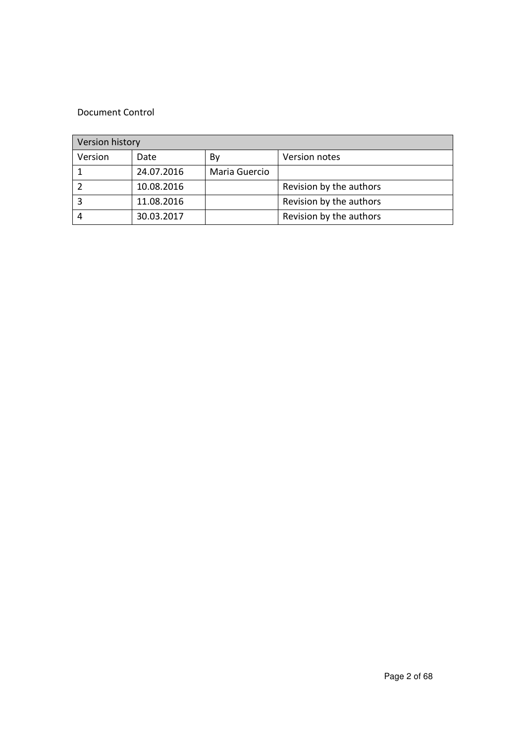#### Document Control

| Version history |            |               |                         |
|-----------------|------------|---------------|-------------------------|
| Version         | Date       | Bv            | Version notes           |
|                 | 24.07.2016 | Maria Guercio |                         |
|                 | 10.08.2016 |               | Revision by the authors |
|                 | 11.08.2016 |               | Revision by the authors |
|                 | 30.03.2017 |               | Revision by the authors |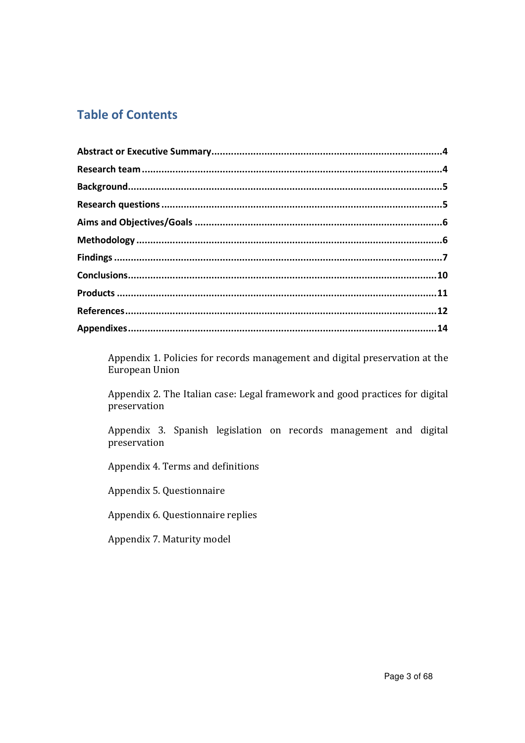# **Table of Contents**

Appendix 1. Policies for records management and digital preservation at the European Union

Appendix 2. The Italian case: Legal framework and good practices for digital preservation

Appendix 3. Spanish legislation on records management and digital preservation

Appendix 4. Terms and definitions

Appendix 5. Questionnaire

Appendix 6. Questionnaire replies

Appendix 7. Maturity model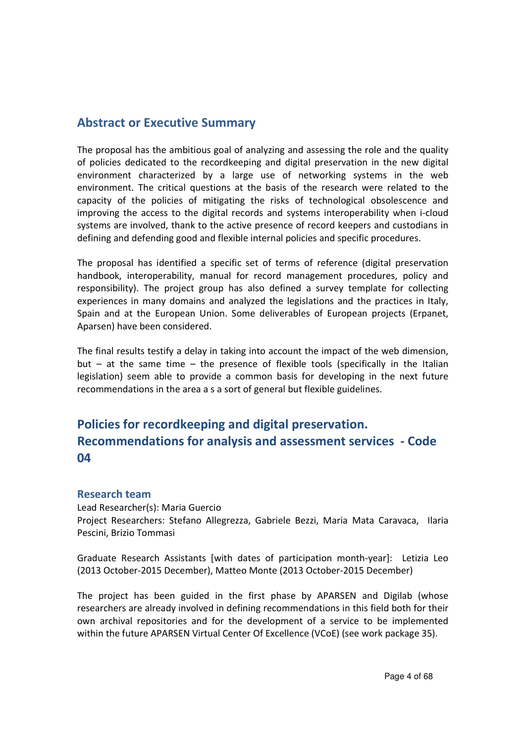# **Abstract or Executive Summary**

The proposal has the ambitious goal of analyzing and assessing the role and the quality of policies dedicated to the recordkeeping and digital preservation in the new digital environment characterized by a large use of networking systems in the web environment. The critical questions at the basis of the research were related to the capacity of the policies of mitigating the risks of technological obsolescence and improving the access to the digital records and systems interoperability when i-cloud systems are involved, thank to the active presence of record keepers and custodians in defining and defending good and flexible internal policies and specific procedures.

The proposal has identified a specific set of terms of reference (digital preservation handbook, interoperability, manual for record management procedures, policy and responsibility). The project group has also defined a survey template for collecting experiences in many domains and analyzed the legislations and the practices in Italy, Spain and at the European Union. Some deliverables of European projects (Erpanet, Aparsen) have been considered.

The final results testify a delay in taking into account the impact of the web dimension, but – at the same time – the presence of flexible tools (specifically in the Italian legislation) seem able to provide a common basis for developing in the next future recommendations in the area a s a sort of general but flexible guidelines.

# **Policies for recordkeeping and digital preservation. Recommendations for analysis and assessment services - Code 04**

#### **Research team**

Lead Researcher(s): Maria Guercio Project Researchers: Stefano Allegrezza, Gabriele Bezzi, Maria Mata Caravaca, Ilaria Pescini, Brizio Tommasi

Graduate Research Assistants [with dates of participation month-year]: Letizia Leo (2013 October-2015 December), Matteo Monte (2013 October-2015 December)

The project has been guided in the first phase by APARSEN and Digilab (whose researchers are already involved in defining recommendations in this field both for their own archival repositories and for the development of a service to be implemented within the future APARSEN Virtual Center Of Excellence (VCoE) (see work package 35).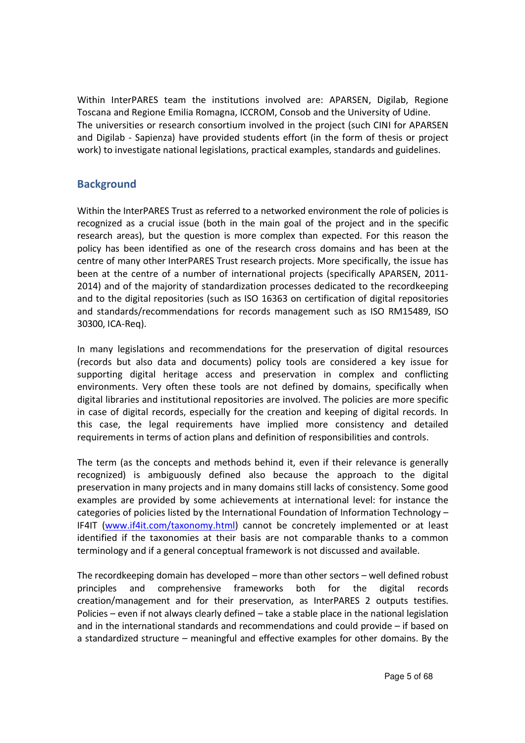Within InterPARES team the institutions involved are: APARSEN, Digilab, Regione Toscana and Regione Emilia Romagna, ICCROM, Consob and the University of Udine. The universities or research consortium involved in the project (such CINI for APARSEN and Digilab - Sapienza) have provided students effort (in the form of thesis or project work) to investigate national legislations, practical examples, standards and guidelines.

## **Background**

Within the InterPARES Trust as referred to a networked environment the role of policies is recognized as a crucial issue (both in the main goal of the project and in the specific research areas), but the question is more complex than expected. For this reason the policy has been identified as one of the research cross domains and has been at the centre of many other InterPARES Trust research projects. More specifically, the issue has been at the centre of a number of international projects (specifically APARSEN, 2011- 2014) and of the majority of standardization processes dedicated to the recordkeeping and to the digital repositories (such as ISO 16363 on certification of digital repositories and standards/recommendations for records management such as ISO RM15489, ISO 30300, ICA-Req).

In many legislations and recommendations for the preservation of digital resources (records but also data and documents) policy tools are considered a key issue for supporting digital heritage access and preservation in complex and conflicting environments. Very often these tools are not defined by domains, specifically when digital libraries and institutional repositories are involved. The policies are more specific in case of digital records, especially for the creation and keeping of digital records. In this case, the legal requirements have implied more consistency and detailed requirements in terms of action plans and definition of responsibilities and controls.

The term (as the concepts and methods behind it, even if their relevance is generally recognized) is ambiguously defined also because the approach to the digital preservation in many projects and in many domains still lacks of consistency. Some good examples are provided by some achievements at international level: for instance the categories of policies listed by the International Foundation of Information Technology – IF4IT (www.if4it.com/taxonomy.html) cannot be concretely implemented or at least identified if the taxonomies at their basis are not comparable thanks to a common terminology and if a general conceptual framework is not discussed and available.

The recordkeeping domain has developed – more than other sectors – well defined robust principles and comprehensive frameworks both for the digital records creation/management and for their preservation, as InterPARES 2 outputs testifies. Policies – even if not always clearly defined – take a stable place in the national legislation and in the international standards and recommendations and could provide – if based on a standardized structure – meaningful and effective examples for other domains. By the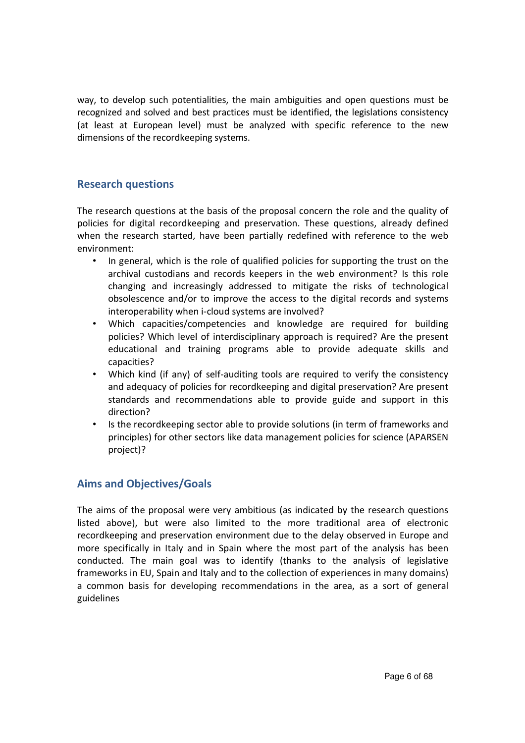way, to develop such potentialities, the main ambiguities and open questions must be recognized and solved and best practices must be identified, the legislations consistency (at least at European level) must be analyzed with specific reference to the new dimensions of the recordkeeping systems.

## **Research questions**

The research questions at the basis of the proposal concern the role and the quality of policies for digital recordkeeping and preservation. These questions, already defined when the research started, have been partially redefined with reference to the web environment:

- In general, which is the role of qualified policies for supporting the trust on the archival custodians and records keepers in the web environment? Is this role changing and increasingly addressed to mitigate the risks of technological obsolescence and/or to improve the access to the digital records and systems interoperability when i-cloud systems are involved?
- Which capacities/competencies and knowledge are required for building policies? Which level of interdisciplinary approach is required? Are the present educational and training programs able to provide adequate skills and capacities?
- Which kind (if any) of self-auditing tools are required to verify the consistency and adequacy of policies for recordkeeping and digital preservation? Are present standards and recommendations able to provide guide and support in this direction?
- Is the recordkeeping sector able to provide solutions (in term of frameworks and principles) for other sectors like data management policies for science (APARSEN project)?

# **Aims and Objectives/Goals**

The aims of the proposal were very ambitious (as indicated by the research questions listed above), but were also limited to the more traditional area of electronic recordkeeping and preservation environment due to the delay observed in Europe and more specifically in Italy and in Spain where the most part of the analysis has been conducted. The main goal was to identify (thanks to the analysis of legislative frameworks in EU, Spain and Italy and to the collection of experiences in many domains) a common basis for developing recommendations in the area, as a sort of general guidelines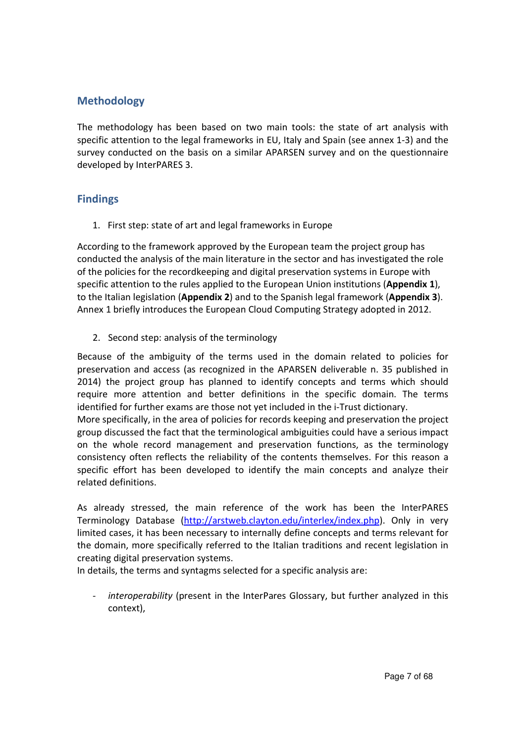# **Methodology**

The methodology has been based on two main tools: the state of art analysis with specific attention to the legal frameworks in EU, Italy and Spain (see annex 1-3) and the survey conducted on the basis on a similar APARSEN survey and on the questionnaire developed by InterPARES 3.

# **Findings**

1. First step: state of art and legal frameworks in Europe

According to the framework approved by the European team the project group has conducted the analysis of the main literature in the sector and has investigated the role of the policies for the recordkeeping and digital preservation systems in Europe with specific attention to the rules applied to the European Union institutions (**Appendix 1**), to the Italian legislation (**Appendix 2**) and to the Spanish legal framework (**Appendix 3**). Annex 1 briefly introduces the European Cloud Computing Strategy adopted in 2012.

2. Second step: analysis of the terminology

Because of the ambiguity of the terms used in the domain related to policies for preservation and access (as recognized in the APARSEN deliverable n. 35 published in 2014) the project group has planned to identify concepts and terms which should require more attention and better definitions in the specific domain. The terms identified for further exams are those not yet included in the i-Trust dictionary.

More specifically, in the area of policies for records keeping and preservation the project group discussed the fact that the terminological ambiguities could have a serious impact on the whole record management and preservation functions, as the terminology consistency often reflects the reliability of the contents themselves. For this reason a specific effort has been developed to identify the main concepts and analyze their related definitions.

As already stressed, the main reference of the work has been the InterPARES Terminology Database (http://arstweb.clayton.edu/interlex/index.php). Only in very limited cases, it has been necessary to internally define concepts and terms relevant for the domain, more specifically referred to the Italian traditions and recent legislation in creating digital preservation systems.

In details, the terms and syntagms selected for a specific analysis are:

- *interoperability* (present in the InterPares Glossary, but further analyzed in this context),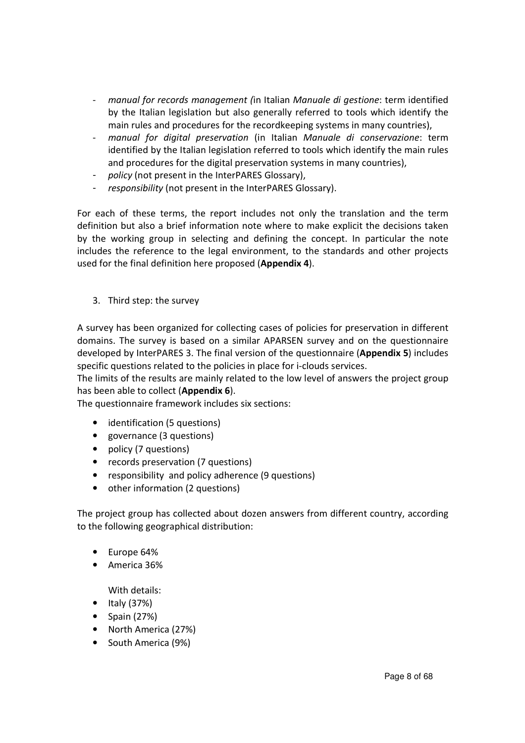- *manual for records management (*in Italian *Manuale di gestione*: term identified by the Italian legislation but also generally referred to tools which identify the main rules and procedures for the recordkeeping systems in many countries),
- *manual for digital preservation* (in Italian *Manuale di conservazione*: term identified by the Italian legislation referred to tools which identify the main rules and procedures for the digital preservation systems in many countries),
- policy (not present in the InterPARES Glossary),
- *responsibility* (not present in the InterPARES Glossary).

For each of these terms, the report includes not only the translation and the term definition but also a brief information note where to make explicit the decisions taken by the working group in selecting and defining the concept. In particular the note includes the reference to the legal environment, to the standards and other projects used for the final definition here proposed (**Appendix 4**).

3. Third step: the survey

A survey has been organized for collecting cases of policies for preservation in different domains. The survey is based on a similar APARSEN survey and on the questionnaire developed by InterPARES 3. The final version of the questionnaire (**Appendix 5**) includes specific questions related to the policies in place for i-clouds services.

The limits of the results are mainly related to the low level of answers the project group has been able to collect (**Appendix 6**).

The questionnaire framework includes six sections:

- identification (5 questions)
- governance (3 questions)
- policy (7 questions)
- records preservation (7 questions)
- responsibility and policy adherence (9 questions)
- other information (2 questions)

The project group has collected about dozen answers from different country, according to the following geographical distribution:

- Europe 64%
- America 36%

With details:

- Italy (37%)
- Spain (27%)
- North America (27%)
- South America (9%)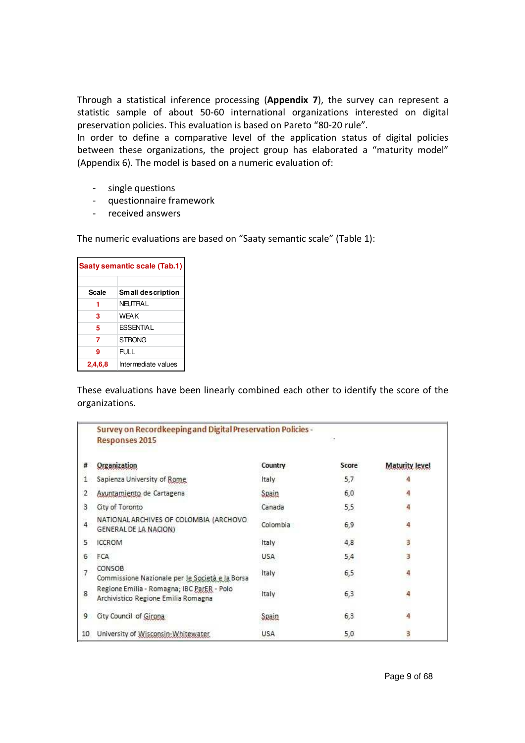Through a statistical inference processing (**Appendix 7**), the survey can represent a statistic sample of about 50-60 international organizations interested on digital preservation policies. This evaluation is based on Pareto "80-20 rule".

In order to define a comparative level of the application status of digital policies between these organizations, the project group has elaborated a "maturity model" (Appendix 6). The model is based on a numeric evaluation of:

- single questions
- questionnaire framework
- received answers

The numeric evaluations are based on "Saaty semantic scale" (Table 1):

| Saaty semantic scale (Tab.1) |                          |  |
|------------------------------|--------------------------|--|
| Scale                        | <b>Small description</b> |  |
|                              | NFI ITRA I               |  |
| 3                            | <b>WFAK</b>              |  |
| 5                            | <b>ESSENTIAL</b>         |  |
| 7                            | STRONG                   |  |
| 9                            | FULL                     |  |
| 2,4,6,8                      | Intermediate values      |  |

These evaluations have been linearly combined each other to identify the score of the organizations.

|       | <b>Survey on Recordkeeping and Digital Preservation Policies -</b><br><b>Responses 2015</b> |            |       |                       |
|-------|---------------------------------------------------------------------------------------------|------------|-------|-----------------------|
| #     | Organization                                                                                | Country    | Score | <b>Maturity level</b> |
| 1     | Sapienza University of Rome                                                                 | Italy      | 5,7   |                       |
| 2     | Ayuntamiento de Cartagena                                                                   | Spain      | 6,0   | 4                     |
| 3     | City of Toronto                                                                             | Canada     | 5,5   | 4                     |
| $4 -$ | NATIONAL ARCHIVES OF COLOMBIA (ARCHOVO<br>GENERAL DE LA NACION)                             | Colombia   | 6,9   | 4                     |
| 5     | <b>ICCROM</b>                                                                               | Italy      | 4,8   | 3                     |
| 6     | <b>FCA</b>                                                                                  | <b>USA</b> | 5,4   | 3                     |
| 7     | CONSOB<br>Commissione Nazionale per le Società e la Borsa                                   | Italy      | 6,5   | 4                     |
| 8     | Regione Emilia - Romagna; IBC ParER - Polo<br>Archivistico Regione Emilia Romagna           | Italy      | 6,3   | 4                     |
| 9     | City Council of Girona                                                                      | Seair      | 6,3   | 4                     |
| 10    | University of Wisconsin-Whitewater                                                          | <b>USA</b> | 5,0   | 3                     |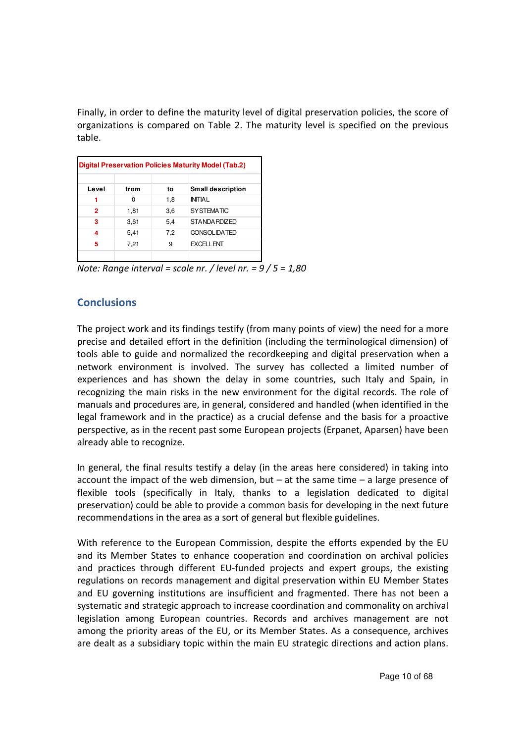Finally, in order to define the maturity level of digital preservation policies, the score of organizations is compared on Table 2. The maturity level is specified on the previous table.

| <b>Digital Preservation Policies Maturity Model (Tab.2)</b> |      |     |                     |  |
|-------------------------------------------------------------|------|-----|---------------------|--|
| Level                                                       | from | to  | Small description   |  |
|                                                             | O    | 1,8 | <b>INITIA I</b>     |  |
| 2                                                           | 1,81 | 3,6 | <b>SYSTEMATIC</b>   |  |
| 3                                                           | 3,61 | 5,4 | STANDA RDIZED       |  |
| 4                                                           | 5,41 | 7,2 | <b>CONSOLIDATED</b> |  |
| 5                                                           | 7,21 | 9   | <b>EXCELLENT</b>    |  |
|                                                             |      |     |                     |  |

*Note: Range interval = scale nr. / level nr. = 9 / 5 = 1,80* 

# **Conclusions**

The project work and its findings testify (from many points of view) the need for a more precise and detailed effort in the definition (including the terminological dimension) of tools able to guide and normalized the recordkeeping and digital preservation when a network environment is involved. The survey has collected a limited number of experiences and has shown the delay in some countries, such Italy and Spain, in recognizing the main risks in the new environment for the digital records. The role of manuals and procedures are, in general, considered and handled (when identified in the legal framework and in the practice) as a crucial defense and the basis for a proactive perspective, as in the recent past some European projects (Erpanet, Aparsen) have been already able to recognize.

In general, the final results testify a delay (in the areas here considered) in taking into account the impact of the web dimension, but  $-$  at the same time  $-$  a large presence of flexible tools (specifically in Italy, thanks to a legislation dedicated to digital preservation) could be able to provide a common basis for developing in the next future recommendations in the area as a sort of general but flexible guidelines.

With reference to the European Commission, despite the efforts expended by the EU and its Member States to enhance cooperation and coordination on archival policies and practices through different EU-funded projects and expert groups, the existing regulations on records management and digital preservation within EU Member States and EU governing institutions are insufficient and fragmented. There has not been a systematic and strategic approach to increase coordination and commonality on archival legislation among European countries. Records and archives management are not among the priority areas of the EU, or its Member States. As a consequence, archives are dealt as a subsidiary topic within the main EU strategic directions and action plans.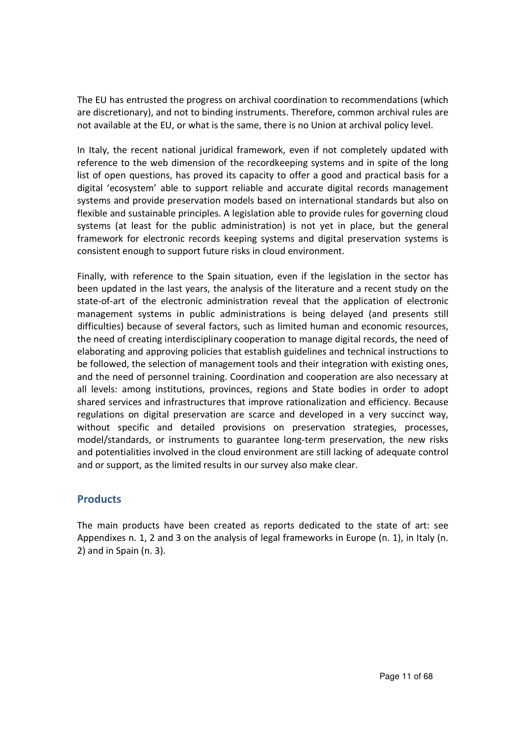The EU has entrusted the progress on archival coordination to recommendations (which are discretionary), and not to binding instruments. Therefore, common archival rules are not available at the EU, or what is the same, there is no Union at archival policy level.

In Italy, the recent national juridical framework, even if not completely updated with reference to the web dimension of the recordkeeping systems and in spite of the long list of open questions, has proved its capacity to offer a good and practical basis for a digital 'ecosystem' able to support reliable and accurate digital records management systems and provide preservation models based on international standards but also on flexible and sustainable principles. A legislation able to provide rules for governing cloud systems (at least for the public administration) is not yet in place, but the general framework for electronic records keeping systems and digital preservation systems is consistent enough to support future risks in cloud environment.

Finally, with reference to the Spain situation, even if the legislation in the sector has been updated in the last years, the analysis of the literature and a recent study on the state-of-art of the electronic administration reveal that the application of electronic management systems in public administrations is being delayed (and presents still difficulties) because of several factors, such as limited human and economic resources, the need of creating interdisciplinary cooperation to manage digital records, the need of elaborating and approving policies that establish guidelines and technical instructions to be followed, the selection of management tools and their integration with existing ones, and the need of personnel training. Coordination and cooperation are also necessary at all levels: among institutions, provinces, regions and State bodies in order to adopt shared services and infrastructures that improve rationalization and efficiency. Because regulations on digital preservation are scarce and developed in a very succinct way, without specific and detailed provisions on preservation strategies, processes, model/standards, or instruments to guarantee long-term preservation, the new risks and potentialities involved in the cloud environment are still lacking of adequate control and or support, as the limited results in our survey also make clear.

# **Products**

The main products have been created as reports dedicated to the state of art: see Appendixes n. 1, 2 and 3 on the analysis of legal frameworks in Europe (n. 1), in Italy (n. 2) and in Spain (n. 3).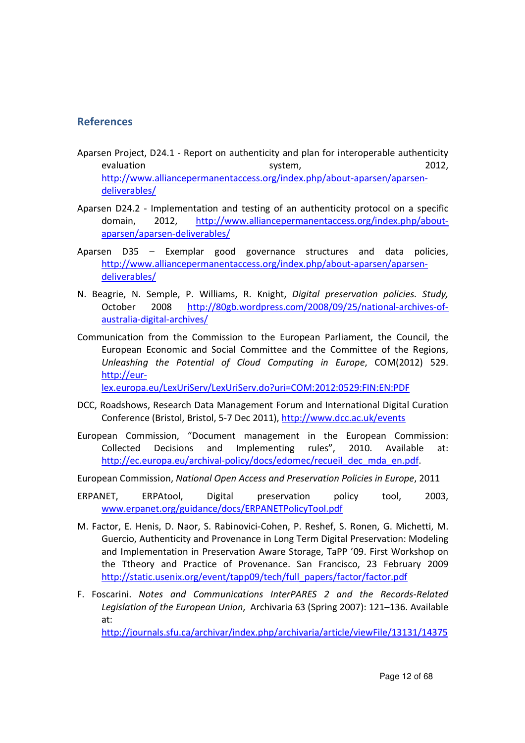## **References**

- Aparsen Project, D24.1 Report on authenticity and plan for interoperable authenticity evaluation and the system, the system, the contract of the system, the system of the system of the system of the system of the system of the system of the system of the system of the system of the system of the system of t http://www.alliancepermanentaccess.org/index.php/about-aparsen/aparsendeliverables/
- Aparsen D24.2 Implementation and testing of an authenticity protocol on a specific domain, 2012, http://www.alliancepermanentaccess.org/index.php/aboutaparsen/aparsen-deliverables/
- Aparsen D35 Exemplar good governance structures and data policies, http://www.alliancepermanentaccess.org/index.php/about-aparsen/aparsendeliverables/
- N. Beagrie, N. Semple, P. Williams, R. Knight, *Digital preservation policies. Study,*  October 2008 http://80gb.wordpress.com/2008/09/25/national-archives-ofaustralia-digital-archives/
- Communication from the Commission to the European Parliament, the Council, the European Economic and Social Committee and the Committee of the Regions, *Unleashing the Potential of Cloud Computing in Europe*, COM(2012) 529. http://eurlex.europa.eu/LexUriServ/LexUriServ.do?uri=COM:2012:0529:FIN:EN:PDF
- DCC, Roadshows, Research Data Management Forum and International Digital Curation Conference (Bristol, Bristol, 5-7 Dec 2011), http://www.dcc.ac.uk/events
- European Commission, "Document management in the European Commission: Collected Decisions and Implementing rules", 2010. Available at: http://ec.europa.eu/archival-policy/docs/edomec/recueil\_dec\_mda\_en.pdf.
- European Commission, *National Open Access and Preservation Policies in Europe*, 2011
- ERPANET, ERPAtool, Digital preservation policy tool, 2003, www.erpanet.org/guidance/docs/ERPANETPolicyTool.pdf
- M. Factor, E. Henis, D. Naor, S. Rabinovici-Cohen, P. Reshef, S. Ronen, G. Michetti, M. Guercio, Authenticity and Provenance in Long Term Digital Preservation: Modeling and Implementation in Preservation Aware Storage, TaPP '09. First Workshop on the Ttheory and Practice of Provenance. San Francisco, 23 February 2009 http://static.usenix.org/event/tapp09/tech/full\_papers/factor/factor.pdf
- F. Foscarini. *Notes and Communications InterPARES 2 and the Records-Related Legislation of the European Union*, Archivaria 63 (Spring 2007): 121–136. Available at:

http://journals.sfu.ca/archivar/index.php/archivaria/article/viewFile/13131/14375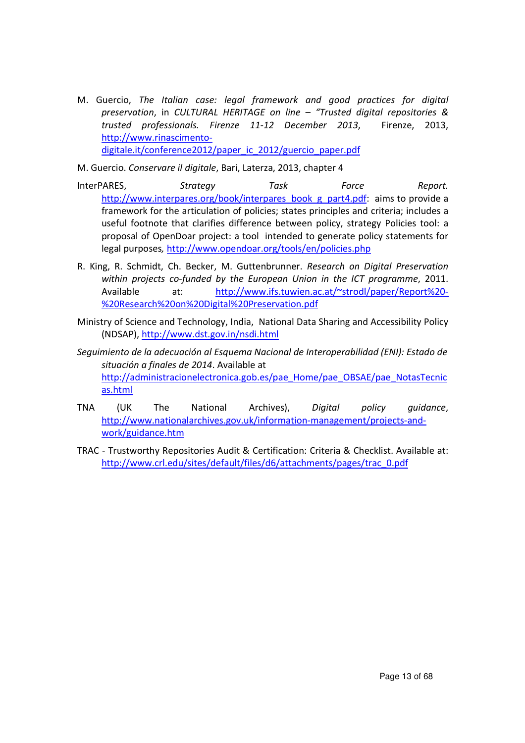M. Guercio, *The Italian case: legal framework and good practices for digital preservation*, in *CULTURAL HERITAGE on line – "Trusted digital repositories & trusted professionals. Firenze 11-12 December 2013*, Firenze, 2013, http://www.rinascimentodigitale.it/conference2012/paper\_ic\_2012/guercio\_paper.pdf

M. Guercio. *Conservare il digitale*, Bari, Laterza, 2013, chapter 4

- InterPARES, *Strategy Task Force Report.*  http://www.interpares.org/book/interpares\_book\_g\_part4.pdf: aims to provide a framework for the articulation of policies; states principles and criteria; includes a useful footnote that clarifies difference between policy, strategy Policies tool: a proposal of OpenDoar project: a tool intended to generate policy statements for legal purposes*,* http://www.opendoar.org/tools/en/policies.php
- R. King, R. Schmidt, Ch. Becker, M. Guttenbrunner. *Research on Digital Preservation within projects co-funded by the European Union in the ICT programme*, 2011. Available at: http://www.ifs.tuwien.ac.at/~strodl/paper/Report%20- %20Research%20on%20Digital%20Preservation.pdf
- Ministry of Science and Technology, India, National Data Sharing and Accessibility Policy (NDSAP), http://www.dst.gov.in/nsdi.html
- *Seguimiento de la adecuación al Esquema Nacional de Interoperabilidad (ENI): Estado de situación a finales de 2014*. Available at http://administracionelectronica.gob.es/pae\_Home/pae\_OBSAE/pae\_NotasTecnic as.html
- TNA (UK The National Archives), *Digital policy guidance*, http://www.nationalarchives.gov.uk/information-management/projects-andwork/guidance.htm
- TRAC Trustworthy Repositories Audit & Certification: Criteria & Checklist. Available at: http://www.crl.edu/sites/default/files/d6/attachments/pages/trac\_0.pdf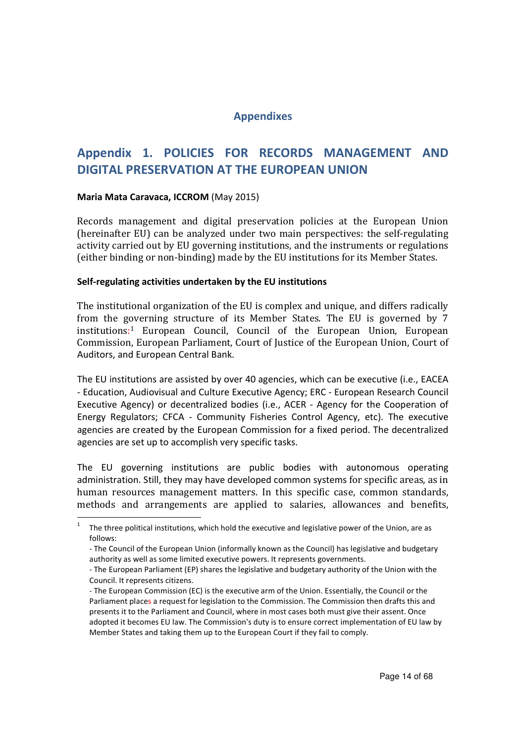## **Appendixes**

# **Appendix 1. POLICIES FOR RECORDS MANAGEMENT AND DIGITAL PRESERVATION AT THE EUROPEAN UNION**

#### **Maria Mata Caravaca, ICCROM** (May 2015)

Records management and digital preservation policies at the European Union (hereinafter EU) can be analyzed under two main perspectives: the self-regulating activity carried out by EU governing institutions, and the instruments or regulations (either binding or non-binding) made by the EU institutions for its Member States.

#### **Self-regulating activities undertaken by the EU institutions**

The institutional organization of the EU is complex and unique, and differs radically from the governing structure of its Member States. The EU is governed by 7 institutions: <sup>1</sup> European Council, Council of the European Union, European Commission, European Parliament, Court of Justice of the European Union, Court of Auditors, and European Central Bank.

The EU institutions are assisted by over 40 agencies, which can be executive (i.e., EACEA - Education, Audiovisual and Culture Executive Agency; ERC - European Research Council Executive Agency) or decentralized bodies (i.e., ACER - Agency for the Cooperation of Energy Regulators; CFCA - Community Fisheries Control Agency, etc). The executive agencies are created by the European Commission for a fixed period. The decentralized agencies are set up to accomplish very specific tasks.

The EU governing institutions are public bodies with autonomous operating administration. Still, they may have developed common systems for specific areas, as in human resources management matters. In this specific case, common standards, methods and arrangements are applied to salaries, allowances and benefits,  $\overline{a}$ 

<sup>1</sup> The three political institutions, which hold the executive and legislative power of the Union, are as follows:

 <sup>-</sup> The Council of the European Union (informally known as the Council) has legislative and budgetary authority as well as some limited executive powers. It represents governments.

 <sup>-</sup> The European Parliament (EP) shares the legislative and budgetary authority of the Union with the Council. It represents citizens.

 <sup>-</sup> The European Commission (EC) is the executive arm of the Union. Essentially, the Council or the Parliament places a request for legislation to the Commission. The Commission then drafts this and presents it to the Parliament and Council, where in most cases both must give their assent. Once adopted it becomes EU law. The Commission's duty is to ensure correct implementation of EU law by Member States and taking them up to the European Court if they fail to comply.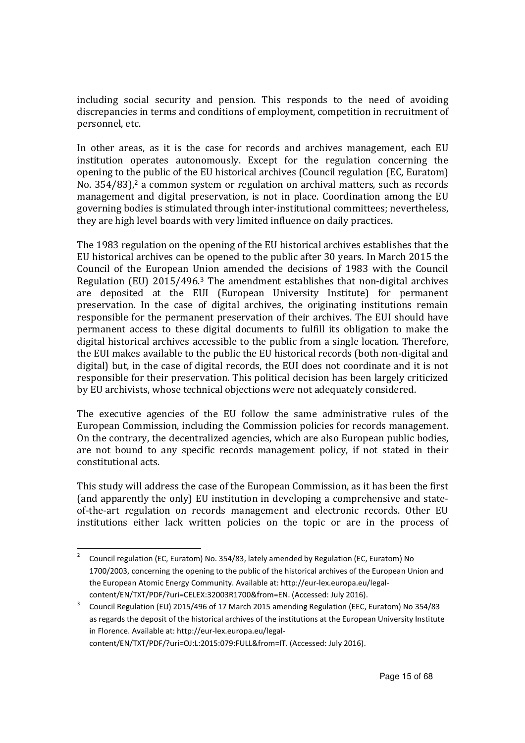including social security and pension. This responds to the need of avoiding discrepancies in terms and conditions of employment, competition in recruitment of personnel, etc.

In other areas, as it is the case for records and archives management, each EU institution operates autonomously. Except for the regulation concerning the opening to the public of the EU historical archives (Council regulation (EC, Euratom) No. 354/83),<sup>2</sup> a common system or regulation on archival matters, such as records management and digital preservation, is not in place. Coordination among the EU governing bodies is stimulated through inter-institutional committees; nevertheless, they are high level boards with very limited influence on daily practices.

The 1983 regulation on the opening of the EU historical archives establishes that the EU historical archives can be opened to the public after 30 years. In March 2015 the Council of the European Union amended the decisions of 1983 with the Council Regulation (EU) 2015/496.<sup>3</sup> The amendment establishes that non-digital archives are deposited at the EUI (European University Institute) for permanent preservation. In the case of digital archives, the originating institutions remain responsible for the permanent preservation of their archives. The EUI should have permanent access to these digital documents to fulfill its obligation to make the digital historical archives accessible to the public from a single location. Therefore, the EUI makes available to the public the EU historical records (both non-digital and digital) but, in the case of digital records, the EUI does not coordinate and it is not responsible for their preservation. This political decision has been largely criticized by EU archivists, whose technical objections were not adequately considered.

The executive agencies of the EU follow the same administrative rules of the European Commission, including the Commission policies for records management. On the contrary, the decentralized agencies, which are also European public bodies, are not bound to any specific records management policy, if not stated in their constitutional acts.

This study will address the case of the European Commission, as it has been the first (and apparently the only) EU institution in developing a comprehensive and stateof-the-art regulation on records management and electronic records. Other EU institutions either lack written policies on the topic or are in the process of

content/EN/TXT/PDF/?uri=OJ:L:2015:079:FULL&from=IT. (Accessed: July 2016).

<sup>2</sup> Council regulation (EC, Euratom) No. 354/83, lately amended by Regulation (EC, Euratom) No 1700/2003, concerning the opening to the public of the historical archives of the European Union and the European Atomic Energy Community. Available at: http://eur-lex.europa.eu/legalcontent/EN/TXT/PDF/?uri=CELEX:32003R1700&from=EN. (Accessed: July 2016).

<sup>3</sup> Council Regulation (EU) 2015/496 of 17 March 2015 amending Regulation (EEC, Euratom) No 354/83 as regards the deposit of the historical archives of the institutions at the European University Institute in Florence. Available at: http://eur-lex.europa.eu/legal-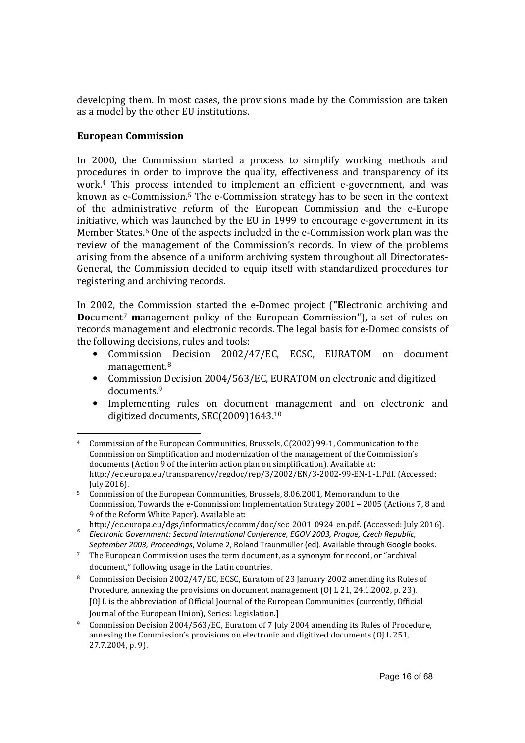developing them. In most cases, the provisions made by the Commission are taken as a model by the other EU institutions.

#### **European Commission**

 $\overline{a}$ 

In 2000, the Commission started a process to simplify working methods and procedures in order to improve the quality, effectiveness and transparency of its work.<sup>4</sup> This process intended to implement an efficient e-government, and was known as e-Commission.5 The e-Commission strategy has to be seen in the context of the administrative reform of the European Commission and the e-Europe initiative, which was launched by the EU in 1999 to encourage e-government in its Member States.<sup>6</sup> One of the aspects included in the e-Commission work plan was the review of the management of the Commission's records. In view of the problems arising from the absence of a uniform archiving system throughout all Directorates-General, the Commission decided to equip itself with standardized procedures for registering and archiving records.

In 2002, the Commission started the e-Domec project (**"E**lectronic archiving and **Do**cument<sup>7</sup> **m**anagement policy of the **E**uropean **C**ommission"), a set of rules on records management and electronic records. The legal basis for e-Domec consists of the following decisions, rules and tools:

- Commission Decision 2002/47/EC, ECSC, EURATOM on document management.<sup>8</sup>
- Commission Decision 2004/563/EC, EURATOM on electronic and digitized documents.<sup>9</sup>
- Implementing rules on document management and on electronic and digitized documents, SEC(2009)1643.<sup>10</sup>

<sup>4</sup> Commission of the European Communities, Brussels, C(2002) 99-1, Communication to the Commission on Simplification and modernization of the management of the Commission's documents (Action 9 of the interim action plan on simplification). Available at: http://ec.europa.eu/transparency/regdoc/rep/3/2002/EN/3-2002-99-EN-1-1.Pdf. (Accessed: July 2016).

<sup>5</sup> Commission of the European Communities, Brussels, 8.06.2001, Memorandum to the Commission, Towards the e-Commission: Implementation Strategy 2001 – 2005 (Actions 7, 8 and 9 of the Reform White Paper). Available at:

http://ec.europa.eu/dgs/informatics/ecomm/doc/sec\_2001\_0924\_en.pdf. (Accessed: July 2016). 6 *Electronic Government: Second International Conference, EGOV 2003, Prague, Czech Republic, September 2003, Proceedings*, Volume 2, Roland Traunmüller (ed). Available through Google books.

 $7$  The European Commission uses the term document, as a synonym for record, or "archival" document," following usage in the Latin countries.

<sup>8</sup> Commission Decision 2002/47/EC, ECSC, Euratom of 23 January 2002 amending its Rules of Procedure, annexing the provisions on document management (OJ L 21, 24.1.2002, p. 23). [OJ L is the abbreviation of Official Journal of the European Communities (currently, Official Journal of the European Union), Series: Legislation.]

<sup>9</sup> Commission Decision 2004/563/EC, Euratom of 7 July 2004 amending its Rules of Procedure, annexing the Commission's provisions on electronic and digitized documents (OJ L 251, 27.7.2004, p. 9).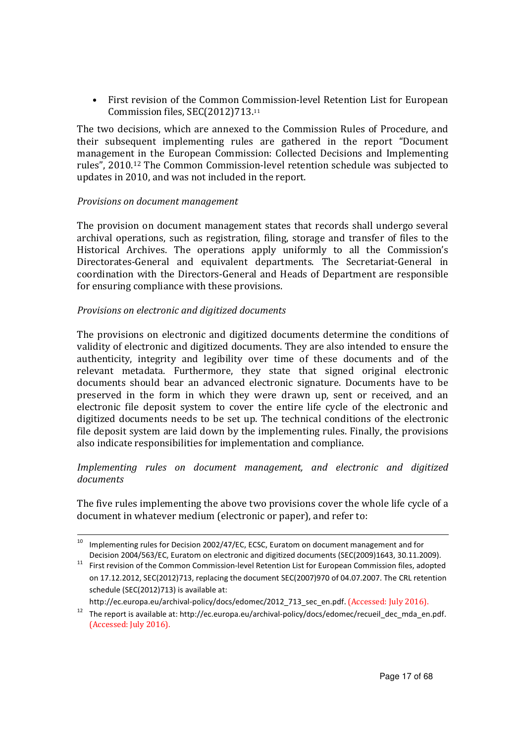• First revision of the Common Commission-level Retention List for European Commission files, SEC(2012)713.<sup>11</sup>

The two decisions, which are annexed to the Commission Rules of Procedure, and their subsequent implementing rules are gathered in the report "Document management in the European Commission: Collected Decisions and Implementing rules", 2010.<sup>12</sup> The Common Commission-level retention schedule was subjected to updates in 2010, and was not included in the report.

#### *Provisions on document management*

 $\overline{a}$ 

The provision on document management states that records shall undergo several archival operations, such as registration, filing, storage and transfer of files to the Historical Archives. The operations apply uniformly to all the Commission's Directorates-General and equivalent departments. The Secretariat-General in coordination with the Directors-General and Heads of Department are responsible for ensuring compliance with these provisions.

#### *Provisions on electronic and digitized documents*

The provisions on electronic and digitized documents determine the conditions of validity of electronic and digitized documents. They are also intended to ensure the authenticity, integrity and legibility over time of these documents and of the relevant metadata. Furthermore, they state that signed original electronic documents should bear an advanced electronic signature. Documents have to be preserved in the form in which they were drawn up, sent or received, and an electronic file deposit system to cover the entire life cycle of the electronic and digitized documents needs to be set up. The technical conditions of the electronic file deposit system are laid down by the implementing rules. Finally, the provisions also indicate responsibilities for implementation and compliance.

#### *Implementing rules on document management, and electronic and digitized documents*

The five rules implementing the above two provisions cover the whole life cycle of a document in whatever medium (electronic or paper), and refer to:

<sup>&</sup>lt;sup>10</sup> Implementing rules for Decision 2002/47/EC, ECSC, Euratom on document management and for Decision 2004/563/EC, Euratom on electronic and digitized documents (SEC(2009)1643, 30.11.2009).

<sup>&</sup>lt;sup>11</sup> First revision of the Common Commission-level Retention List for European Commission files, adopted on 17.12.2012, SEC(2012)713, replacing the document SEC(2007)970 of 04.07.2007. The CRL retention schedule (SEC(2012)713) is available at:

http://ec.europa.eu/archival-policy/docs/edomec/2012\_713\_sec\_en.pdf. (Accessed: July 2016).

<sup>&</sup>lt;sup>12</sup> The report is available at: http://ec.europa.eu/archival-policy/docs/edomec/recueil\_dec\_mda\_en.pdf. (Accessed: July 2016).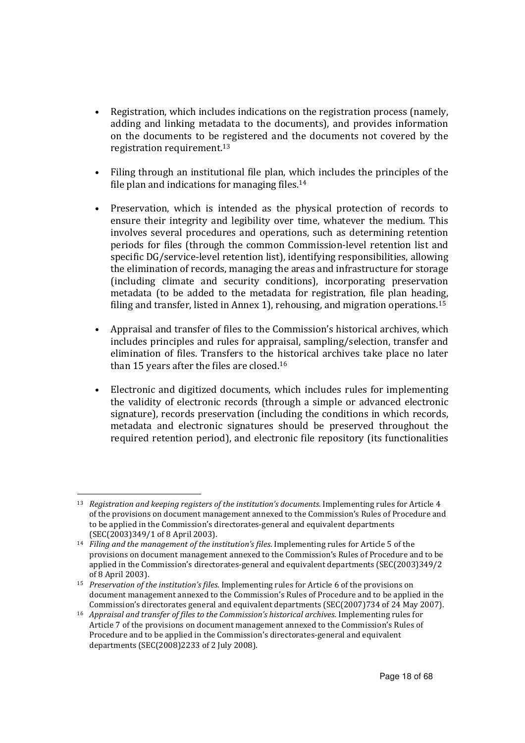- Registration, which includes indications on the registration process (namely, adding and linking metadata to the documents), and provides information on the documents to be registered and the documents not covered by the registration requirement.<sup>13</sup>
- Filing through an institutional file plan, which includes the principles of the file plan and indications for managing files.<sup>14</sup>
- Preservation, which is intended as the physical protection of records to ensure their integrity and legibility over time, whatever the medium. This involves several procedures and operations, such as determining retention periods for files (through the common Commission-level retention list and specific DG/service-level retention list), identifying responsibilities, allowing the elimination of records, managing the areas and infrastructure for storage (including climate and security conditions), incorporating preservation metadata (to be added to the metadata for registration, file plan heading, filing and transfer, listed in Annex 1), rehousing, and migration operations.<sup>15</sup>
- Appraisal and transfer of files to the Commission's historical archives, which includes principles and rules for appraisal, sampling/selection, transfer and elimination of files. Transfers to the historical archives take place no later than 15 years after the files are closed.<sup>16</sup>
- Electronic and digitized documents, which includes rules for implementing the validity of electronic records (through a simple or advanced electronic signature), records preservation (including the conditions in which records, metadata and electronic signatures should be preserved throughout the required retention period), and electronic file repository (its functionalities

<sup>13</sup> *Registration and keeping registers of the institution's documents.* Implementing rules for Article 4 of the provisions on document management annexed to the Commission's Rules of Procedure and to be applied in the Commission's directorates-general and equivalent departments (SEC(2003)349/1 of 8 April 2003).

<sup>14</sup> *Filing and the management of the institution's files*. Implementing rules for Article 5 of the provisions on document management annexed to the Commission's Rules of Procedure and to be applied in the Commission's directorates-general and equivalent departments (SEC(2003)349/2 of 8 April 2003).

<sup>15</sup> *Preservation of the institution's files*. Implementing rules for Article 6 of the provisions on document management annexed to the Commission's Rules of Procedure and to be applied in the Commission's directorates general and equivalent departments (SEC(2007)734 of 24 May 2007).

<sup>16</sup> *Appraisal and transfer of files to the Commission's historical archives*. Implementing rules for Article 7 of the provisions on document management annexed to the Commission's Rules of Procedure and to be applied in the Commission's directorates-general and equivalent departments (SEC(2008)2233 of 2 July 2008).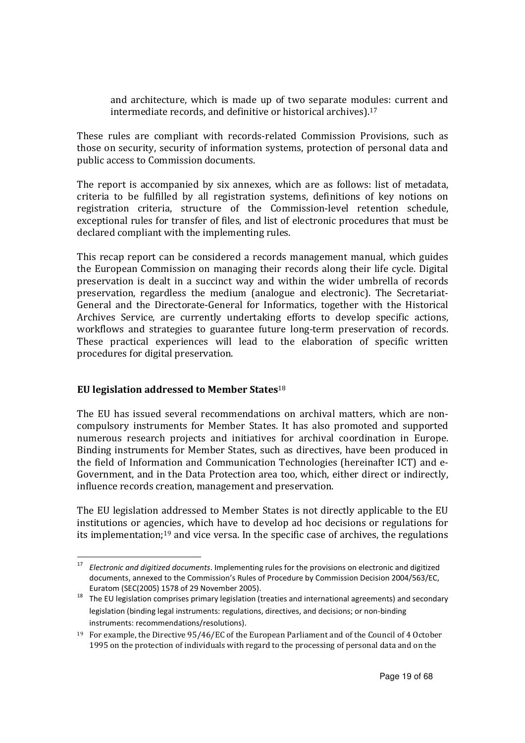and architecture, which is made up of two separate modules: current and intermediate records, and definitive or historical archives).<sup>17</sup>

These rules are compliant with records-related Commission Provisions, such as those on security, security of information systems, protection of personal data and public access to Commission documents.

The report is accompanied by six annexes, which are as follows: list of metadata, criteria to be fulfilled by all registration systems, definitions of key notions on registration criteria, structure of the Commission-level retention schedule, exceptional rules for transfer of files, and list of electronic procedures that must be declared compliant with the implementing rules.

This recap report can be considered a records management manual, which guides the European Commission on managing their records along their life cycle. Digital preservation is dealt in a succinct way and within the wider umbrella of records preservation, regardless the medium (analogue and electronic). The Secretariat-General and the Directorate-General for Informatics, together with the Historical Archives Service, are currently undertaking efforts to develop specific actions, workflows and strategies to guarantee future long-term preservation of records. These practical experiences will lead to the elaboration of specific written procedures for digital preservation.

#### **EU legislation addressed to Member States**<sup>18</sup>

 $\overline{a}$ 

The EU has issued several recommendations on archival matters, which are noncompulsory instruments for Member States. It has also promoted and supported numerous research projects and initiatives for archival coordination in Europe. Binding instruments for Member States, such as directives, have been produced in the field of Information and Communication Technologies (hereinafter ICT) and e-Government, and in the Data Protection area too, which, either direct or indirectly, influence records creation, management and preservation.

The EU legislation addressed to Member States is not directly applicable to the EU institutions or agencies, which have to develop ad hoc decisions or regulations for its implementation;19 and vice versa. In the specific case of archives, the regulations

<sup>17</sup> *Electronic and digitized documents*. Implementing rules for the provisions on electronic and digitized documents, annexed to the Commission's Rules of Procedure by Commission Decision 2004/563/EC, Euratom (SEC(2005) 1578 of 29 November 2005).

<sup>18</sup> The EU legislation comprises primary legislation (treaties and international agreements) and secondary legislation (binding legal instruments: regulations, directives, and decisions; or non-binding instruments: recommendations/resolutions).

<sup>19</sup> For example, the Directive 95/46/EC of the European Parliament and of the Council of 4 October 1995 on the protection of individuals with regard to the processing of personal data and on the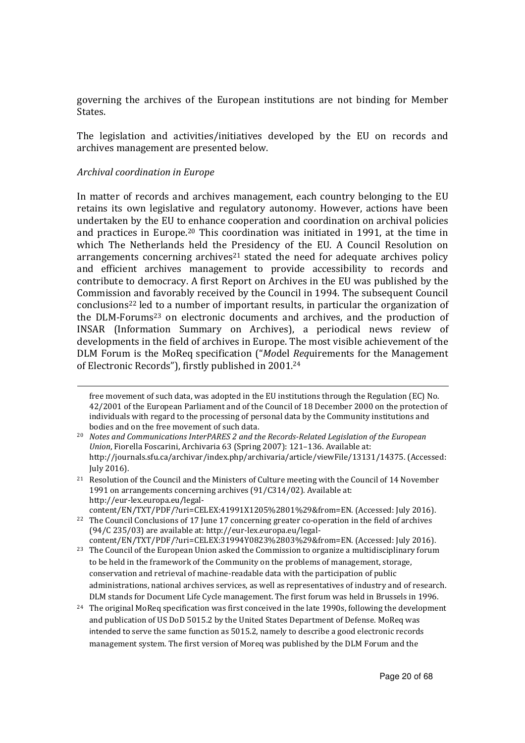governing the archives of the European institutions are not binding for Member States.

The legislation and activities/initiatives developed by the EU on records and archives management are presented below.

#### *Archival coordination in Europe*

 $\overline{a}$ 

In matter of records and archives management, each country belonging to the EU retains its own legislative and regulatory autonomy. However, actions have been undertaken by the EU to enhance cooperation and coordination on archival policies and practices in Europe.20 This coordination was initiated in 1991, at the time in which The Netherlands held the Presidency of the EU. A Council Resolution on arrangements concerning archives<sup>21</sup> stated the need for adequate archives policy and efficient archives management to provide accessibility to records and contribute to democracy. A first Report on Archives in the EU was published by the Commission and favorably received by the Council in 1994. The subsequent Council conclusions22 led to a number of important results, in particular the organization of the DLM-Forums23 on electronic documents and archives, and the production of INSAR (Information Summary on Archives), a periodical news review of developments in the field of archives in Europe. The most visible achievement of the DLM Forum is the MoReq specification ("*Mo*del *Req*uirements for the Management of Electronic Records"), firstly published in 2001.<sup>24</sup>

content/EN/TXT/PDF/?uri=CELEX:41991X1205%2801%29&from=EN. (Accessed: July 2016).

free movement of such data, was adopted in the EU institutions through the Regulation (EC) No. 42/2001 of the European Parliament and of the Council of 18 December 2000 on the protection of individuals with regard to the processing of personal data by the Community institutions and bodies and on the free movement of such data.

<sup>20</sup> *Notes and Communications InterPARES 2 and the Records-Related Legislation of the European Union*, Fiorella Foscarini, Archivaria 63 (Spring 2007): 121–136. Available at: http://journals.sfu.ca/archivar/index.php/archivaria/article/viewFile/13131/14375. (Accessed: July 2016).

<sup>21</sup> Resolution of the Council and the Ministers of Culture meeting with the Council of 14 November 1991 on arrangements concerning archives (91/C314/02). Available at: http://eur-lex.europa.eu/legal-

<sup>&</sup>lt;sup>22</sup> The Council Conclusions of 17 June 17 concerning greater co-operation in the field of archives (94/C 235/03) are available at: http://eur-lex.europa.eu/legalcontent/EN/TXT/PDF/?uri=CELEX:31994Y0823%2803%29&from=EN. (Accessed: July 2016).

<sup>&</sup>lt;sup>23</sup> The Council of the European Union asked the Commission to organize a multidisciplinary forum to be held in the framework of the Community on the problems of management, storage, conservation and retrieval of machine-readable data with the participation of public administrations, national archives services, as well as representatives of industry and of research. DLM stands for Document Life Cycle management. The first forum was held in Brussels in 1996.

<sup>&</sup>lt;sup>24</sup> The original MoReq specification was first conceived in the late 1990s, following the development and publication of US DoD 5015.2 by the United States Department of Defense. MoReq was intended to serve the same function as 5015.2, namely to describe a good electronic records management system. The first version of Moreq was published by the DLM Forum and the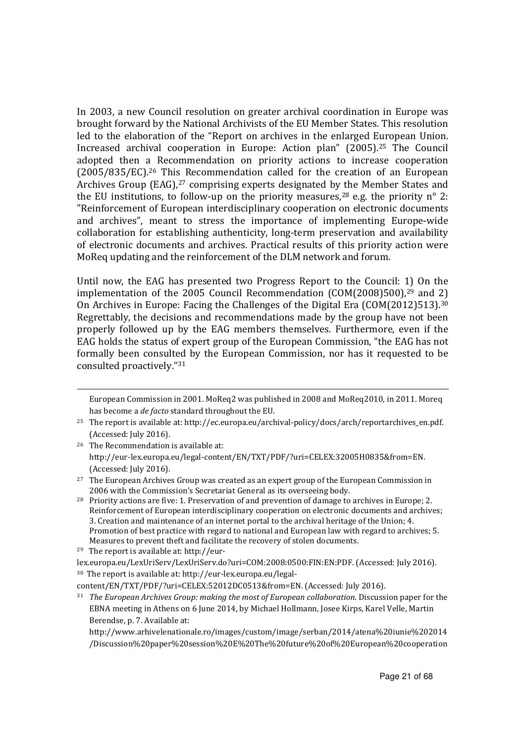In 2003, a new Council resolution on greater archival coordination in Europe was brought forward by the National Archivists of the EU Member States. This resolution led to the elaboration of the "Report on archives in the enlarged European Union. Increased archival cooperation in Europe: Action plan" (2005).25 The Council adopted then a Recommendation on priority actions to increase cooperation (2005/835/EC).<sup>26</sup> This Recommendation called for the creation of an European Archives Group (EAG),<sup>27</sup> comprising experts designated by the Member States and the EU institutions, to follow-up on the priority measures,  $28$  e.g. the priority n° 2: "Reinforcement of European interdisciplinary cooperation on electronic documents and archives", meant to stress the importance of implementing Europe-wide collaboration for establishing authenticity, long-term preservation and availability of electronic documents and archives. Practical results of this priority action were MoReq updating and the reinforcement of the DLM network and forum.

Until now, the EAG has presented two Progress Report to the Council: 1) On the implementation of the 2005 Council Recommendation (COM(2008)500),<sup>29</sup> and 2) On Archives in Europe: Facing the Challenges of the Digital Era (COM(2012)513).<sup>30</sup> Regrettably, the decisions and recommendations made by the group have not been properly followed up by the EAG members themselves. Furthermore, even if the EAG holds the status of expert group of the European Commission, "the EAG has not formally been consulted by the European Commission, nor has it requested to be consulted proactively."<sup>31</sup>

<sup>26</sup> The Recommendation is available at: http://eur-lex.europa.eu/legal-content/EN/TXT/PDF/?uri=CELEX:32005H0835&from=EN. (Accessed: July 2016).

29 The report is available at: http://eur-

European Commission in 2001. MoReq2 was published in 2008 and MoReq2010, in 2011. Moreq has become a *de facto* standard throughout the EU.

<sup>&</sup>lt;sup>25</sup> The report is available at: http://ec.europa.eu/archival-policy/docs/arch/reportarchives\_en.pdf. (Accessed: July 2016).

 $27$  The European Archives Group was created as an expert group of the European Commission in 2006 with the Commission's Secretariat General as its overseeing body.

<sup>&</sup>lt;sup>28</sup> Priority actions are five: 1. Preservation of and prevention of damage to archives in Europe; 2. Reinforcement of European interdisciplinary cooperation on electronic documents and archives; 3. Creation and maintenance of an internet portal to the archival heritage of the Union; 4. Promotion of best practice with regard to national and European law with regard to archives; 5. Measures to prevent theft and facilitate the recovery of stolen documents.

lex.europa.eu/LexUriServ/LexUriServ.do?uri=COM:2008:0500:FIN:EN:PDF. (Accessed: July 2016). 30 The report is available at: http://eur-lex.europa.eu/legal-

content/EN/TXT/PDF/?uri=CELEX:52012DC0513&from=EN. (Accessed: July 2016).

<sup>31</sup> *The European Archives Group: making the most of European collaboration.* Discussion paper for the EBNA meeting in Athens on 6 June 2014, by Michael Hollmann, Josee Kirps, Karel Velle, Martin Berendse, p. 7. Available at:

http://www.arhivelenationale.ro/images/custom/image/serban/2014/atena%20iunie%202014 /Discussion%20paper%20session%20E%20The%20future%20of%20European%20cooperation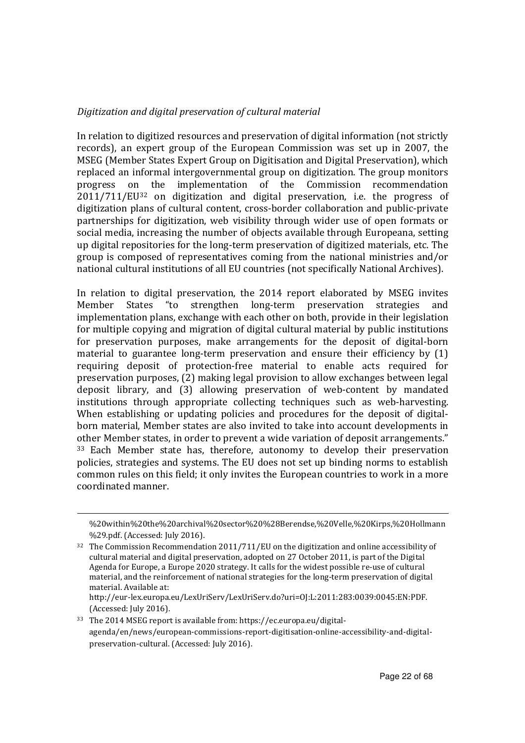#### *Digitization and digital preservation of cultural material*

In relation to digitized resources and preservation of digital information (not strictly records), an expert group of the European Commission was set up in 2007, the MSEG (Member States Expert Group on Digitisation and Digital Preservation), which replaced an informal intergovernmental group on digitization. The group monitors progress on the implementation of the Commission recommendation 2011/711/EU32 on digitization and digital preservation, i.e. the progress of digitization plans of cultural content, cross-border collaboration and public-private partnerships for digitization, web visibility through wider use of open formats or social media, increasing the number of objects available through Europeana, setting up digital repositories for the long-term preservation of digitized materials, etc. The group is composed of representatives coming from the national ministries and/or national cultural institutions of all EU countries (not specifically National Archives).

In relation to digital preservation, the 2014 report elaborated by MSEG invites Member States "to strengthen long-term preservation strategies and implementation plans, exchange with each other on both, provide in their legislation for multiple copying and migration of digital cultural material by public institutions for preservation purposes, make arrangements for the deposit of digital-born material to guarantee long-term preservation and ensure their efficiency by (1) requiring deposit of protection-free material to enable acts required for preservation purposes, (2) making legal provision to allow exchanges between legal deposit library, and (3) allowing preservation of web-content by mandated institutions through appropriate collecting techniques such as web-harvesting. When establishing or updating policies and procedures for the deposit of digitalborn material, Member states are also invited to take into account developments in other Member states, in order to prevent a wide variation of deposit arrangements." <sup>33</sup> Each Member state has, therefore, autonomy to develop their preservation policies, strategies and systems. The EU does not set up binding norms to establish common rules on this field; it only invites the European countries to work in a more coordinated manner.

 $\overline{a}$ 

http://eur-lex.europa.eu/LexUriServ/LexUriServ.do?uri=OJ:L:2011:283:0039:0045:EN:PDF. (Accessed: July 2016).

<sup>%20</sup>within%20the%20archival%20sector%20%28Berendse,%20Velle,%20Kirps,%20Hollmann %29.pdf. (Accessed: July 2016).

 $32$  The Commission Recommendation 2011/711/EU on the digitization and online accessibility of cultural material and digital preservation, adopted on 27 October 2011, is part of the Digital Agenda for Europe, a Europe 2020 strategy. It calls for the widest possible re-use of cultural material, and the reinforcement of national strategies for the long-term preservation of digital material. Available at:

<sup>33</sup> The 2014 MSEG report is available from: https://ec.europa.eu/digitalagenda/en/news/european-commissions-report-digitisation-online-accessibility-and-digitalpreservation-cultural. (Accessed: July 2016).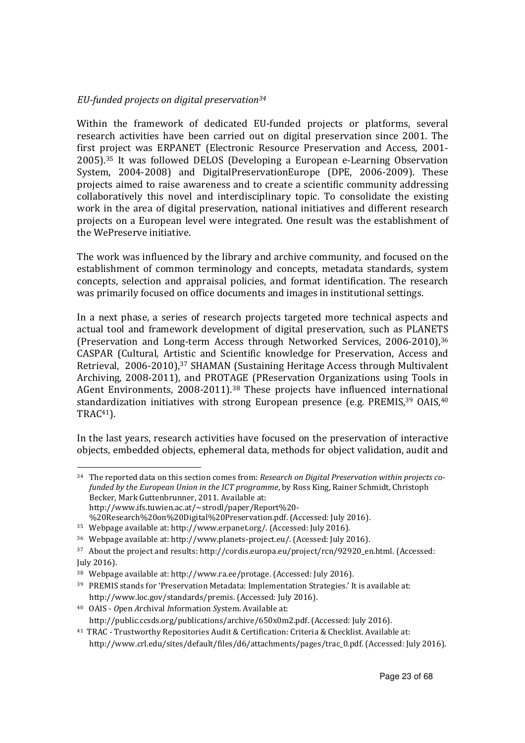#### *EU-funded projects on digital preservation<sup>34</sup>*

Within the framework of dedicated EU-funded projects or platforms, several research activities have been carried out on digital preservation since 2001. The first project was ERPANET (Electronic Resource Preservation and Access, 2001- 2005).35 It was followed DELOS (Developing a European e-Learning Observation System, 2004-2008) and DigitalPreservationEurope (DPE, 2006-2009). These projects aimed to raise awareness and to create a scientific community addressing collaboratively this novel and interdisciplinary topic. To consolidate the existing work in the area of digital preservation, national initiatives and different research projects on a European level were integrated. One result was the establishment of the WePreserve initiative.

The work was influenced by the library and archive community, and focused on the establishment of common terminology and concepts, metadata standards, system concepts, selection and appraisal policies, and format identification. The research was primarily focused on office documents and images in institutional settings.

In a next phase, a series of research projects targeted more technical aspects and actual tool and framework development of digital preservation, such as PLANETS (Preservation and Long-term Access through Networked Services, 2006-2010),<sup>36</sup> CASPAR (Cultural, Artistic and Scientific knowledge for Preservation, Access and Retrieval, 2006-2010),<sup>37</sup> SHAMAN (Sustaining Heritage Access through Multivalent Archiving, 2008-2011), and PROTAGE (PReservation Organizations using Tools in AGent Environments, 2008-2011).38 These projects have influenced international standardization initiatives with strong European presence (e.g. PREMIS,<sup>39</sup> OAIS,<sup>40</sup> TRAC41).

In the last years, research activities have focused on the preservation of interactive objects, embedded objects, ephemeral data, methods for object validation, audit and

34 The reported data on this section comes from: *Research on Digital Preservation within projects cofunded by the European Union in the ICT programme*, by Ross King, Rainer Schmidt, Christoph Becker, Mark Guttenbrunner, 2011. Available at: http://www.ifs.tuwien.ac.at/~strodl/paper/Report%20- %20Research%20on%20Digital%20Preservation.pdf. (Accessed: July 2016).

<sup>35</sup> Webpage available at: http://www.erpanet.org/. (Accessed: July 2016).

<sup>36</sup> Webpage available at: http://www.planets-project.eu/. (Acessed: July 2016).

<sup>37</sup> About the project and results: http://cordis.europa.eu/project/rcn/92920\_en.html. (Accessed: July 2016).

<sup>38</sup> Webpage available at: http://www.ra.ee/protage. (Accessed: July 2016).

<sup>&</sup>lt;sup>39</sup> PREMIS stands for 'Preservation Metadata: Implementation Strategies.' It is available at: http://www.loc.gov/standards/premis. (Accessed: July 2016).

<sup>40</sup> OAIS - *O*pen *A*rchival *I*nformation *S*ystem. Available at: http://public.ccsds.org/publications/archive/650x0m2.pdf. (Accessed: July 2016).

<sup>41</sup> TRAC - Trustworthy Repositories Audit & Certification: Criteria & Checklist. Available at: http://www.crl.edu/sites/default/files/d6/attachments/pages/trac\_0.pdf. (Accessed: July 2016).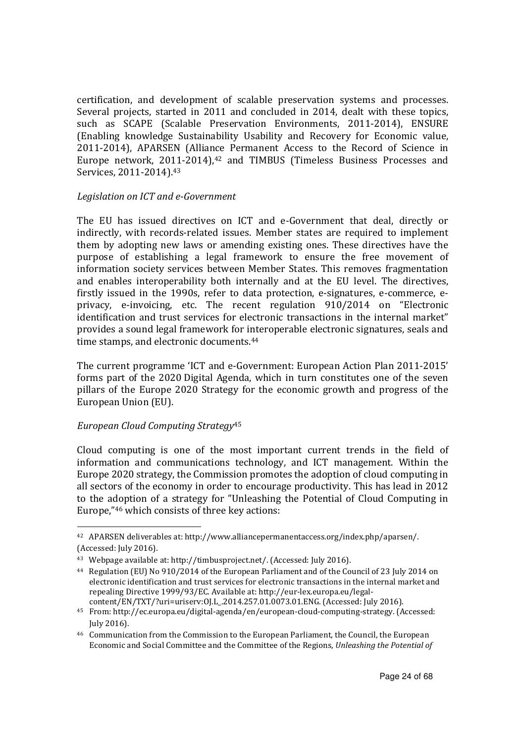certification, and development of scalable preservation systems and processes. Several projects, started in 2011 and concluded in 2014, dealt with these topics, such as SCAPE (Scalable Preservation Environments, 2011-2014), ENSURE (Enabling knowledge Sustainability Usability and Recovery for Economic value, 2011-2014), APARSEN (Alliance Permanent Access to the Record of Science in Europe network, 2011-2014).<sup>42</sup> and TIMBUS (Timeless Business Processes and Services, 2011-2014).<sup>43</sup>

#### *Legislation on ICT and e-Government*

The EU has issued directives on ICT and e-Government that deal, directly or indirectly, with records-related issues. Member states are required to implement them by adopting new laws or amending existing ones. These directives have the purpose of establishing a legal framework to ensure the free movement of information society services between Member States. This removes fragmentation and enables interoperability both internally and at the EU level. The directives, firstly issued in the 1990s, refer to data protection, e-signatures, e-commerce, eprivacy, e-invoicing, etc. The recent regulation 910/2014 on "Electronic identification and trust services for electronic transactions in the internal market" provides a sound legal framework for interoperable electronic signatures, seals and time stamps, and electronic documents.<sup>44</sup>

The current programme 'ICT and e-Government: European Action Plan 2011-2015' forms part of the 2020 Digital Agenda, which in turn constitutes one of the seven pillars of the Europe 2020 Strategy for the economic growth and progress of the European Union (EU).

#### *European Cloud Computing Strategy*<sup>45</sup>

 $\overline{a}$ 

Cloud computing is one of the most important current trends in the field of information and communications technology, and ICT management. Within the Europe 2020 strategy, the Commission promotes the adoption of cloud computing in all sectors of the economy in order to encourage productivity. This has lead in 2012 to the adoption of a strategy for "Unleashing the Potential of Cloud Computing in Europe,"46 which consists of three key actions:

<sup>42</sup> APARSEN deliverables at: http://www.alliancepermanentaccess.org/index.php/aparsen/. (Accessed: July 2016).

<sup>43</sup> Webpage available at: http://timbusproject.net/. (Accessed: July 2016).

<sup>44</sup> Regulation (EU) No 910/2014 of the European Parliament and of the Council of 23 July 2014 on electronic identification and trust services for electronic transactions in the internal market and repealing Directive 1999/93/EC. Available at: http://eur-lex.europa.eu/legal-

content/EN/TXT/?uri=uriserv:OJ.L\_.2014.257.01.0073.01.ENG. (Accessed: July 2016). <sup>45</sup> From: http://ec.europa.eu/digital-agenda/en/european-cloud-computing-strategy. (Accessed: July 2016).

<sup>46</sup> Communication from the Commission to the European Parliament, the Council, the European Economic and Social Committee and the Committee of the Regions, *Unleashing the Potential of*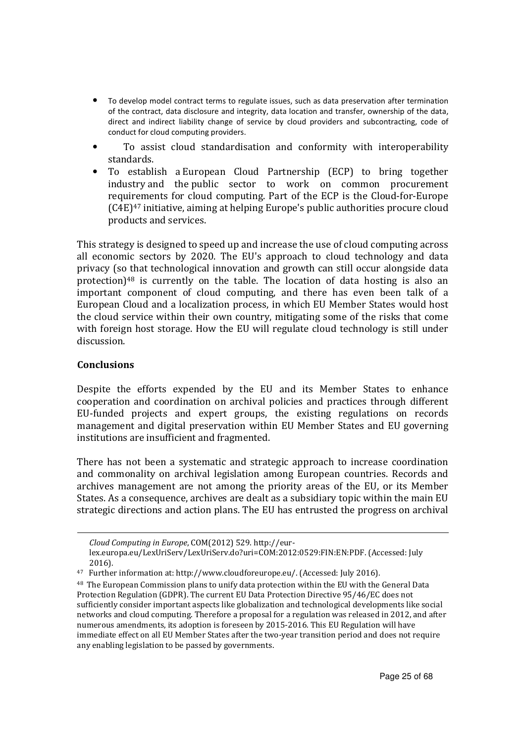- To develop model contract terms to regulate issues, such as data preservation after termination of the contract, data disclosure and integrity, data location and transfer, ownership of the data, direct and indirect liability change of service by cloud providers and subcontracting, code of conduct for cloud computing providers.
- To assist cloud standardisation and conformity with interoperability standards.
- To establish a European Cloud Partnership (ECP) to bring together industry and the public sector to work on common procurement requirements for cloud computing. Part of the ECP is the Cloud-for-Europe (C4E)47 initiative, aiming at helping Europe's public authorities procure cloud products and services.

This strategy is designed to speed up and increase the use of cloud computing across all economic sectors by 2020. The EU's approach to cloud technology and data privacy (so that technological innovation and growth can still occur alongside data protection) $48$  is currently on the table. The location of data hosting is also an important component of cloud computing, and there has even been talk of a European Cloud and a localization process, in which EU Member States would host the cloud service within their own country, mitigating some of the risks that come with foreign host storage. How the EU will regulate cloud technology is still under discussion.

#### **Conclusions**

 $\overline{a}$ 

Despite the efforts expended by the EU and its Member States to enhance cooperation and coordination on archival policies and practices through different EU-funded projects and expert groups, the existing regulations on records management and digital preservation within EU Member States and EU governing institutions are insufficient and fragmented.

There has not been a systematic and strategic approach to increase coordination and commonality on archival legislation among European countries. Records and archives management are not among the priority areas of the EU, or its Member States. As a consequence, archives are dealt as a subsidiary topic within the main EU strategic directions and action plans. The EU has entrusted the progress on archival

*Cloud Computing in Europe*, COM(2012) 529. http://eur-

lex.europa.eu/LexUriServ/LexUriServ.do?uri=COM:2012:0529:FIN:EN:PDF. (Accessed: July 2016).

<sup>47</sup> Further information at: http://www.cloudforeurope.eu/. (Accessed: July 2016).

<sup>48</sup> The European Commission plans to unify data protection within the EU with the General Data Protection Regulation (GDPR). The current EU Data Protection Directive 95/46/EC does not sufficiently consider important aspects like globalization and technological developments like social networks and cloud computing. Therefore a proposal for a regulation was released in 2012, and after numerous amendments, its adoption is foreseen by 2015-2016. This EU Regulation will have immediate effect on all EU Member States after the two-year transition period and does not require any enabling legislation to be passed by governments.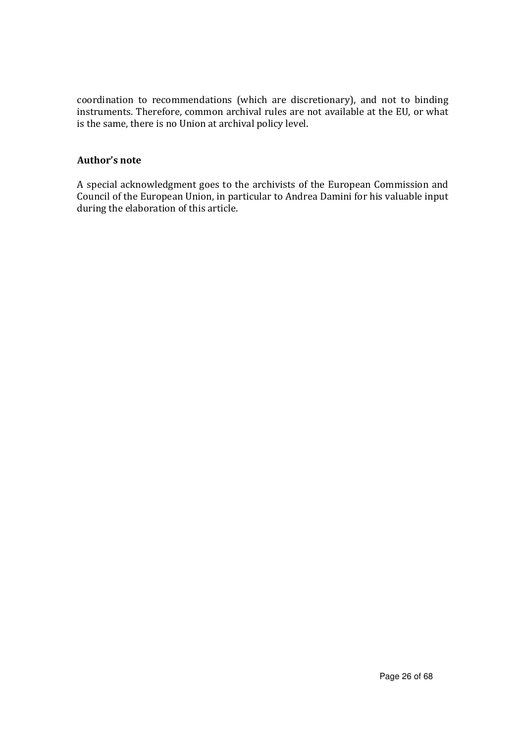coordination to recommendations (which are discretionary), and not to binding instruments. Therefore, common archival rules are not available at the EU, or what is the same, there is no Union at archival policy level.

#### **Author's note**

A special acknowledgment goes to the archivists of the European Commission and Council of the European Union, in particular to Andrea Damini for his valuable input during the elaboration of this article.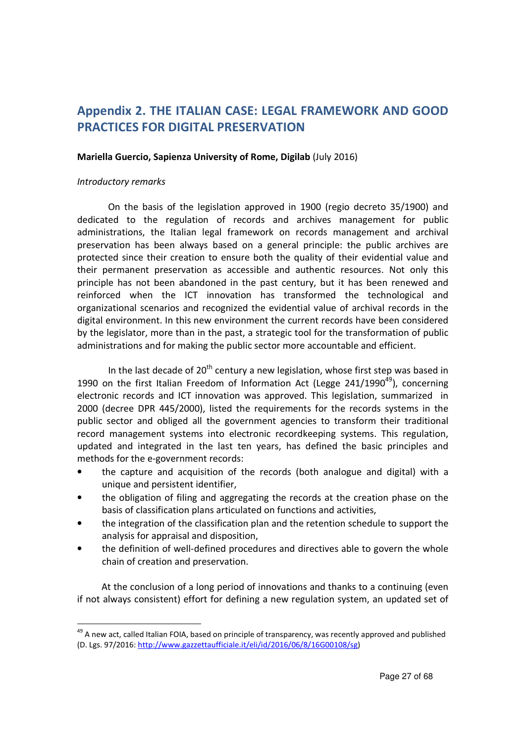# **Appendix 2. THE ITALIAN CASE: LEGAL FRAMEWORK AND GOOD PRACTICES FOR DIGITAL PRESERVATION**

#### **Mariella Guercio, Sapienza University of Rome, Digilab** (July 2016)

#### *Introductory remarks*

 $\overline{a}$ 

 On the basis of the legislation approved in 1900 (regio decreto 35/1900) and dedicated to the regulation of records and archives management for public administrations, the Italian legal framework on records management and archival preservation has been always based on a general principle: the public archives are protected since their creation to ensure both the quality of their evidential value and their permanent preservation as accessible and authentic resources. Not only this principle has not been abandoned in the past century, but it has been renewed and reinforced when the ICT innovation has transformed the technological and organizational scenarios and recognized the evidential value of archival records in the digital environment. In this new environment the current records have been considered by the legislator, more than in the past, a strategic tool for the transformation of public administrations and for making the public sector more accountable and efficient.

In the last decade of  $20<sup>th</sup>$  century a new legislation, whose first step was based in 1990 on the first Italian Freedom of Information Act (Legge  $241/1990^{49}$ ), concerning electronic records and ICT innovation was approved. This legislation, summarized in 2000 (decree DPR 445/2000), listed the requirements for the records systems in the public sector and obliged all the government agencies to transform their traditional record management systems into electronic recordkeeping systems. This regulation, updated and integrated in the last ten years, has defined the basic principles and methods for the e-government records:

- the capture and acquisition of the records (both analogue and digital) with a unique and persistent identifier,
- the obligation of filing and aggregating the records at the creation phase on the basis of classification plans articulated on functions and activities,
- the integration of the classification plan and the retention schedule to support the analysis for appraisal and disposition,
- the definition of well-defined procedures and directives able to govern the whole chain of creation and preservation.

At the conclusion of a long period of innovations and thanks to a continuing (even if not always consistent) effort for defining a new regulation system, an updated set of

<sup>&</sup>lt;sup>49</sup> A new act, called Italian FOIA, based on principle of transparency, was recently approved and published (D. Lgs. 97/2016: http://www.gazzettaufficiale.it/eli/id/2016/06/8/16G00108/sg)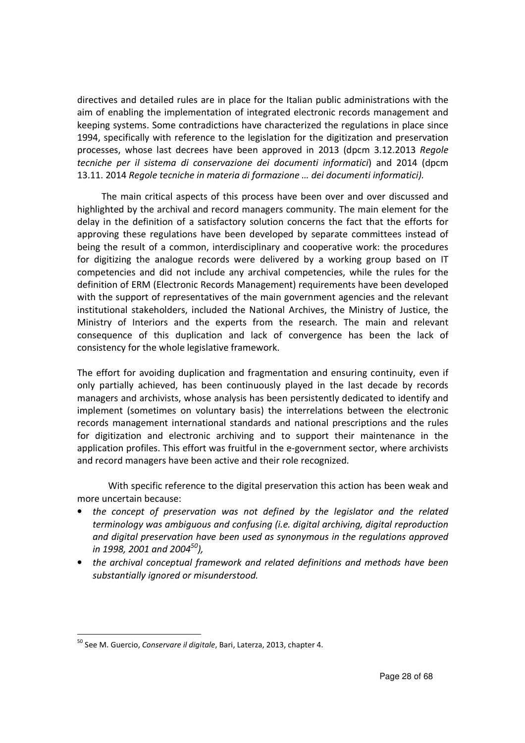directives and detailed rules are in place for the Italian public administrations with the aim of enabling the implementation of integrated electronic records management and keeping systems. Some contradictions have characterized the regulations in place since 1994, specifically with reference to the legislation for the digitization and preservation processes, whose last decrees have been approved in 2013 (dpcm 3.12.2013 *Regole tecniche per il sistema di conservazione dei documenti informatici*) and 2014 (dpcm 13.11. 2014 *Regole tecniche in materia di formazione … dei documenti informatici).*

The main critical aspects of this process have been over and over discussed and highlighted by the archival and record managers community. The main element for the delay in the definition of a satisfactory solution concerns the fact that the efforts for approving these regulations have been developed by separate committees instead of being the result of a common, interdisciplinary and cooperative work: the procedures for digitizing the analogue records were delivered by a working group based on IT competencies and did not include any archival competencies, while the rules for the definition of ERM (Electronic Records Management) requirements have been developed with the support of representatives of the main government agencies and the relevant institutional stakeholders, included the National Archives, the Ministry of Justice, the Ministry of Interiors and the experts from the research. The main and relevant consequence of this duplication and lack of convergence has been the lack of consistency for the whole legislative framework.

The effort for avoiding duplication and fragmentation and ensuring continuity, even if only partially achieved, has been continuously played in the last decade by records managers and archivists, whose analysis has been persistently dedicated to identify and implement (sometimes on voluntary basis) the interrelations between the electronic records management international standards and national prescriptions and the rules for digitization and electronic archiving and to support their maintenance in the application profiles. This effort was fruitful in the e-government sector, where archivists and record managers have been active and their role recognized.

With specific reference to the digital preservation this action has been weak and more uncertain because:

- *the concept of preservation was not defined by the legislator and the related terminology was ambiguous and confusing (i.e. digital archiving, digital reproduction and digital preservation have been used as synonymous in the regulations approved in 1998, 2001 and 2004<sup>50</sup>),*
- *the archival conceptual framework and related definitions and methods have been substantially ignored or misunderstood.*

<sup>50</sup> See M. Guercio, *Conservare il digitale*, Bari, Laterza, 2013, chapter 4.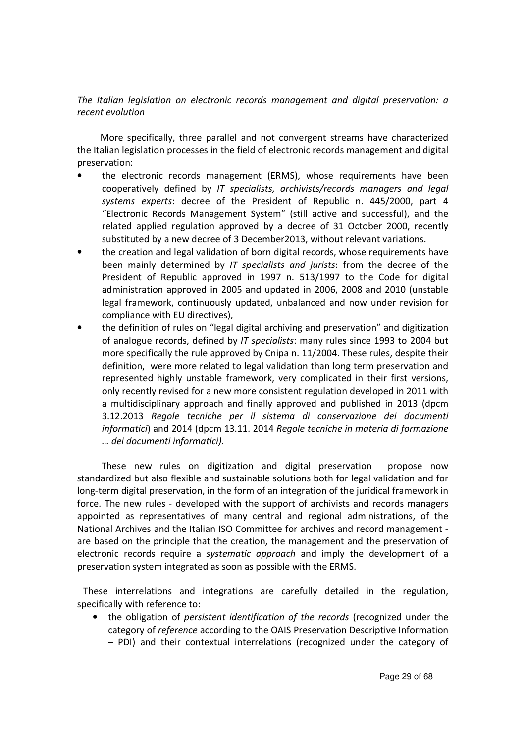*The Italian legislation on electronic records management and digital preservation: a recent evolution* 

More specifically, three parallel and not convergent streams have characterized the Italian legislation processes in the field of electronic records management and digital preservation:

- the electronic records management (ERMS), whose requirements have been cooperatively defined by *IT specialists, archivists/records managers and legal systems experts*: decree of the President of Republic n. 445/2000, part 4 "Electronic Records Management System" (still active and successful), and the related applied regulation approved by a decree of 31 October 2000, recently substituted by a new decree of 3 December2013, without relevant variations.
- the creation and legal validation of born digital records, whose requirements have been mainly determined by *IT specialists and jurists*: from the decree of the President of Republic approved in 1997 n. 513/1997 to the Code for digital administration approved in 2005 and updated in 2006, 2008 and 2010 (unstable legal framework, continuously updated, unbalanced and now under revision for compliance with EU directives),
- the definition of rules on "legal digital archiving and preservation" and digitization of analogue records, defined by *IT specialists*: many rules since 1993 to 2004 but more specifically the rule approved by Cnipa n. 11/2004. These rules, despite their definition, were more related to legal validation than long term preservation and represented highly unstable framework, very complicated in their first versions, only recently revised for a new more consistent regulation developed in 2011 with a multidisciplinary approach and finally approved and published in 2013 (dpcm 3.12.2013 *Regole tecniche per il sistema di conservazione dei documenti informatici*) and 2014 (dpcm 13.11. 2014 *Regole tecniche in materia di formazione … dei documenti informatici).*

These new rules on digitization and digital preservation propose now standardized but also flexible and sustainable solutions both for legal validation and for long-term digital preservation, in the form of an integration of the juridical framework in force. The new rules - developed with the support of archivists and records managers appointed as representatives of many central and regional administrations, of the National Archives and the Italian ISO Committee for archives and record management are based on the principle that the creation, the management and the preservation of electronic records require a *systematic approach* and imply the development of a preservation system integrated as soon as possible with the ERMS.

These interrelations and integrations are carefully detailed in the regulation, specifically with reference to:

• the obligation of *persistent identification of the records* (recognized under the category of *reference* according to the OAIS Preservation Descriptive Information – PDI) and their contextual interrelations (recognized under the category of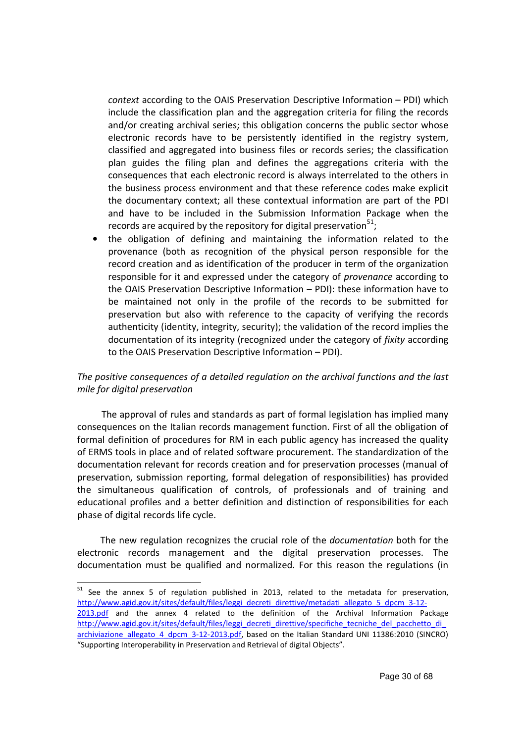*context* according to the OAIS Preservation Descriptive Information – PDI) which include the classification plan and the aggregation criteria for filing the records and/or creating archival series; this obligation concerns the public sector whose electronic records have to be persistently identified in the registry system, classified and aggregated into business files or records series; the classification plan guides the filing plan and defines the aggregations criteria with the consequences that each electronic record is always interrelated to the others in the business process environment and that these reference codes make explicit the documentary context; all these contextual information are part of the PDI and have to be included in the Submission Information Package when the records are acquired by the repository for digital preservation $^{51}$ ;

• the obligation of defining and maintaining the information related to the provenance (both as recognition of the physical person responsible for the record creation and as identification of the producer in term of the organization responsible for it and expressed under the category of *provenance* according to the OAIS Preservation Descriptive Information – PDI): these information have to be maintained not only in the profile of the records to be submitted for preservation but also with reference to the capacity of verifying the records authenticity (identity, integrity, security); the validation of the record implies the documentation of its integrity (recognized under the category of *fixity* according to the OAIS Preservation Descriptive Information – PDI).

#### *The positive consequences of a detailed regulation on the archival functions and the last mile for digital preservation*

The approval of rules and standards as part of formal legislation has implied many consequences on the Italian records management function. First of all the obligation of formal definition of procedures for RM in each public agency has increased the quality of ERMS tools in place and of related software procurement. The standardization of the documentation relevant for records creation and for preservation processes (manual of preservation, submission reporting, formal delegation of responsibilities) has provided the simultaneous qualification of controls, of professionals and of training and educational profiles and a better definition and distinction of responsibilities for each phase of digital records life cycle.

The new regulation recognizes the crucial role of the *documentation* both for the electronic records management and the digital preservation processes. The documentation must be qualified and normalized. For this reason the regulations (in

 $51$  See the annex 5 of regulation published in 2013, related to the metadata for preservation, http://www.agid.gov.it/sites/default/files/leggi\_decreti\_direttive/metadati\_allegato\_5\_dpcm\_3-12-2013.pdf and the annex 4 related to the definition of the Archival Information Package http://www.agid.gov.it/sites/default/files/leggi\_decreti\_direttive/specifiche\_tecniche\_del\_pacchetto\_di archiviazione allegato 4 dpcm 3-12-2013.pdf, based on the Italian Standard UNI 11386:2010 (SINCRO) "Supporting Interoperability in Preservation and Retrieval of digital Objects".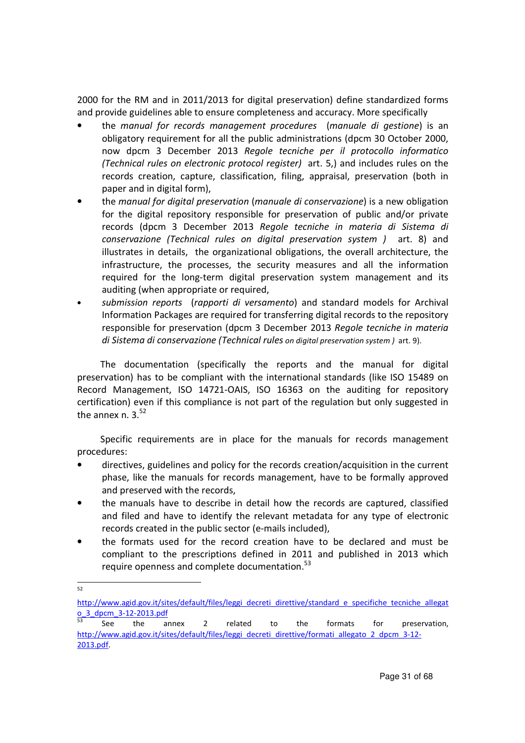2000 for the RM and in 2011/2013 for digital preservation) define standardized forms and provide guidelines able to ensure completeness and accuracy. More specifically

- the *manual for records management procedures* (*manuale di gestione*) is an obligatory requirement for all the public administrations (dpcm 30 October 2000, now dpcm 3 December 2013 *Regole tecniche per il protocollo informatico (Technical rules on electronic protocol register)* art. 5,) and includes rules on the records creation, capture, classification, filing, appraisal, preservation (both in paper and in digital form),
- the *manual for digital preservation* (*manuale di conservazione*) is a new obligation for the digital repository responsible for preservation of public and/or private records (dpcm 3 December 2013 *Regole tecniche in materia di Sistema di conservazione (Technical rules on digital preservation system )* art. 8) and illustrates in details, the organizational obligations, the overall architecture, the infrastructure, the processes, the security measures and all the information required for the long-term digital preservation system management and its auditing (when appropriate or required,
- *submission reports* (*rapporti di versamento*) and standard models for Archival Information Packages are required for transferring digital records to the repository responsible for preservation (dpcm 3 December 2013 *Regole tecniche in materia di Sistema di conservazione (Technical rules on digital preservation system )* art. 9).

The documentation (specifically the reports and the manual for digital preservation) has to be compliant with the international standards (like ISO 15489 on Record Management, ISO 14721-OAIS, ISO 16363 on the auditing for repository certification) even if this compliance is not part of the regulation but only suggested in the annex n. 3. $52$ 

Specific requirements are in place for the manuals for records management procedures:

- directives, guidelines and policy for the records creation/acquisition in the current phase, like the manuals for records management, have to be formally approved and preserved with the records,
- the manuals have to describe in detail how the records are captured, classified and filed and have to identify the relevant metadata for any type of electronic records created in the public sector (e-mails included),
- the formats used for the record creation have to be declared and must be compliant to the prescriptions defined in 2011 and published in 2013 which require openness and complete documentation.<sup>53</sup>

 $\overline{a}$ 52

http://www.agid.gov.it/sites/default/files/leggi\_decreti\_direttive/standard\_e\_specifiche\_tecniche\_allegat o\_3\_dpcm\_3-12-2013.pdf

 $53$  See the annex 2 related to the formats for preservation, http://www.agid.gov.it/sites/default/files/leggi\_decreti\_direttive/formati\_allegato\_2\_dpcm\_3-12-2013.pdf.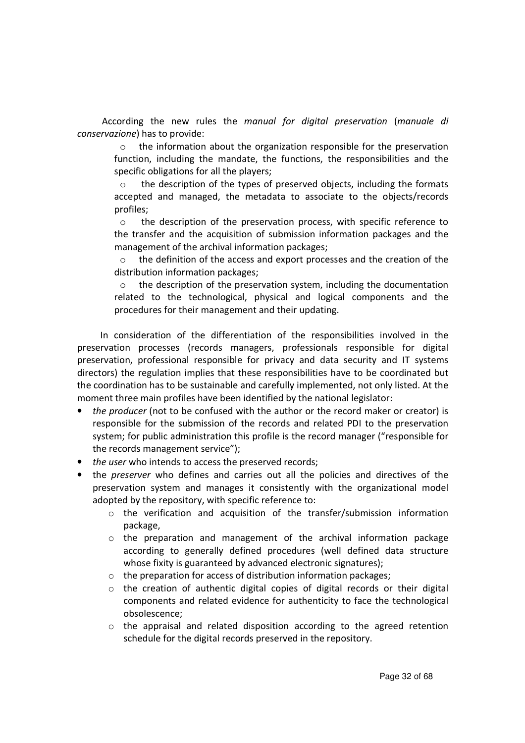According the new rules the *manual for digital preservation* (*manuale di conservazione*) has to provide:

o the information about the organization responsible for the preservation function, including the mandate, the functions, the responsibilities and the specific obligations for all the players;

o the description of the types of preserved objects, including the formats accepted and managed, the metadata to associate to the objects/records profiles;

o the description of the preservation process, with specific reference to the transfer and the acquisition of submission information packages and the management of the archival information packages;

 $\circ$  the definition of the access and export processes and the creation of the distribution information packages;

o the description of the preservation system, including the documentation related to the technological, physical and logical components and the procedures for their management and their updating.

In consideration of the differentiation of the responsibilities involved in the preservation processes (records managers, professionals responsible for digital preservation, professional responsible for privacy and data security and IT systems directors) the regulation implies that these responsibilities have to be coordinated but the coordination has to be sustainable and carefully implemented, not only listed. At the moment three main profiles have been identified by the national legislator:

- *the producer* (not to be confused with the author or the record maker or creator) is responsible for the submission of the records and related PDI to the preservation system; for public administration this profile is the record manager ("responsible for the records management service");
- *the user* who intends to access the preserved records;
- the *preserver* who defines and carries out all the policies and directives of the preservation system and manages it consistently with the organizational model adopted by the repository, with specific reference to:
	- o the verification and acquisition of the transfer/submission information package,
	- o the preparation and management of the archival information package according to generally defined procedures (well defined data structure whose fixity is guaranteed by advanced electronic signatures);
	- o the preparation for access of distribution information packages;
	- $\circ$  the creation of authentic digital copies of digital records or their digital components and related evidence for authenticity to face the technological obsolescence;
	- $\circ$  the appraisal and related disposition according to the agreed retention schedule for the digital records preserved in the repository.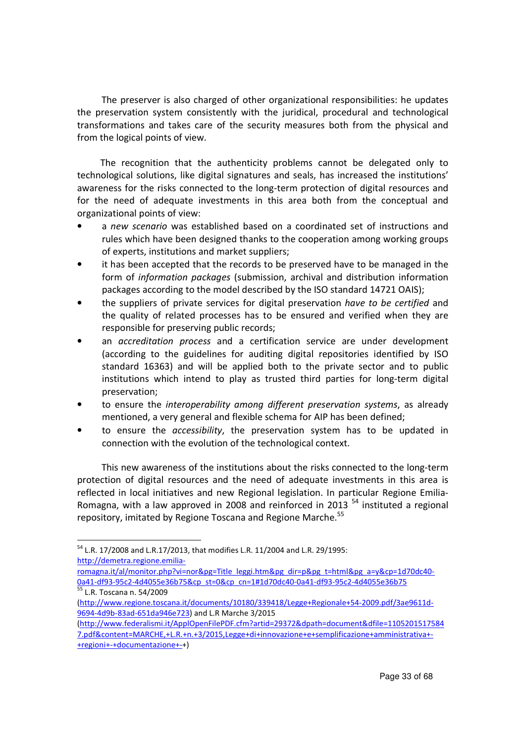The preserver is also charged of other organizational responsibilities: he updates the preservation system consistently with the juridical, procedural and technological transformations and takes care of the security measures both from the physical and from the logical points of view.

The recognition that the authenticity problems cannot be delegated only to technological solutions, like digital signatures and seals, has increased the institutions' awareness for the risks connected to the long-term protection of digital resources and for the need of adequate investments in this area both from the conceptual and organizational points of view:

- a *new scenario* was established based on a coordinated set of instructions and rules which have been designed thanks to the cooperation among working groups of experts, institutions and market suppliers;
- it has been accepted that the records to be preserved have to be managed in the form of *information packages* (submission, archival and distribution information packages according to the model described by the ISO standard 14721 OAIS);
- the suppliers of private services for digital preservation *have to be certified* and the quality of related processes has to be ensured and verified when they are responsible for preserving public records;
- an *accreditation process* and a certification service are under development (according to the guidelines for auditing digital repositories identified by ISO standard 16363) and will be applied both to the private sector and to public institutions which intend to play as trusted third parties for long-term digital preservation;
- to ensure the *interoperability among different preservation systems*, as already mentioned, a very general and flexible schema for AIP has been defined;
- to ensure the *accessibility*, the preservation system has to be updated in connection with the evolution of the technological context.

This new awareness of the institutions about the risks connected to the long-term protection of digital resources and the need of adequate investments in this area is reflected in local initiatives and new Regional legislation. In particular Regione Emilia-Romagna, with a law approved in 2008 and reinforced in 2013<sup>54</sup> instituted a regional repository, imitated by Regione Toscana and Regione Marche.<sup>55</sup>

 $\overline{a}$ 

romagna.it/al/monitor.php?vi=nor&pg=Title\_leggi.htm&pg\_dir=p&pg\_t=html&pg\_a=y&cp=1d70dc40- 0a41-df93-95c2-4d4055e36b75&cp\_st=0&cp\_cn=1#1d70dc40-0a41-df93-95c2-4d4055e36b75 55 L.R. Toscana n. 54/2009

<sup>54</sup> L.R. 17/2008 and L.R.17/2013, that modifies L.R. 11/2004 and L.R. 29/1995: http://demetra.regione.emilia-

<sup>(</sup>http://www.regione.toscana.it/documents/10180/339418/Legge+Regionale+54-2009.pdf/3ae9611d-9694-4d9b-83ad-651da946e723) and L.R Marche 3/2015

<sup>(</sup>http://www.federalismi.it/ApplOpenFilePDF.cfm?artid=29372&dpath=document&dfile=1105201517584 7.pdf&content=MARCHE,+L.R.+n.+3/2015,Legge+di+innovazione+e+semplificazione+amministrativa+- +regioni+-+documentazione+-+)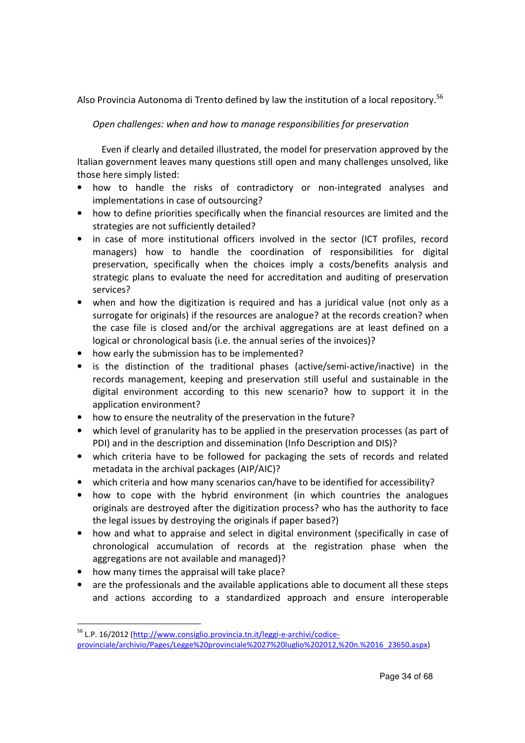Also Provincia Autonoma di Trento defined by law the institution of a local repository.<sup>56</sup>

*Open challenges: when and how to manage responsibilities for preservation* 

Even if clearly and detailed illustrated, the model for preservation approved by the Italian government leaves many questions still open and many challenges unsolved, like those here simply listed:

- how to handle the risks of contradictory or non-integrated analyses and implementations in case of outsourcing?
- how to define priorities specifically when the financial resources are limited and the strategies are not sufficiently detailed?
- in case of more institutional officers involved in the sector (ICT profiles, record managers) how to handle the coordination of responsibilities for digital preservation, specifically when the choices imply a costs/benefits analysis and strategic plans to evaluate the need for accreditation and auditing of preservation services?
- when and how the digitization is required and has a juridical value (not only as a surrogate for originals) if the resources are analogue? at the records creation? when the case file is closed and/or the archival aggregations are at least defined on a logical or chronological basis (i.e. the annual series of the invoices)?
- how early the submission has to be implemented?
- is the distinction of the traditional phases (active/semi-active/inactive) in the records management, keeping and preservation still useful and sustainable in the digital environment according to this new scenario? how to support it in the application environment?
- how to ensure the neutrality of the preservation in the future?
- which level of granularity has to be applied in the preservation processes (as part of PDI) and in the description and dissemination (Info Description and DIS)?
- which criteria have to be followed for packaging the sets of records and related metadata in the archival packages (AIP/AIC)?
- which criteria and how many scenarios can/have to be identified for accessibility?
- how to cope with the hybrid environment (in which countries the analogues originals are destroyed after the digitization process? who has the authority to face the legal issues by destroying the originals if paper based?)
- how and what to appraise and select in digital environment (specifically in case of chronological accumulation of records at the registration phase when the aggregations are not available and managed)?
- how many times the appraisal will take place?

 $\overline{a}$ 

• are the professionals and the available applications able to document all these steps and actions according to a standardized approach and ensure interoperable

<sup>&</sup>lt;sup>56</sup> L.P. 16/2012 (http://www.consiglio.provincia.tn.it/leggi-e-archivi/codiceprovinciale/archivio/Pages/Legge%20provinciale%2027%20luglio%202012,%20n.%2016\_23650.aspx)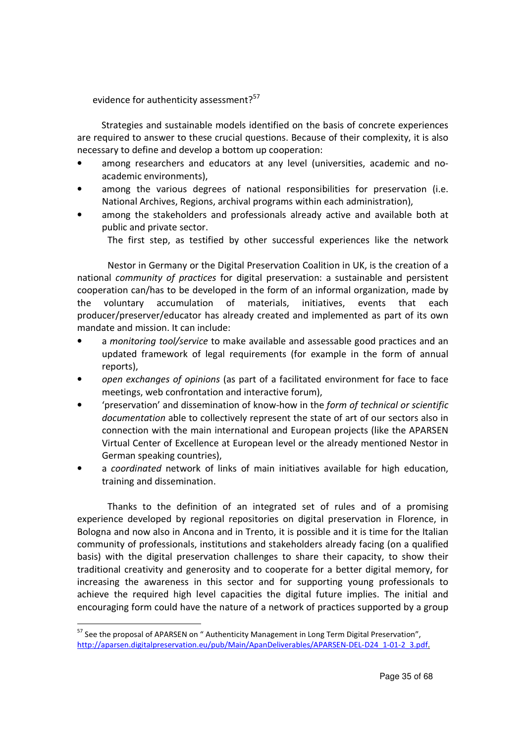evidence for authenticity assessment?<sup>57</sup>

Strategies and sustainable models identified on the basis of concrete experiences are required to answer to these crucial questions. Because of their complexity, it is also necessary to define and develop a bottom up cooperation:

- among researchers and educators at any level (universities, academic and noacademic environments),
- among the various degrees of national responsibilities for preservation (i.e. National Archives, Regions, archival programs within each administration),
- among the stakeholders and professionals already active and available both at public and private sector.

The first step, as testified by other successful experiences like the network

Nestor in Germany or the Digital Preservation Coalition in UK, is the creation of a national *community of practices* for digital preservation: a sustainable and persistent cooperation can/has to be developed in the form of an informal organization, made by the voluntary accumulation of materials, initiatives, events that each producer/preserver/educator has already created and implemented as part of its own mandate and mission. It can include:

- a *monitoring tool/service* to make available and assessable good practices and an updated framework of legal requirements (for example in the form of annual reports),
- *open exchanges of opinions* (as part of a facilitated environment for face to face meetings, web confrontation and interactive forum),
- 'preservation' and dissemination of know-how in the *form of technical or scientific documentation* able to collectively represent the state of art of our sectors also in connection with the main international and European projects (like the APARSEN Virtual Center of Excellence at European level or the already mentioned Nestor in German speaking countries),
- a *coordinated* network of links of main initiatives available for high education, training and dissemination.

Thanks to the definition of an integrated set of rules and of a promising experience developed by regional repositories on digital preservation in Florence, in Bologna and now also in Ancona and in Trento, it is possible and it is time for the Italian community of professionals, institutions and stakeholders already facing (on a qualified basis) with the digital preservation challenges to share their capacity, to show their traditional creativity and generosity and to cooperate for a better digital memory, for increasing the awareness in this sector and for supporting young professionals to achieve the required high level capacities the digital future implies. The initial and encouraging form could have the nature of a network of practices supported by a group

<sup>&</sup>lt;sup>57</sup> See the proposal of APARSEN on " Authenticity Management in Long Term Digital Preservation", http://aparsen.digitalpreservation.eu/pub/Main/ApanDeliverables/APARSEN-DEL-D24\_1-01-2\_3.pdf.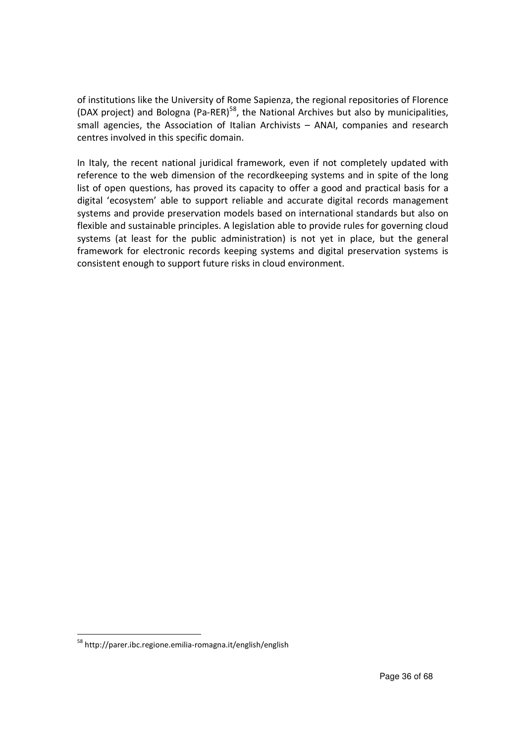of institutions like the University of Rome Sapienza, the regional repositories of Florence (DAX project) and Bologna (Pa-RER)<sup>58</sup>, the National Archives but also by municipalities, small agencies, the Association of Italian Archivists – ANAI, companies and research centres involved in this specific domain.

In Italy, the recent national juridical framework, even if not completely updated with reference to the web dimension of the recordkeeping systems and in spite of the long list of open questions, has proved its capacity to offer a good and practical basis for a digital 'ecosystem' able to support reliable and accurate digital records management systems and provide preservation models based on international standards but also on flexible and sustainable principles. A legislation able to provide rules for governing cloud systems (at least for the public administration) is not yet in place, but the general framework for electronic records keeping systems and digital preservation systems is consistent enough to support future risks in cloud environment.

<sup>58</sup> http://parer.ibc.regione.emilia-romagna.it/english/english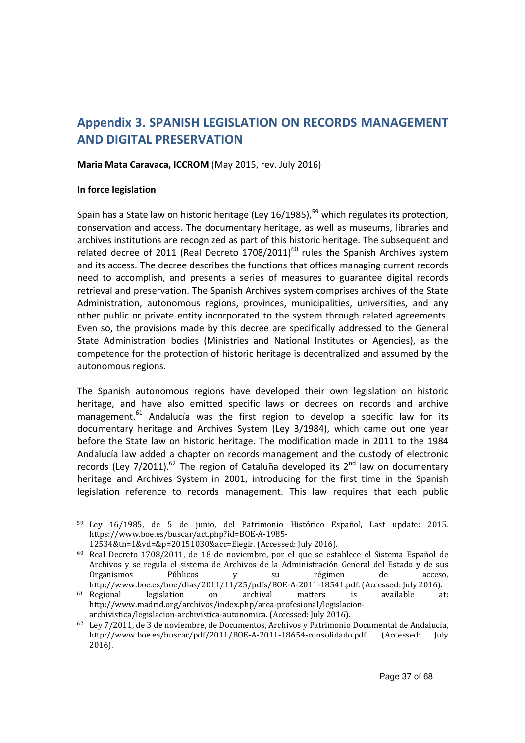# **Appendix 3. SPANISH LEGISLATION ON RECORDS MANAGEMENT AND DIGITAL PRESERVATION**

#### **Maria Mata Caravaca, ICCROM** (May 2015, rev. July 2016)

#### **In force legislation**

 $\overline{a}$ 

Spain has a State law on historic heritage (Ley 16/1985), $^{59}$  which regulates its protection, conservation and access. The documentary heritage, as well as museums, libraries and archives institutions are recognized as part of this historic heritage. The subsequent and related decree of 2011 (Real Decreto  $1708/2011$ )<sup>60</sup> rules the Spanish Archives system and its access. The decree describes the functions that offices managing current records need to accomplish, and presents a series of measures to guarantee digital records retrieval and preservation. The Spanish Archives system comprises archives of the State Administration, autonomous regions, provinces, municipalities, universities, and any other public or private entity incorporated to the system through related agreements. Even so, the provisions made by this decree are specifically addressed to the General State Administration bodies (Ministries and National Institutes or Agencies), as the competence for the protection of historic heritage is decentralized and assumed by the autonomous regions.

The Spanish autonomous regions have developed their own legislation on historic heritage, and have also emitted specific laws or decrees on records and archive management.<sup>61</sup> Andalucía was the first region to develop a specific law for its documentary heritage and Archives System (Ley 3/1984), which came out one year before the State law on historic heritage. The modification made in 2011 to the 1984 Andalucía law added a chapter on records management and the custody of electronic records (Ley 7/2011).<sup>62</sup> The region of Cataluña developed its  $2^{nd}$  law on documentary heritage and Archives System in 2001, introducing for the first time in the Spanish legislation reference to records management. This law requires that each public

<sup>59</sup> Ley 16/1985, de 5 de junio, del Patrimonio Histórico Español, Last update: 2015. https://www.boe.es/buscar/act.php?id=BOE-A-1985- 12534&tn=1&vd=&p=20151030&acc=Elegir. (Accessed: July 2016).

<sup>60</sup> Real Decreto 1708/2011, de 18 de noviembre, por el que se establece el Sistema Español de Archivos y se regula el sistema de Archivos de la Administración General del Estado y de sus Organismos Públicos y su régimen de acceso, http://www.boe.es/boe/dias/2011/11/25/pdfs/BOE-A-2011-18541.pdf. (Accessed: July 2016).

<sup>61</sup> Regional legislation on archival matters is available at: http://www.madrid.org/archivos/index.php/area-profesional/legislacionarchivistica/legislacion-archivistica-autonomica. (Accessed: July 2016).

<sup>62</sup> Ley 7/2011, de 3 de noviembre, de Documentos, Archivos y Patrimonio Documental de Andalucía, http://www.boe.es/buscar/pdf/2011/BOE-A-2011-18654-consolidado.pdf. (Accessed: July 2016).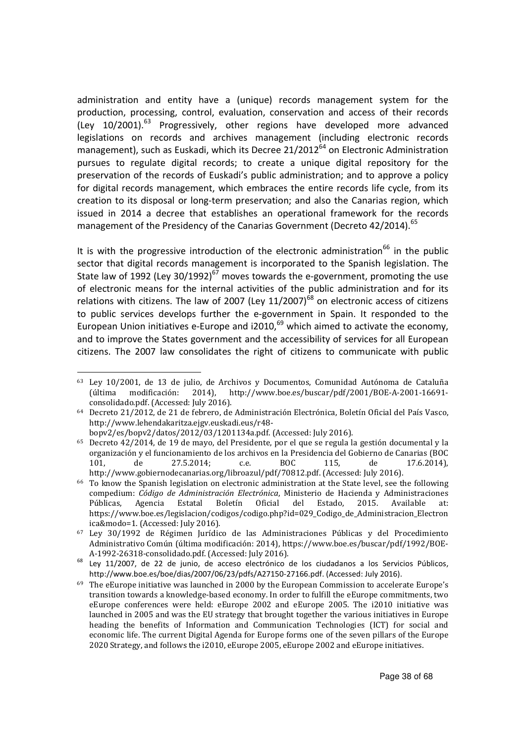administration and entity have a (unique) records management system for the production, processing, control, evaluation, conservation and access of their records (Ley  $10/2001$ ).<sup>63</sup> Progressively, other regions have developed more advanced legislations on records and archives management (including electronic records management), such as Euskadi, which its Decree  $21/2012^{64}$  on Electronic Administration pursues to regulate digital records; to create a unique digital repository for the preservation of the records of Euskadi's public administration; and to approve a policy for digital records management, which embraces the entire records life cycle, from its creation to its disposal or long-term preservation; and also the Canarias region, which issued in 2014 a decree that establishes an operational framework for the records management of the Presidency of the Canarias Government (Decreto 42/2014).<sup>65</sup>

It is with the progressive introduction of the electronic administration<sup>66</sup> in the public sector that digital records management is incorporated to the Spanish legislation. The State law of 1992 (Ley 30/1992)<sup>67</sup> moves towards the e-government, promoting the use of electronic means for the internal activities of the public administration and for its relations with citizens. The law of 2007 (Ley  $11/2007$ )<sup>68</sup> on electronic access of citizens to public services develops further the e-government in Spain. It responded to the European Union initiatives e-Europe and  $12010$ ,  $^{69}$  which aimed to activate the economy, and to improve the States government and the accessibility of services for all European citizens. The 2007 law consolidates the right of citizens to communicate with public

 $\overline{a}$ 

<sup>63</sup> Ley 10/2001, de 13 de julio, de Archivos y Documentos, Comunidad Autónoma de Cataluña (última modificación: 2014), http://www.boe.es/buscar/pdf/2001/BOE-A-2001-16691 consolidado.pdf. (Accessed: July 2016).

<sup>64</sup> Decreto 21/2012, de 21 de febrero, de Administración Electrónica, Boletín Oficial del País Vasco, http://www.lehendakaritza.ejgv.euskadi.eus/r48-

bopv2/es/bopv2/datos/2012/03/1201134a.pdf. (Accessed: July 2016). <sup>65</sup> Decreto 42/2014, de 19 de mayo, del Presidente, por el que se regula la gestión documental y la organización y el funcionamiento de los archivos en la Presidencia del Gobierno de Canarias (BOC 101, de 27.5.2014; c.e. BOC 115, de 17.6.2014), http://www.gobiernodecanarias.org/libroazul/pdf/70812.pdf. (Accessed: July 2016).

<sup>66</sup> To know the Spanish legislation on electronic administration at the State level, see the following compedium: *Código de Administración Electrónica*, Ministerio de Hacienda y Administraciones Públicas, Agencia Estatal Boletín Oficial del Estado, 2015. Available at: https://www.boe.es/legislacion/codigos/codigo.php?id=029\_Codigo\_de\_Administracion\_Electron ica&modo=1. (Accessed: July 2016).

<sup>67</sup> Ley 30/1992 de Régimen Jurídico de las Administraciones Públicas y del Procedimiento Administrativo Común (última modificación: 2014), https://www.boe.es/buscar/pdf/1992/BOE-A-1992-26318-consolidado.pdf. (Accessed: July 2016).

<sup>&</sup>lt;sup>68</sup> Ley 11/2007, de 22 de junio, de acceso electrónico de los ciudadanos a los Servicios Públicos, http://www.boe.es/boe/dias/2007/06/23/pdfs/A27150-27166.pdf. (Accessed: July 2016).

 $69$  The eEurope initiative was launched in 2000 by the European Commission to accelerate Europe's transition towards a knowledge-based economy. In order to fulfill the eEurope commitments, two eEurope conferences were held: eEurope 2002 and eEurope 2005. The i2010 initiative was launched in 2005 and was the EU strategy that brought together the various initiatives in Europe heading the benefits of Information and Communication Technologies (ICT) for social and economic life. The current Digital Agenda for Europe forms one of the seven pillars of the Europe 2020 Strategy, and follows the i2010, eEurope 2005, eEurope 2002 and eEurope initiatives.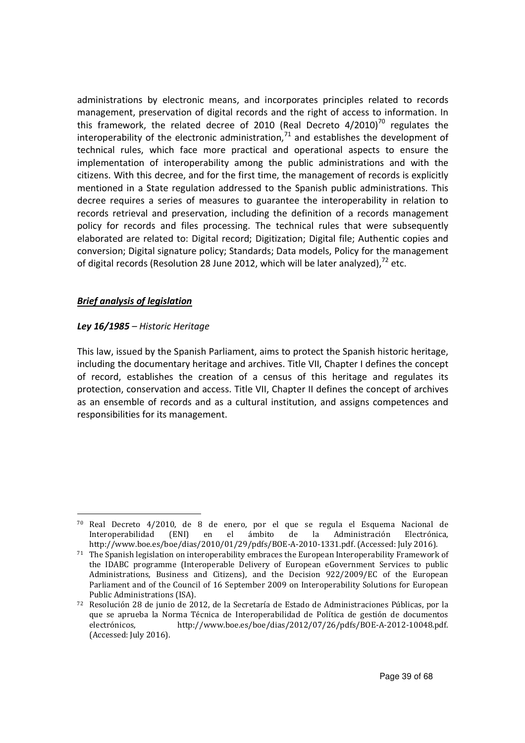administrations by electronic means, and incorporates principles related to records management, preservation of digital records and the right of access to information. In this framework, the related decree of 2010 (Real Decreto  $4/2010$ )<sup>70</sup> regulates the interoperability of the electronic administration, $71$  and establishes the development of technical rules, which face more practical and operational aspects to ensure the implementation of interoperability among the public administrations and with the citizens. With this decree, and for the first time, the management of records is explicitly mentioned in a State regulation addressed to the Spanish public administrations. This decree requires a series of measures to guarantee the interoperability in relation to records retrieval and preservation, including the definition of a records management policy for records and files processing. The technical rules that were subsequently elaborated are related to: Digital record; Digitization; Digital file; Authentic copies and conversion; Digital signature policy; Standards; Data models, Policy for the management of digital records (Resolution 28 June 2012, which will be later analyzed).<sup>72</sup> etc.

# *Brief analysis of legislation*

 $\overline{a}$ 

# *Ley 16/1985 – Historic Heritage*

This law, issued by the Spanish Parliament, aims to protect the Spanish historic heritage, including the documentary heritage and archives. Title VII, Chapter I defines the concept of record, establishes the creation of a census of this heritage and regulates its protection, conservation and access. Title VII, Chapter II defines the concept of archives as an ensemble of records and as a cultural institution, and assigns competences and responsibilities for its management.

<sup>70</sup> Real Decreto 4/2010, de 8 de enero, por el que se regula el Esquema Nacional de Interoperabilidad (ENI) en el ámbito de la Administración Electrónica, http://www.boe.es/boe/dias/2010/01/29/pdfs/BOE-A-2010-1331.pdf. (Accessed: July 2016).

 $71$  The Spanish legislation on interoperability embraces the European Interoperability Framework of the IDABC programme (Interoperable Delivery of European eGovernment Services to public Administrations, Business and Citizens), and the Decision 922/2009/EC of the European Parliament and of the Council of 16 September 2009 on Interoperability Solutions for European Public Administrations (ISA).

<sup>72</sup> Resolución 28 de junio de 2012, de la Secretaría de Estado de Administraciones Públicas, por la que se aprueba la Norma Técnica de Interoperabilidad de Política de gestión de documentos electrónicos, http://www.boe.es/boe/dias/2012/07/26/pdfs/BOE-A-2012-10048.pdf. (Accessed: July 2016).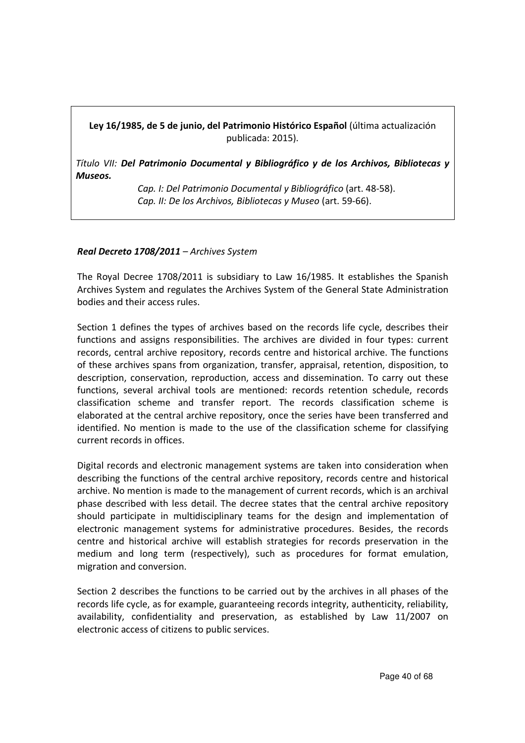**Ley 16/1985, de 5 de junio, del Patrimonio Histórico Español** (última actualización publicada: 2015).

*Título VII: Del Patrimonio Documental y Bibliográfico y de los Archivos, Bibliotecas y Museos.*

> *Cap. I: Del Patrimonio Documental y Bibliográfico* (art. 48-58). *Cap. II: De los Archivos, Bibliotecas y Museo* (art. 59-66).

# *Real Decreto 1708/2011 – Archives System*

The Royal Decree 1708/2011 is subsidiary to Law 16/1985. It establishes the Spanish Archives System and regulates the Archives System of the General State Administration bodies and their access rules.

Section 1 defines the types of archives based on the records life cycle, describes their functions and assigns responsibilities. The archives are divided in four types: current records, central archive repository, records centre and historical archive. The functions of these archives spans from organization, transfer, appraisal, retention, disposition, to description, conservation, reproduction, access and dissemination. To carry out these functions, several archival tools are mentioned: records retention schedule, records classification scheme and transfer report. The records classification scheme is elaborated at the central archive repository, once the series have been transferred and identified. No mention is made to the use of the classification scheme for classifying current records in offices.

Digital records and electronic management systems are taken into consideration when describing the functions of the central archive repository, records centre and historical archive. No mention is made to the management of current records, which is an archival phase described with less detail. The decree states that the central archive repository should participate in multidisciplinary teams for the design and implementation of electronic management systems for administrative procedures. Besides, the records centre and historical archive will establish strategies for records preservation in the medium and long term (respectively), such as procedures for format emulation, migration and conversion.

Section 2 describes the functions to be carried out by the archives in all phases of the records life cycle, as for example, guaranteeing records integrity, authenticity, reliability, availability, confidentiality and preservation, as established by Law 11/2007 on electronic access of citizens to public services.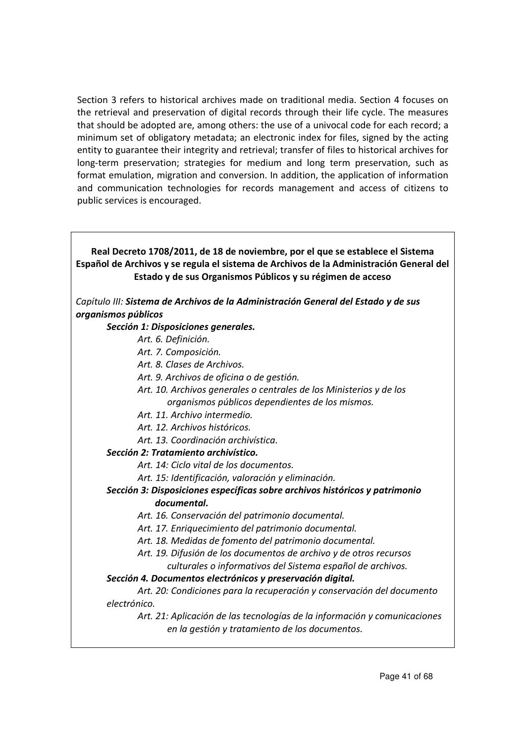Section 3 refers to historical archives made on traditional media. Section 4 focuses on the retrieval and preservation of digital records through their life cycle. The measures that should be adopted are, among others: the use of a univocal code for each record; a minimum set of obligatory metadata; an electronic index for files, signed by the acting entity to guarantee their integrity and retrieval; transfer of files to historical archives for long-term preservation; strategies for medium and long term preservation, such as format emulation, migration and conversion. In addition, the application of information and communication technologies for records management and access of citizens to public services is encouraged.

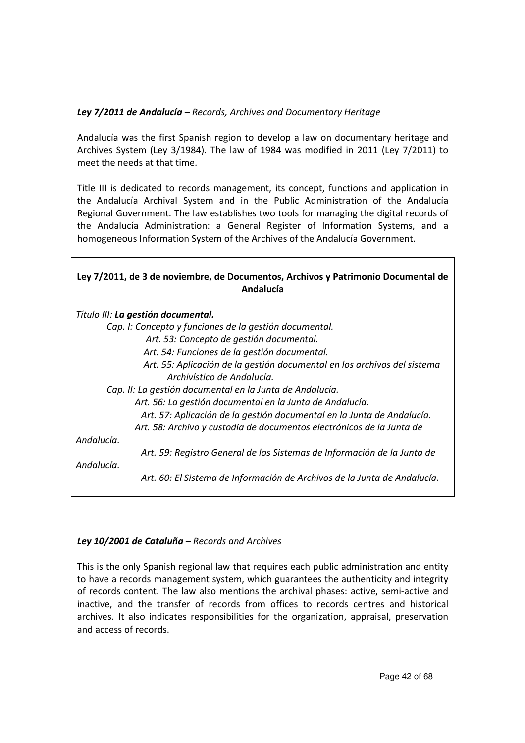# *Ley 7/2011 de Andalucía – Records, Archives and Documentary Heritage*

Andalucía was the first Spanish region to develop a law on documentary heritage and Archives System (Ley 3/1984). The law of 1984 was modified in 2011 (Ley 7/2011) to meet the needs at that time.

Title III is dedicated to records management, its concept, functions and application in the Andalucía Archival System and in the Public Administration of the Andalucía Regional Government. The law establishes two tools for managing the digital records of the Andalucía Administration: a General Register of Information Systems, and a homogeneous Information System of the Archives of the Andalucía Government.

| Ley 7/2011, de 3 de noviembre, de Documentos, Archivos y Patrimonio Documental de<br>Andalucía |
|------------------------------------------------------------------------------------------------|
| Título III: La gestión documental.                                                             |
| Cap. I: Concepto y funciones de la gestión documental.                                         |
| Art. 53: Concepto de gestión documental.                                                       |
| Art. 54: Funciones de la gestión documental.                                                   |
| Art. 55: Aplicación de la gestión documental en los archivos del sistema                       |
| Archivístico de Andalucía.                                                                     |
| Cap. II: La gestión documental en la Junta de Andalucía.                                       |
| Art. 56: La gestión documental en la Junta de Andalucía.                                       |
| Art. 57: Aplicación de la gestión documental en la Junta de Andalucía.                         |
| Art. 58: Archivo y custodia de documentos electrónicos de la Junta de                          |
| Andalucía.                                                                                     |
| Art. 59: Registro General de los Sistemas de Información de la Junta de                        |
| Andalucía.                                                                                     |
| Art. 60: El Sistema de Información de Archivos de la Junta de Andalucía.                       |

# *Ley 10/2001 de Cataluña – Records and Archives*

This is the only Spanish regional law that requires each public administration and entity to have a records management system, which guarantees the authenticity and integrity of records content. The law also mentions the archival phases: active, semi-active and inactive, and the transfer of records from offices to records centres and historical archives. It also indicates responsibilities for the organization, appraisal, preservation and access of records.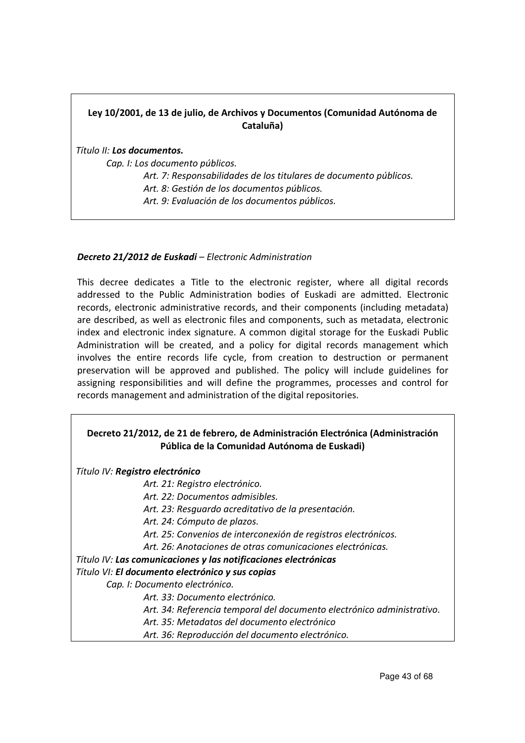# **Ley 10/2001, de 13 de julio, de Archivos y Documentos (Comunidad Autónoma de Cataluña)**

*Título II: Los documentos.*

 *Cap. I: Los documento públicos.* 

 *Art. 7: Responsabilidades de los titulares de documento públicos. Art. 8: Gestión de los documentos públicos. Art. 9: Evaluación de los documentos públicos.*

#### *Decreto 21/2012 de Euskadi – Electronic Administration*

This decree dedicates a Title to the electronic register, where all digital records addressed to the Public Administration bodies of Euskadi are admitted. Electronic records, electronic administrative records, and their components (including metadata) are described, as well as electronic files and components, such as metadata, electronic index and electronic index signature. A common digital storage for the Euskadi Public Administration will be created, and a policy for digital records management which involves the entire records life cycle, from creation to destruction or permanent preservation will be approved and published. The policy will include guidelines for assigning responsibilities and will define the programmes, processes and control for records management and administration of the digital repositories.

# **Decreto 21/2012, de 21 de febrero, de Administración Electrónica (Administración Pública de la Comunidad Autónoma de Euskadi)**

*Título IV: Registro electrónico*

 *Art. 21: Registro electrónico.* 

 *Art. 22: Documentos admisibles.* 

 *Art. 23: Resguardo acreditativo de la presentación.* 

 *Art. 24: Cómputo de plazos.* 

 *Art. 25: Convenios de interconexión de registros electrónicos.* 

 *Art. 26: Anotaciones de otras comunicaciones electrónicas.*

*Título IV: Las comunicaciones y las notificaciones electrónicas*

*Título VI: El documento electrónico y sus copias*

 *Cap. I: Documento electrónico.* 

 *Art. 33: Documento electrónico.* 

 *Art. 34: Referencia temporal del documento electrónico administrativo.* 

 *Art. 35: Metadatos del documento electrónico* 

 *Art. 36: Reproducción del documento electrónico.*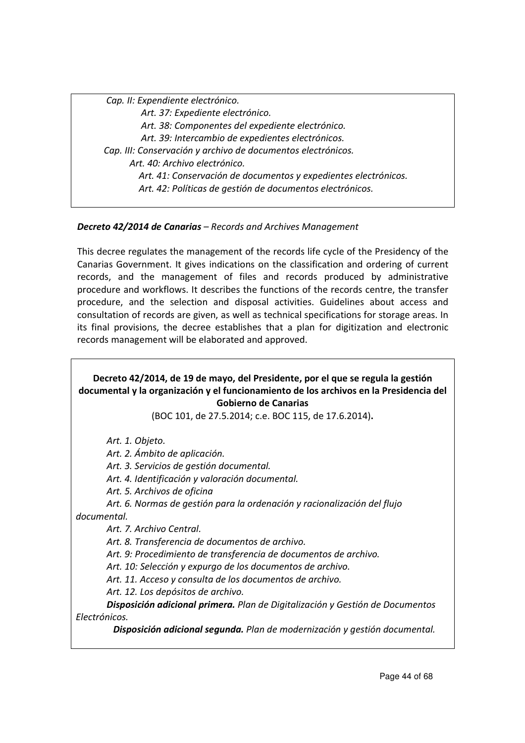*Cap. II: Expendiente electrónico. Art. 37: Expediente electrónico. Art. 38: Componentes del expediente electrónico. Art. 39: Intercambio de expedientes electrónicos. Cap. III: Conservación y archivo de documentos electrónicos. Art. 40: Archivo electrónico. Art. 41: Conservación de documentos y expedientes electrónicos. Art. 42: Políticas de gestión de documentos electrónicos.*

# *Decreto 42/2014 de Canarias – Records and Archives Management*

This decree regulates the management of the records life cycle of the Presidency of the Canarias Government. It gives indications on the classification and ordering of current records, and the management of files and records produced by administrative procedure and workflows. It describes the functions of the records centre, the transfer procedure, and the selection and disposal activities. Guidelines about access and consultation of records are given, as well as technical specifications for storage areas. In its final provisions, the decree establishes that a plan for digitization and electronic records management will be elaborated and approved.

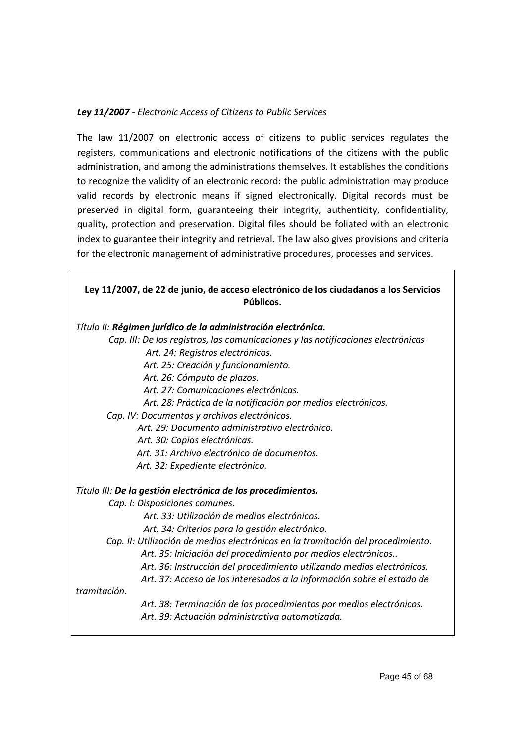# *Ley 11/2007 - Electronic Access of Citizens to Public Services*

The law 11/2007 on electronic access of citizens to public services regulates the registers, communications and electronic notifications of the citizens with the public administration, and among the administrations themselves. It establishes the conditions to recognize the validity of an electronic record: the public administration may produce valid records by electronic means if signed electronically. Digital records must be preserved in digital form, guaranteeing their integrity, authenticity, confidentiality, quality, protection and preservation. Digital files should be foliated with an electronic index to guarantee their integrity and retrieval. The law also gives provisions and criteria for the electronic management of administrative procedures, processes and services.

| Ley 11/2007, de 22 de junio, de acceso electrónico de los ciudadanos a los Servicios<br>Públicos. |
|---------------------------------------------------------------------------------------------------|
| Título II: Régimen jurídico de la administración electrónica.                                     |
| Cap. III: De los registros, las comunicaciones y las notificaciones electrónicas                  |
| Art. 24: Registros electrónicos.                                                                  |
| Art. 25: Creación y funcionamiento.                                                               |
| Art. 26: Cómputo de plazos.                                                                       |
| Art. 27: Comunicaciones electrónicas.                                                             |
| Art. 28: Práctica de la notificación por medios electrónicos.                                     |
| Cap. IV: Documentos y archivos electrónicos.                                                      |
| Art. 29: Documento administrativo electrónico.                                                    |
| Art. 30: Copias electrónicas.                                                                     |
| Art. 31: Archivo electrónico de documentos.                                                       |
| Art. 32: Expediente electrónico.                                                                  |
| Título III: De la gestión electrónica de los procedimientos.                                      |
| Cap. I: Disposiciones comunes.                                                                    |
| Art. 33: Utilización de medios electrónicos.                                                      |
| Art. 34: Criterios para la gestión electrónica.                                                   |
| Cap. II: Utilización de medios electrónicos en la tramitación del procedimiento.                  |
| Art. 35: Iniciación del procedimiento por medios electrónicos                                     |
| Art. 36: Instrucción del procedimiento utilizando medios electrónicos.                            |
| Art. 37: Acceso de los interesados a la información sobre el estado de                            |
| tramitación.                                                                                      |
| Art. 38: Terminación de los procedimientos por medios electrónicos.                               |
| Art. 39: Actuación administrativa automatizada.                                                   |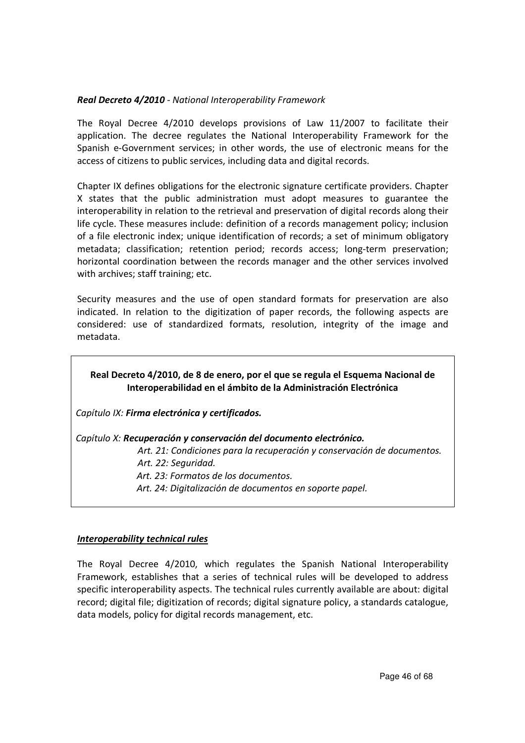# *Real Decreto 4/2010 - National Interoperability Framework*

The Royal Decree 4/2010 develops provisions of Law 11/2007 to facilitate their application. The decree regulates the National Interoperability Framework for the Spanish e-Government services; in other words, the use of electronic means for the access of citizens to public services, including data and digital records.

Chapter IX defines obligations for the electronic signature certificate providers. Chapter X states that the public administration must adopt measures to guarantee the interoperability in relation to the retrieval and preservation of digital records along their life cycle. These measures include: definition of a records management policy; inclusion of a file electronic index; unique identification of records; a set of minimum obligatory metadata; classification; retention period; records access; long-term preservation; horizontal coordination between the records manager and the other services involved with archives; staff training; etc.

Security measures and the use of open standard formats for preservation are also indicated. In relation to the digitization of paper records, the following aspects are considered: use of standardized formats, resolution, integrity of the image and metadata.

# **Real Decreto 4/2010, de 8 de enero, por el que se regula el Esquema Nacional de Interoperabilidad en el ámbito de la Administración Electrónica**

*Capítulo IX: Firma electrónica y certificados.* 

*Capítulo X: Recuperación y conservación del documento electrónico.*

 *Art. 21: Condiciones para la recuperación y conservación de documentos.* 

 *Art. 22: Seguridad.* 

*Art. 23: Formatos de los documentos.* 

*Art. 24: Digitalización de documentos en soporte papel.*

# *Interoperability technical rules*

The Royal Decree 4/2010, which regulates the Spanish National Interoperability Framework, establishes that a series of technical rules will be developed to address specific interoperability aspects. The technical rules currently available are about: digital record; digital file; digitization of records; digital signature policy, a standards catalogue, data models, policy for digital records management, etc.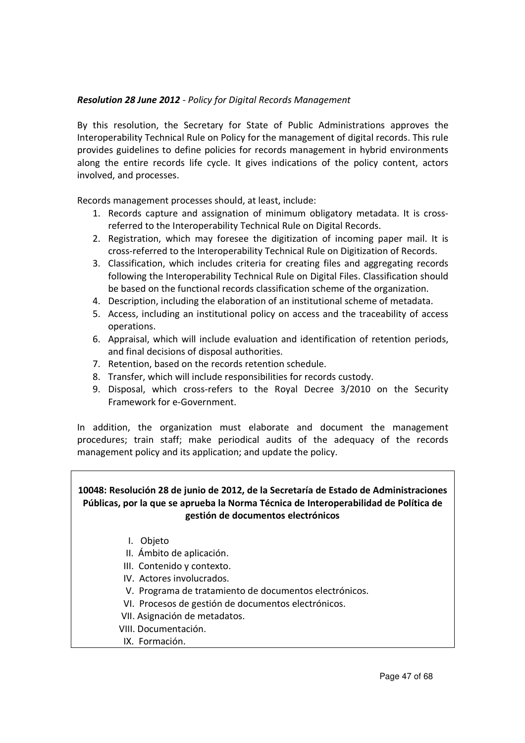# *Resolution 28 June 2012 - Policy for Digital Records Management*

By this resolution, the Secretary for State of Public Administrations approves the Interoperability Technical Rule on Policy for the management of digital records. This rule provides guidelines to define policies for records management in hybrid environments along the entire records life cycle. It gives indications of the policy content, actors involved, and processes.

Records management processes should, at least, include:

- 1. Records capture and assignation of minimum obligatory metadata. It is crossreferred to the Interoperability Technical Rule on Digital Records.
- 2. Registration, which may foresee the digitization of incoming paper mail. It is cross-referred to the Interoperability Technical Rule on Digitization of Records.
- 3. Classification, which includes criteria for creating files and aggregating records following the Interoperability Technical Rule on Digital Files. Classification should be based on the functional records classification scheme of the organization.
- 4. Description, including the elaboration of an institutional scheme of metadata.
- 5. Access, including an institutional policy on access and the traceability of access operations.
- 6. Appraisal, which will include evaluation and identification of retention periods, and final decisions of disposal authorities.
- 7. Retention, based on the records retention schedule.
- 8. Transfer, which will include responsibilities for records custody.
- 9. Disposal, which cross-refers to the Royal Decree 3/2010 on the Security Framework for e-Government.

In addition, the organization must elaborate and document the management procedures; train staff; make periodical audits of the adequacy of the records management policy and its application; and update the policy.

**10048: Resolución 28 de junio de 2012, de la Secretaría de Estado de Administraciones Públicas, por la que se aprueba la Norma Técnica de Interoperabilidad de Política de gestión de documentos electrónicos**

- I. Objeto
- II. Ámbito de aplicación.
- III. Contenido y contexto.
- IV. Actores involucrados.
- V. Programa de tratamiento de documentos electrónicos.
- VI. Procesos de gestión de documentos electrónicos.
- VII. Asignación de metadatos.
- VIII. Documentación.
- IX. Formación.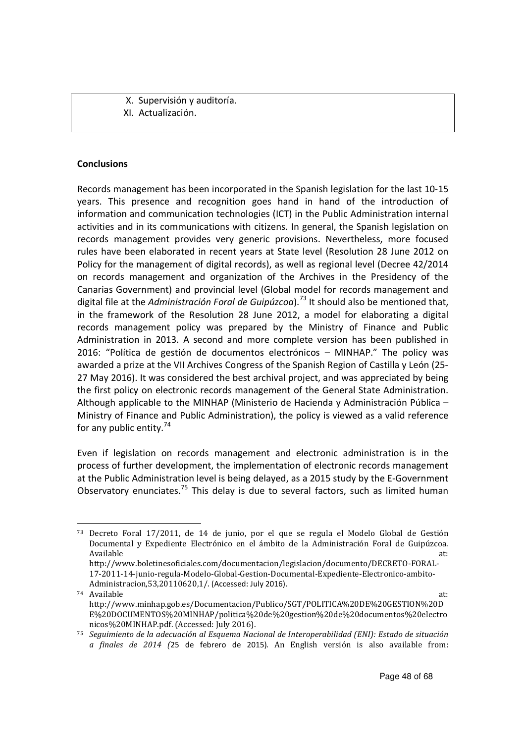X. Supervisión y auditoría. XI. Actualización.

#### **Conclusions**

 $\overline{a}$ 

Records management has been incorporated in the Spanish legislation for the last 10-15 years. This presence and recognition goes hand in hand of the introduction of information and communication technologies (ICT) in the Public Administration internal activities and in its communications with citizens. In general, the Spanish legislation on records management provides very generic provisions. Nevertheless, more focused rules have been elaborated in recent years at State level (Resolution 28 June 2012 on Policy for the management of digital records), as well as regional level (Decree 42/2014 on records management and organization of the Archives in the Presidency of the Canarias Government) and provincial level (Global model for records management and digital file at the *Administración Foral de Guipúzcoa*).<sup>73</sup> It should also be mentioned that, in the framework of the Resolution 28 June 2012, a model for elaborating a digital records management policy was prepared by the Ministry of Finance and Public Administration in 2013. A second and more complete version has been published in 2016: "Política de gestión de documentos electrónicos – MINHAP." The policy was awarded a prize at the VII Archives Congress of the Spanish Region of Castilla y León (25- 27 May 2016). It was considered the best archival project, and was appreciated by being the first policy on electronic records management of the General State Administration. Although applicable to the MINHAP (Ministerio de Hacienda y Administración Pública – Ministry of Finance and Public Administration), the policy is viewed as a valid reference for any public entity.<sup>74</sup>

Even if legislation on records management and electronic administration is in the process of further development, the implementation of electronic records management at the Public Administration level is being delayed, as a 2015 study by the E-Government Observatory enunciates.<sup>75</sup> This delay is due to several factors, such as limited human

<sup>73</sup> Decreto Foral 17/2011, de 14 de junio, por el que se regula el Modelo Global de Gestión Documental y Expediente Electrónico en el ámbito de la Administración Foral de Guipúzcoa. Available at: the contract of the contract of the contract of the contract of the contract of the contract of the contract of the contract of the contract of the contract of the contract of the contract of the contract of

http://www.boletinesoficiales.com/documentacion/legislacion/documento/DECRETO-FORAL-17-2011-14-junio-regula-Modelo-Global-Gestion-Documental-Expediente-Electronico-ambito-Administracion,53,20110620,1/. (Accessed: July 2016).

<sup>74</sup> Available at: http://www.minhap.gob.es/Documentacion/Publico/SGT/POLITICA%20DE%20GESTION%20D E%20DOCUMENTOS%20MINHAP/politica%20de%20gestion%20de%20documentos%20electro nicos%20MINHAP.pdf. (Accessed: July 2016).

<sup>75</sup> *Seguimiento de la adecuación al Esquema Nacional de Interoperabilidad (ENI): Estado de situación a finales de 2014 (*25 de febrero de 2015). An English versión is also available from: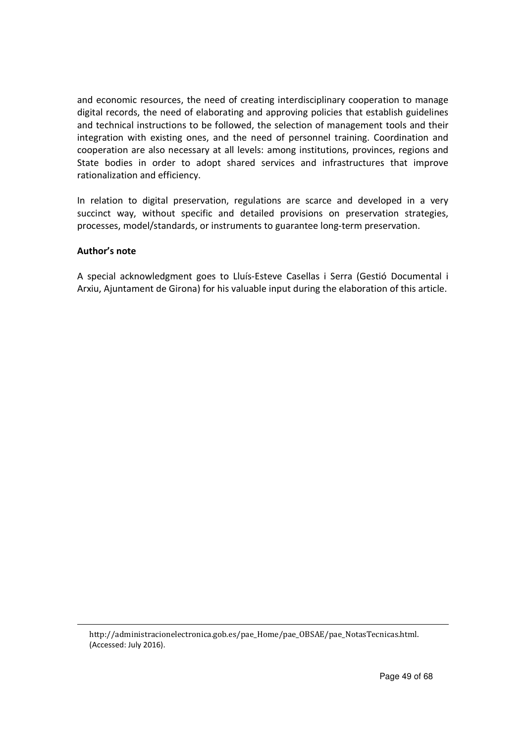and economic resources, the need of creating interdisciplinary cooperation to manage digital records, the need of elaborating and approving policies that establish guidelines and technical instructions to be followed, the selection of management tools and their integration with existing ones, and the need of personnel training. Coordination and cooperation are also necessary at all levels: among institutions, provinces, regions and State bodies in order to adopt shared services and infrastructures that improve rationalization and efficiency.

In relation to digital preservation, regulations are scarce and developed in a very succinct way, without specific and detailed provisions on preservation strategies, processes, model/standards, or instruments to guarantee long-term preservation.

# **Author's note**

 $\overline{a}$ 

A special acknowledgment goes to Lluís-Esteve Casellas i Serra (Gestió Documental i Arxiu, Ajuntament de Girona) for his valuable input during the elaboration of this article.

http://administracionelectronica.gob.es/pae\_Home/pae\_OBSAE/pae\_NotasTecnicas.html. (Accessed: July 2016).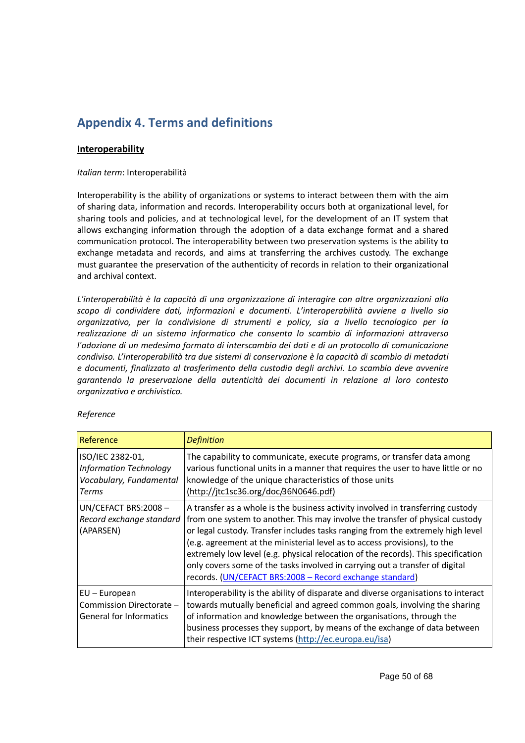# **Appendix 4. Terms and definitions**

# **Interoperability**

#### *Italian term*: Interoperabilità

Interoperability is the ability of organizations or systems to interact between them with the aim of sharing data, information and records. Interoperability occurs both at organizational level, for sharing tools and policies, and at technological level, for the development of an IT system that allows exchanging information through the adoption of a data exchange format and a shared communication protocol. The interoperability between two preservation systems is the ability to exchange metadata and records, and aims at transferring the archives custody. The exchange must guarantee the preservation of the authenticity of records in relation to their organizational and archival context.

*L'interoperabilità è la capacità di una organizzazione di interagire con altre organizzazioni allo scopo di condividere dati, informazioni e documenti. L'interoperabilità avviene a livello sia organizzativo, per la condivisione di strumenti e policy, sia a livello tecnologico per la realizzazione di un sistema informatico che consenta lo scambio di informazioni attraverso l'adozione di un medesimo formato di interscambio dei dati e di un protocollo di comunicazione condiviso. L'interoperabilità tra due sistemi di conservazione è la capacità di scambio di metadati e documenti, finalizzato al trasferimento della custodia degli archivi. Lo scambio deve avvenire garantendo la preservazione della autenticità dei documenti in relazione al loro contesto organizzativo e archivistico.*

| Reference                                                                                    | <b>Definition</b>                                                                                                                                                                                                                                                                                                                                                                                                                                                                                                                                                 |
|----------------------------------------------------------------------------------------------|-------------------------------------------------------------------------------------------------------------------------------------------------------------------------------------------------------------------------------------------------------------------------------------------------------------------------------------------------------------------------------------------------------------------------------------------------------------------------------------------------------------------------------------------------------------------|
| ISO/IEC 2382-01,<br><b>Information Technology</b><br>Vocabulary, Fundamental<br><b>Terms</b> | The capability to communicate, execute programs, or transfer data among<br>various functional units in a manner that requires the user to have little or no<br>knowledge of the unique characteristics of those units<br>(http://jtc1sc36.org/doc/36N0646.pdf)                                                                                                                                                                                                                                                                                                    |
| UN/CEFACT BRS:2008-<br>Record exchange standard<br>(APARSEN)                                 | A transfer as a whole is the business activity involved in transferring custody<br>from one system to another. This may involve the transfer of physical custody<br>or legal custody. Transfer includes tasks ranging from the extremely high level<br>(e.g. agreement at the ministerial level as to access provisions), to the<br>extremely low level (e.g. physical relocation of the records). This specification<br>only covers some of the tasks involved in carrying out a transfer of digital<br>records. (UN/CEFACT BRS:2008 - Record exchange standard) |
| $EU$ – European<br>Commission Directorate -<br><b>General for Informatics</b>                | Interoperability is the ability of disparate and diverse organisations to interact<br>towards mutually beneficial and agreed common goals, involving the sharing<br>of information and knowledge between the organisations, through the<br>business processes they support, by means of the exchange of data between<br>their respective ICT systems (http://ec.europa.eu/isa)                                                                                                                                                                                    |

#### *Reference*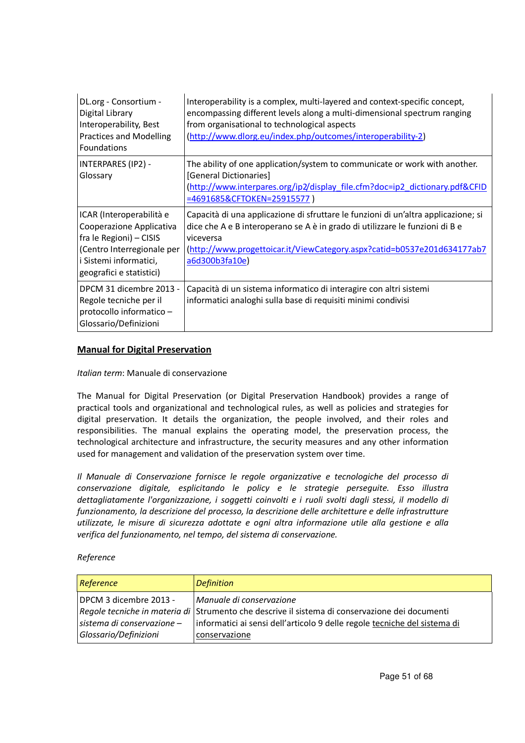| DL.org - Consortium -<br>Digital Library<br>Interoperability, Best<br><b>Practices and Modelling</b><br>Foundations                                                 | Interoperability is a complex, multi-layered and context-specific concept,<br>encompassing different levels along a multi-dimensional spectrum ranging<br>from organisational to technological aspects<br>(http://www.dlorg.eu/index.php/outcomes/interoperability-2)        |
|---------------------------------------------------------------------------------------------------------------------------------------------------------------------|------------------------------------------------------------------------------------------------------------------------------------------------------------------------------------------------------------------------------------------------------------------------------|
| INTERPARES (IP2) -<br>Glossary                                                                                                                                      | The ability of one application/system to communicate or work with another.<br>[General Dictionaries]<br>(http://www.interpares.org/ip2/display_file.cfm?doc=ip2_dictionary.pdf&CFID<br>=4691685&CFTOKEN=25915577)                                                            |
| ICAR (Interoperabilità e<br>Cooperazione Applicativa<br>fra le Regioni) - CISIS<br>(Centro Interregionale per<br>i Sistemi informatici,<br>geografici e statistici) | Capacità di una applicazione di sfruttare le funzioni di un'altra applicazione; si<br>dice che A e B interoperano se A è in grado di utilizzare le funzioni di B e<br>viceversa<br>(http://www.progettoicar.it/ViewCategory.aspx?catid=b0537e201d634177ab7<br>a6d300b3fa10e) |
| DPCM 31 dicembre 2013 -<br>Regole tecniche per il<br>protocollo informatico -<br>Glossario/Definizioni                                                              | Capacità di un sistema informatico di interagire con altri sistemi<br>informatici analoghi sulla base di requisiti minimi condivisi                                                                                                                                          |

# **Manual for Digital Preservation**

#### *Italian term*: Manuale di conservazione

The Manual for Digital Preservation (or Digital Preservation Handbook) provides a range of practical tools and organizational and technological rules, as well as policies and strategies for digital preservation. It details the organization, the people involved, and their roles and responsibilities. The manual explains the operating model, the preservation process, the technological architecture and infrastructure, the security measures and any other information used for management and validation of the preservation system over time.

*Il Manuale di Conservazione fornisce le regole organizzative e tecnologiche del processo di conservazione digitale, esplicitando le policy e le strategie perseguite. Esso illustra dettagliatamente l'organizzazione, i soggetti coinvolti e i ruoli svolti dagli stessi, il modello di funzionamento, la descrizione del processo, la descrizione delle architetture e delle infrastrutture utilizzate, le misure di sicurezza adottate e ogni altra informazione utile alla gestione e alla verifica del funzionamento, nel tempo, del sistema di conservazione.*

*Reference* 

| Reference                    | <b>Definition</b>                                                                              |
|------------------------------|------------------------------------------------------------------------------------------------|
| DPCM 3 dicembre 2013 -       | Manuale di conservazione                                                                       |
|                              | Regole tecniche in materia di Strumento che descrive il sistema di conservazione dei documenti |
| sistema di conservazione $-$ | informatici ai sensi dell'articolo 9 delle regole tecniche del sistema di                      |
| Glossario/Definizioni        | conservazione                                                                                  |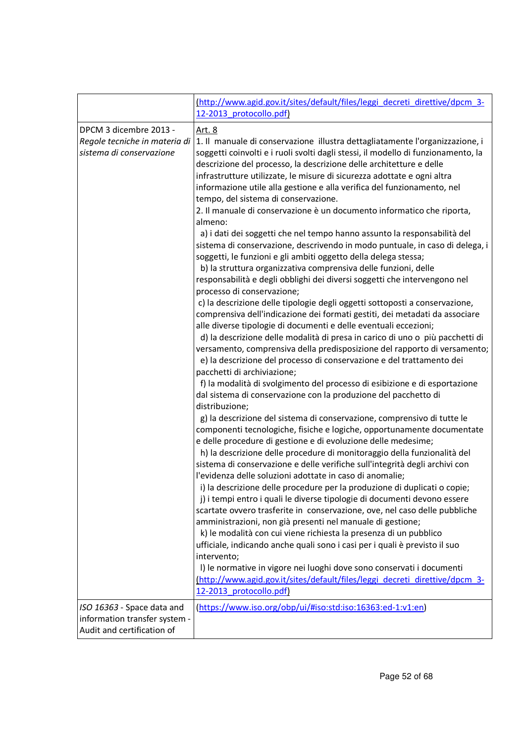|                                                                                           | (http://www.agid.gov.it/sites/default/files/leggi_decreti_direttive/dpcm_3-<br>12-2013_protocollo.pdf)                                                                                                                                                                                                                                                                                                                                                                                                                                                                                                                                                                                                                                                                                                                                                                                                                                                                                                                                                                                                                                                                                                                                                                                                                                                                                                                                                                                                                                                                                                                                                                                                                                                                                                                                                                                                                                                                                                                                                                                                                                                                                                                                                                                                                                                                                                                                                                                                                                                                                                                                                                                                                               |
|-------------------------------------------------------------------------------------------|--------------------------------------------------------------------------------------------------------------------------------------------------------------------------------------------------------------------------------------------------------------------------------------------------------------------------------------------------------------------------------------------------------------------------------------------------------------------------------------------------------------------------------------------------------------------------------------------------------------------------------------------------------------------------------------------------------------------------------------------------------------------------------------------------------------------------------------------------------------------------------------------------------------------------------------------------------------------------------------------------------------------------------------------------------------------------------------------------------------------------------------------------------------------------------------------------------------------------------------------------------------------------------------------------------------------------------------------------------------------------------------------------------------------------------------------------------------------------------------------------------------------------------------------------------------------------------------------------------------------------------------------------------------------------------------------------------------------------------------------------------------------------------------------------------------------------------------------------------------------------------------------------------------------------------------------------------------------------------------------------------------------------------------------------------------------------------------------------------------------------------------------------------------------------------------------------------------------------------------------------------------------------------------------------------------------------------------------------------------------------------------------------------------------------------------------------------------------------------------------------------------------------------------------------------------------------------------------------------------------------------------------------------------------------------------------------------------------------------------|
| DPCM 3 dicembre 2013 -<br>Regole tecniche in materia di<br>sistema di conservazione       | Art. 8<br>1. Il manuale di conservazione illustra dettagliatamente l'organizzazione, i<br>soggetti coinvolti e i ruoli svolti dagli stessi, il modello di funzionamento, la<br>descrizione del processo, la descrizione delle architetture e delle<br>infrastrutture utilizzate, le misure di sicurezza adottate e ogni altra<br>informazione utile alla gestione e alla verifica del funzionamento, nel<br>tempo, del sistema di conservazione.<br>2. Il manuale di conservazione è un documento informatico che riporta,<br>almeno:<br>a) i dati dei soggetti che nel tempo hanno assunto la responsabilità del<br>sistema di conservazione, descrivendo in modo puntuale, in caso di delega, i<br>soggetti, le funzioni e gli ambiti oggetto della delega stessa;<br>b) la struttura organizzativa comprensiva delle funzioni, delle<br>responsabilità e degli obblighi dei diversi soggetti che intervengono nel<br>processo di conservazione;<br>c) la descrizione delle tipologie degli oggetti sottoposti a conservazione,<br>comprensiva dell'indicazione dei formati gestiti, dei metadati da associare<br>alle diverse tipologie di documenti e delle eventuali eccezioni;<br>d) la descrizione delle modalità di presa in carico di uno o più pacchetti di<br>versamento, comprensiva della predisposizione del rapporto di versamento;<br>e) la descrizione del processo di conservazione e del trattamento dei<br>pacchetti di archiviazione;<br>f) la modalità di svolgimento del processo di esibizione e di esportazione<br>dal sistema di conservazione con la produzione del pacchetto di<br>distribuzione;<br>g) la descrizione del sistema di conservazione, comprensivo di tutte le<br>componenti tecnologiche, fisiche e logiche, opportunamente documentate<br>e delle procedure di gestione e di evoluzione delle medesime;<br>h) la descrizione delle procedure di monitoraggio della funzionalità del<br>sistema di conservazione e delle verifiche sull'integrità degli archivi con<br>l'evidenza delle soluzioni adottate in caso di anomalie;<br>i) la descrizione delle procedure per la produzione di duplicati o copie;<br>j) i tempi entro i quali le diverse tipologie di documenti devono essere<br>scartate ovvero trasferite in conservazione, ove, nel caso delle pubbliche<br>amministrazioni, non già presenti nel manuale di gestione;<br>k) le modalità con cui viene richiesta la presenza di un pubblico<br>ufficiale, indicando anche quali sono i casi per i quali è previsto il suo<br>intervento;<br>I) le normative in vigore nei luoghi dove sono conservati i documenti<br>(http://www.agid.gov.it/sites/default/files/leggi decreti direttive/dpcm 3-<br>12-2013 protocollo.pdf) |
| ISO 16363 - Space data and<br>information transfer system -<br>Audit and certification of | (https://www.iso.org/obp/ui/#iso:std:iso:16363:ed-1:v1:en)                                                                                                                                                                                                                                                                                                                                                                                                                                                                                                                                                                                                                                                                                                                                                                                                                                                                                                                                                                                                                                                                                                                                                                                                                                                                                                                                                                                                                                                                                                                                                                                                                                                                                                                                                                                                                                                                                                                                                                                                                                                                                                                                                                                                                                                                                                                                                                                                                                                                                                                                                                                                                                                                           |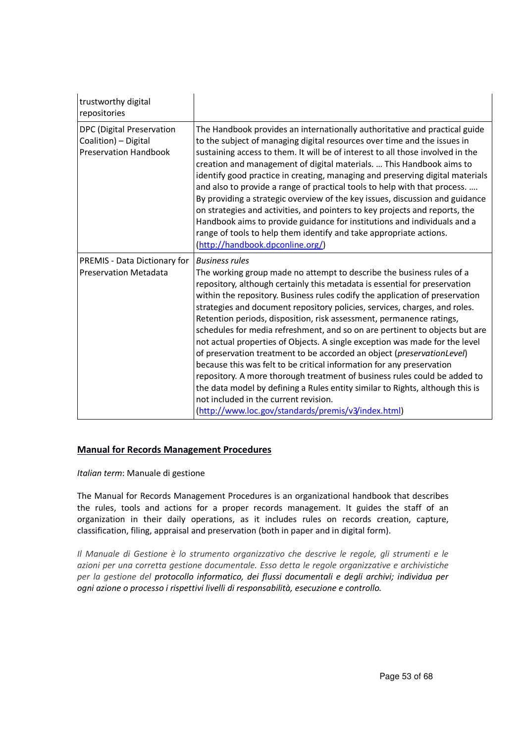| trustworthy digital<br>repositories                                               |                                                                                                                                                                                                                                                                                                                                                                                                                                                                                                                                                                                                                                                                                                                                                                                                                                                                                                                                                                                                   |
|-----------------------------------------------------------------------------------|---------------------------------------------------------------------------------------------------------------------------------------------------------------------------------------------------------------------------------------------------------------------------------------------------------------------------------------------------------------------------------------------------------------------------------------------------------------------------------------------------------------------------------------------------------------------------------------------------------------------------------------------------------------------------------------------------------------------------------------------------------------------------------------------------------------------------------------------------------------------------------------------------------------------------------------------------------------------------------------------------|
| DPC (Digital Preservation<br>Coalition) - Digital<br><b>Preservation Handbook</b> | The Handbook provides an internationally authoritative and practical guide<br>to the subject of managing digital resources over time and the issues in<br>sustaining access to them. It will be of interest to all those involved in the<br>creation and management of digital materials.  This Handbook aims to<br>identify good practice in creating, managing and preserving digital materials<br>and also to provide a range of practical tools to help with that process.<br>By providing a strategic overview of the key issues, discussion and guidance<br>on strategies and activities, and pointers to key projects and reports, the<br>Handbook aims to provide guidance for institutions and individuals and a<br>range of tools to help them identify and take appropriate actions.<br>(http://handbook.dpconline.org/)                                                                                                                                                               |
| <b>PREMIS - Data Dictionary for</b><br><b>Preservation Metadata</b>               | <b>Business rules</b><br>The working group made no attempt to describe the business rules of a<br>repository, although certainly this metadata is essential for preservation<br>within the repository. Business rules codify the application of preservation<br>strategies and document repository policies, services, charges, and roles.<br>Retention periods, disposition, risk assessment, permanence ratings,<br>schedules for media refreshment, and so on are pertinent to objects but are<br>not actual properties of Objects. A single exception was made for the level<br>of preservation treatment to be accorded an object (preservationLevel)<br>because this was felt to be critical information for any preservation<br>repository. A more thorough treatment of business rules could be added to<br>the data model by defining a Rules entity similar to Rights, although this is<br>not included in the current revision.<br>(http://www.loc.gov/standards/premis/v3/index.html) |

#### **Manual for Records Management Procedures**

*Italian term*: Manuale di gestione

The Manual for Records Management Procedures is an organizational handbook that describes the rules, tools and actions for a proper records management. It guides the staff of an organization in their daily operations, as it includes rules on records creation, capture, classification, filing, appraisal and preservation (both in paper and in digital form).

*Il Manuale di Gestione è lo strumento organizzativo che descrive le regole, gli strumenti e le azioni per una corretta gestione documentale. Esso detta le regole organizzative e archivistiche per la gestione del protocollo informatico, dei flussi documentali e degli archivi; individua per ogni azione o processo i rispettivi livelli di responsabilità, esecuzione e controllo.*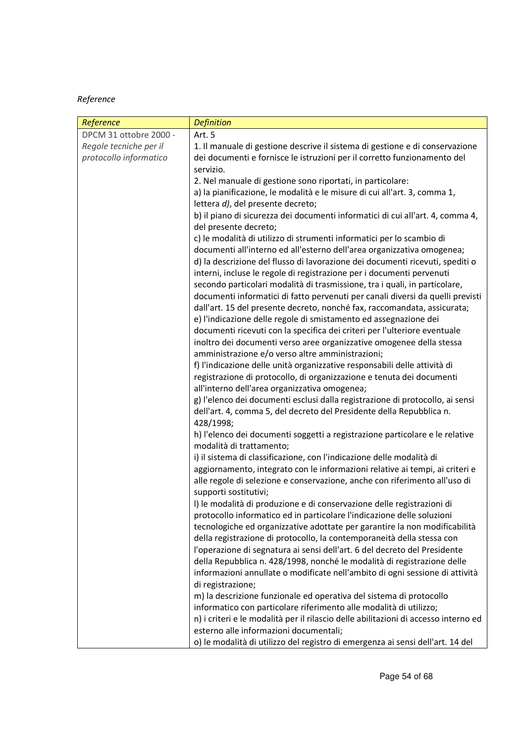# *Reference*

| Reference              | <b>Definition</b>                                                                                                      |
|------------------------|------------------------------------------------------------------------------------------------------------------------|
| DPCM 31 ottobre 2000 - | Art. 5                                                                                                                 |
| Regole tecniche per il | 1. Il manuale di gestione descrive il sistema di gestione e di conservazione                                           |
| protocollo informatico | dei documenti e fornisce le istruzioni per il corretto funzionamento del                                               |
|                        | servizio.                                                                                                              |
|                        | 2. Nel manuale di gestione sono riportati, in particolare:                                                             |
|                        | a) la pianificazione, le modalità e le misure di cui all'art. 3, comma 1,                                              |
|                        | lettera d), del presente decreto;                                                                                      |
|                        | b) il piano di sicurezza dei documenti informatici di cui all'art. 4, comma 4,                                         |
|                        | del presente decreto;                                                                                                  |
|                        | c) le modalità di utilizzo di strumenti informatici per lo scambio di                                                  |
|                        | documenti all'interno ed all'esterno dell'area organizzativa omogenea;                                                 |
|                        | d) la descrizione del flusso di lavorazione dei documenti ricevuti, spediti o                                          |
|                        | interni, incluse le regole di registrazione per i documenti pervenuti                                                  |
|                        | secondo particolari modalità di trasmissione, tra i quali, in particolare,                                             |
|                        | documenti informatici di fatto pervenuti per canali diversi da quelli previsti                                         |
|                        | dall'art. 15 del presente decreto, nonché fax, raccomandata, assicurata;                                               |
|                        | e) l'indicazione delle regole di smistamento ed assegnazione dei                                                       |
|                        | documenti ricevuti con la specifica dei criteri per l'ulteriore eventuale                                              |
|                        | inoltro dei documenti verso aree organizzative omogenee della stessa                                                   |
|                        | amministrazione e/o verso altre amministrazioni;                                                                       |
|                        | f) l'indicazione delle unità organizzative responsabili delle attività di                                              |
|                        | registrazione di protocollo, di organizzazione e tenuta dei documenti<br>all'interno dell'area organizzativa omogenea; |
|                        | g) l'elenco dei documenti esclusi dalla registrazione di protocollo, ai sensi                                          |
|                        | dell'art. 4, comma 5, del decreto del Presidente della Repubblica n.                                                   |
|                        | 428/1998;                                                                                                              |
|                        | h) l'elenco dei documenti soggetti a registrazione particolare e le relative                                           |
|                        | modalità di trattamento;                                                                                               |
|                        | i) il sistema di classificazione, con l'indicazione delle modalità di                                                  |
|                        | aggiornamento, integrato con le informazioni relative ai tempi, ai criteri e                                           |
|                        | alle regole di selezione e conservazione, anche con riferimento all'uso di                                             |
|                        | supporti sostitutivi;                                                                                                  |
|                        | I) le modalità di produzione e di conservazione delle registrazioni di                                                 |
|                        | protocollo informatico ed in particolare l'indicazione delle soluzioni                                                 |
|                        | tecnologiche ed organizzative adottate per garantire la non modificabilità                                             |
|                        | della registrazione di protocollo, la contemporaneità della stessa con                                                 |
|                        | l'operazione di segnatura ai sensi dell'art. 6 del decreto del Presidente                                              |
|                        | della Repubblica n. 428/1998, nonché le modalità di registrazione delle                                                |
|                        | informazioni annullate o modificate nell'ambito di ogni sessione di attività                                           |
|                        | di registrazione;                                                                                                      |
|                        | m) la descrizione funzionale ed operativa del sistema di protocollo                                                    |
|                        | informatico con particolare riferimento alle modalità di utilizzo;                                                     |
|                        | n) i criteri e le modalità per il rilascio delle abilitazioni di accesso interno ed                                    |
|                        | esterno alle informazioni documentali;                                                                                 |
|                        | o) le modalità di utilizzo del registro di emergenza ai sensi dell'art. 14 del                                         |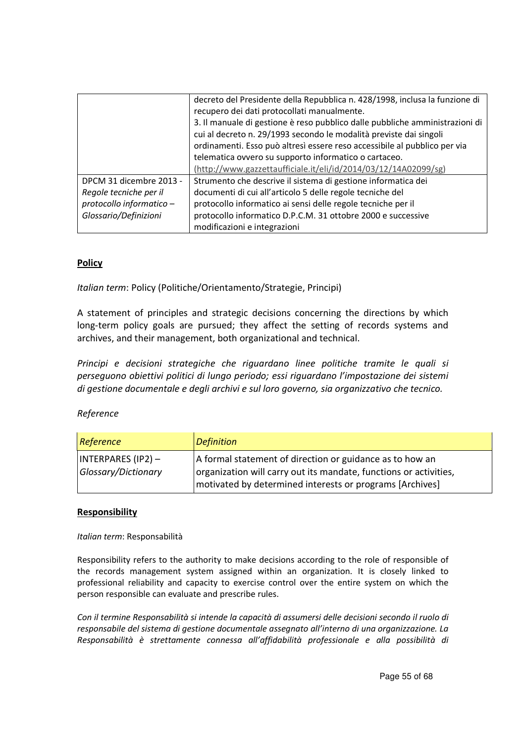|                          | decreto del Presidente della Repubblica n. 428/1998, inclusa la funzione di  |
|--------------------------|------------------------------------------------------------------------------|
|                          | recupero dei dati protocollati manualmente.                                  |
|                          | 3. Il manuale di gestione è reso pubblico dalle pubbliche amministrazioni di |
|                          | cui al decreto n. 29/1993 secondo le modalità previste dai singoli           |
|                          | ordinamenti. Esso può altresì essere reso accessibile al pubblico per via    |
|                          | telematica ovvero su supporto informatico o cartaceo.                        |
|                          | (http://www.gazzettaufficiale.it/eli/id/2014/03/12/14A02099/sg)              |
| DPCM 31 dicembre 2013 -  | Strumento che descrive il sistema di gestione informatica dei                |
| Regole tecniche per il   | documenti di cui all'articolo 5 delle regole tecniche del                    |
| protocollo informatico - | protocollo informatico ai sensi delle regole tecniche per il                 |
| Glossario/Definizioni    | protocollo informatico D.P.C.M. 31 ottobre 2000 e successive                 |
|                          | modificazioni e integrazioni                                                 |

# **Policy**

*Italian term*: Policy (Politiche/Orientamento/Strategie, Principi)

A statement of principles and strategic decisions concerning the directions by which long-term policy goals are pursued; they affect the setting of records systems and archives, and their management, both organizational and technical.

*Principi e decisioni strategiche che riguardano linee politiche tramite le quali si perseguono obiettivi politici di lungo periodo; essi riguardano l'impostazione dei sistemi di gestione documentale e degli archivi e sul loro governo, sia organizzativo che tecnico.*

# *Reference*

| Reference                                         | <b>Definition</b>                                                                                                                                                                         |
|---------------------------------------------------|-------------------------------------------------------------------------------------------------------------------------------------------------------------------------------------------|
| $\vert$ INTERPARES (IP2) –<br>Glossary/Dictionary | A formal statement of direction or guidance as to how an<br>organization will carry out its mandate, functions or activities,<br>motivated by determined interests or programs [Archives] |

# **Responsibility**

*Italian term*: Responsabilità

Responsibility refers to the authority to make decisions according to the role of responsible of the records management system assigned within an organization. It is closely linked to professional reliability and capacity to exercise control over the entire system on which the person responsible can evaluate and prescribe rules.

*Con il termine Responsabilità si intende la capacità di assumersi delle decisioni secondo il ruolo di responsabile del sistema di gestione documentale assegnato all'interno di una organizzazione. La Responsabilità è strettamente connessa all'affidabilità professionale e alla possibilità di*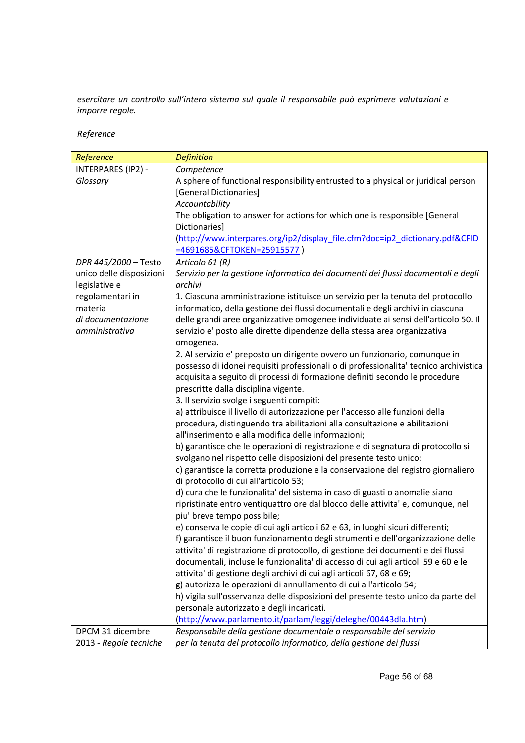*esercitare un controllo sull'intero sistema sul quale il responsabile può esprimere valutazioni e imporre regole.*

*Reference*

| Reference                 | <b>Definition</b>                                                                     |
|---------------------------|---------------------------------------------------------------------------------------|
| <b>INTERPARES (IP2) -</b> | Competence                                                                            |
| Glossary                  | A sphere of functional responsibility entrusted to a physical or juridical person     |
|                           | [General Dictionaries]                                                                |
|                           | Accountability                                                                        |
|                           | The obligation to answer for actions for which one is responsible [General            |
|                           | Dictionaries]                                                                         |
|                           | (http://www.interpares.org/ip2/display_file.cfm?doc=ip2_dictionary.pdf&CFID           |
|                           | =4691685&CFTOKEN=25915577)                                                            |
| DPR 445/2000 - Testo      | Articolo 61 (R)                                                                       |
| unico delle disposizioni  | Servizio per la gestione informatica dei documenti dei flussi documentali e degli     |
| legislative e             | archivi                                                                               |
| regolamentari in          | 1. Ciascuna amministrazione istituisce un servizio per la tenuta del protocollo       |
| materia                   | informatico, della gestione dei flussi documentali e degli archivi in ciascuna        |
| di documentazione         | delle grandi aree organizzative omogenee individuate ai sensi dell'articolo 50. Il    |
| amministrativa            | servizio e' posto alle dirette dipendenze della stessa area organizzativa             |
|                           | omogenea.                                                                             |
|                           | 2. Al servizio e' preposto un dirigente ovvero un funzionario, comunque in            |
|                           | possesso di idonei requisiti professionali o di professionalita' tecnico archivistica |
|                           | acquisita a seguito di processi di formazione definiti secondo le procedure           |
|                           | prescritte dalla disciplina vigente.                                                  |
|                           | 3. Il servizio svolge i seguenti compiti:                                             |
|                           | a) attribuisce il livello di autorizzazione per l'accesso alle funzioni della         |
|                           | procedura, distinguendo tra abilitazioni alla consultazione e abilitazioni            |
|                           | all'inserimento e alla modifica delle informazioni;                                   |
|                           | b) garantisce che le operazioni di registrazione e di segnatura di protocollo si      |
|                           | svolgano nel rispetto delle disposizioni del presente testo unico;                    |
|                           | c) garantisce la corretta produzione e la conservazione del registro giornaliero      |
|                           | di protocollo di cui all'articolo 53;                                                 |
|                           | d) cura che le funzionalita' del sistema in caso di guasti o anomalie siano           |
|                           | ripristinate entro ventiquattro ore dal blocco delle attivita' e, comunque, nel       |
|                           | piu' breve tempo possibile;                                                           |
|                           | e) conserva le copie di cui agli articoli 62 e 63, in luoghi sicuri differenti;       |
|                           | f) garantisce il buon funzionamento degli strumenti e dell'organizzazione delle       |
|                           | attivita' di registrazione di protocollo, di gestione dei documenti e dei flussi      |
|                           | documentali, incluse le funzionalita' di accesso di cui agli articoli 59 e 60 e le    |
|                           | attivita' di gestione degli archivi di cui agli articoli 67, 68 e 69;                 |
|                           | g) autorizza le operazioni di annullamento di cui all'articolo 54;                    |
|                           | h) vigila sull'osservanza delle disposizioni del presente testo unico da parte del    |
|                           | personale autorizzato e degli incaricati.                                             |
|                           | (http://www.parlamento.it/parlam/leggi/deleghe/00443dla.htm)                          |
| DPCM 31 dicembre          | Responsabile della gestione documentale o responsabile del servizio                   |
| 2013 - Regole tecniche    | per la tenuta del protocollo informatico, della gestione dei flussi                   |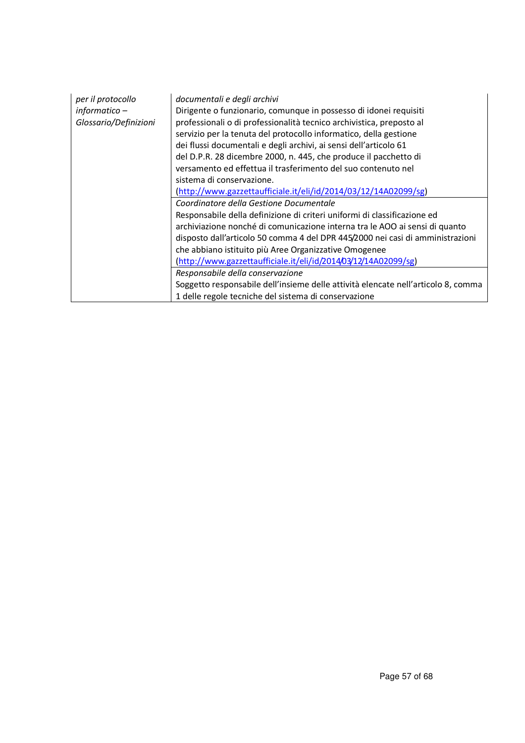| per il protocollo     | documentali e degli archivi                                                       |
|-----------------------|-----------------------------------------------------------------------------------|
| $information -$       | Dirigente o funzionario, comunque in possesso di idonei requisiti                 |
| Glossario/Definizioni | professionali o di professionalità tecnico archivistica, preposto al              |
|                       | servizio per la tenuta del protocollo informatico, della gestione                 |
|                       | dei flussi documentali e degli archivi, ai sensi dell'articolo 61                 |
|                       | del D.P.R. 28 dicembre 2000, n. 445, che produce il pacchetto di                  |
|                       | versamento ed effettua il trasferimento del suo contenuto nel                     |
|                       | sistema di conservazione.                                                         |
|                       | (http://www.gazzettaufficiale.it/eli/id/2014/03/12/14A02099/sg)                   |
|                       | Coordinatore della Gestione Documentale                                           |
|                       | Responsabile della definizione di criteri uniformi di classificazione ed          |
|                       | archiviazione nonché di comunicazione interna tra le AOO ai sensi di quanto       |
|                       | disposto dall'articolo 50 comma 4 del DPR 445/2000 nei casi di amministrazioni    |
|                       | che abbiano istituito più Aree Organizzative Omogenee                             |
|                       | (http://www.gazzettaufficiale.it/eli/id/2014/03/12/14A02099/sg)                   |
|                       | Responsabile della conservazione                                                  |
|                       | Soggetto responsabile dell'insieme delle attività elencate nell'articolo 8, comma |
|                       | 1 delle regole tecniche del sistema di conservazione                              |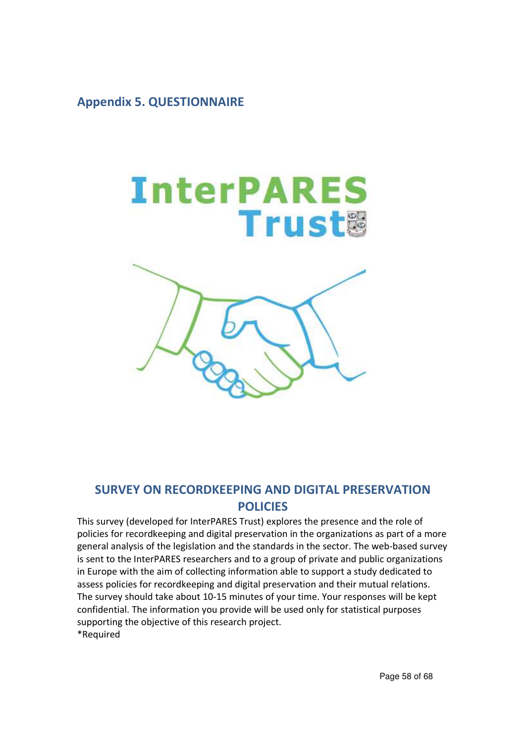# **Appendix 5. QUESTIONNAIRE**



# **SURVEY ON RECORDKEEPING AND DIGITAL PRESERVATION POLICIES**

This survey (developed for InterPARES Trust) explores the presence and the role of policies for recordkeeping and digital preservation in the organizations as part of a more general analysis of the legislation and the standards in the sector. The web-based survey is sent to the InterPARES researchers and to a group of private and public organizations in Europe with the aim of collecting information able to support a study dedicated to assess policies for recordkeeping and digital preservation and their mutual relations. The survey should take about 10-15 minutes of your time. Your responses will be kept confidential. The information you provide will be used only for statistical purposes supporting the objective of this research project. \*Required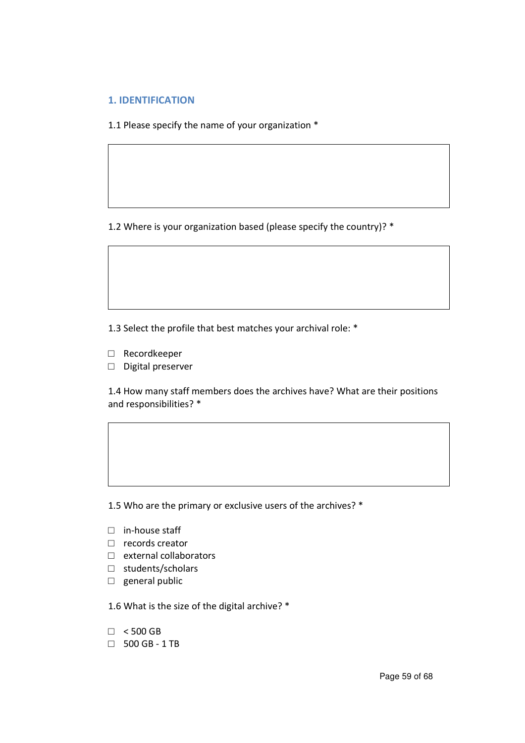# **1. IDENTIFICATION**

1.1 Please specify the name of your organization \*

1.2 Where is your organization based (please specify the country)? \*

1.3 Select the profile that best matches your archival role: \*

- **□** Recordkeeper
- **□** Digital preserver

1.4 How many staff members does the archives have? What are their positions and responsibilities? \*

1.5 Who are the primary or exclusive users of the archives? \*

- **□** in-house staff
- **□** records creator
- **□** external collaborators
- **□** students/scholars
- **□** general public

1.6 What is the size of the digital archive? \*

- **□** < 500 GB
- **□** 500 GB 1 TB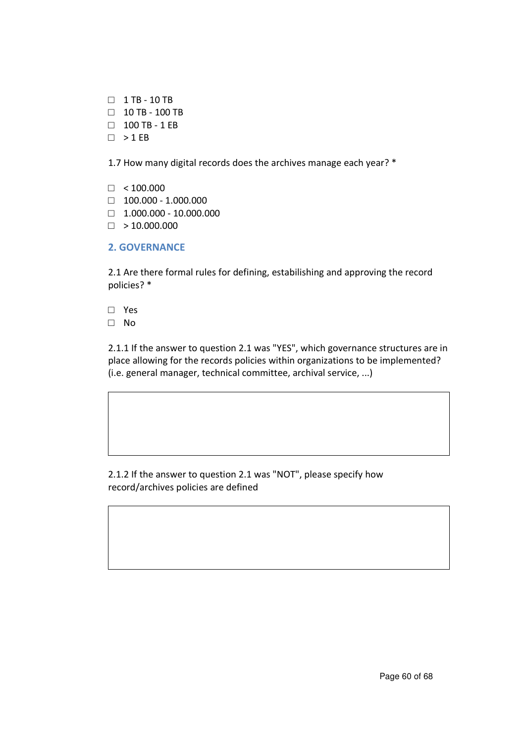- **□** 1 TB 10 TB
- **□** 10 TB 100 TB
- **□** 100 TB 1 EB
- **□** > 1 EB

1.7 How many digital records does the archives manage each year? \*

- **□** < 100.000
- **□** 100.000 1.000.000
- **□** 1.000.000 10.000.000
- **□** > 10.000.000
- **2. GOVERNANCE**

2.1 Are there formal rules for defining, estabilishing and approving the record policies? \*

- **□** Yes
- **□** No

2.1.1 If the answer to question 2.1 was "YES", which governance structures are in place allowing for the records policies within organizations to be implemented? (i.e. general manager, technical committee, archival service, ...)

2.1.2 If the answer to question 2.1 was "NOT", please specify how record/archives policies are defined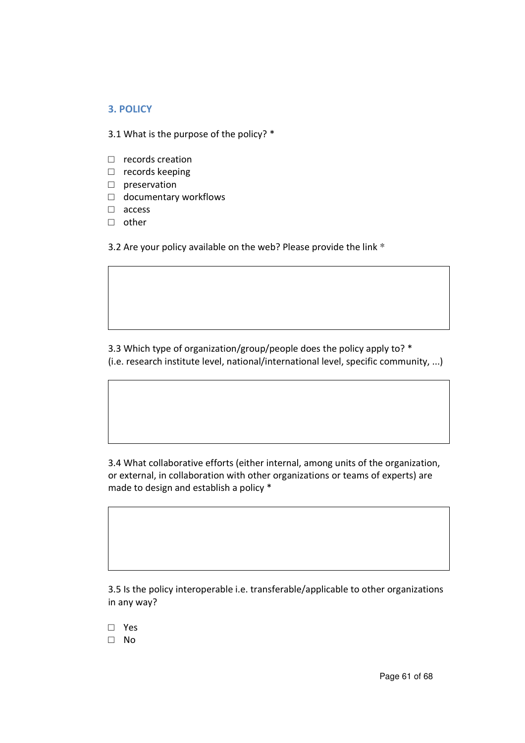# **3. POLICY**

3.1 What is the purpose of the policy? \*

- **□** records creation
- **□** records keeping
- **□** preservation
- **□** documentary workflows
- **□** access
- **□** other

3.2 Are your policy available on the web? Please provide the link \*

3.3 Which type of organization/group/people does the policy apply to? \* (i.e. research institute level, national/international level, specific community, ...)

3.4 What collaborative efforts (either internal, among units of the organization, or external, in collaboration with other organizations or teams of experts) are made to design and establish a policy \*

3.5 Is the policy interoperable i.e. transferable/applicable to other organizations in any way?

- **□** Yes
- **□** No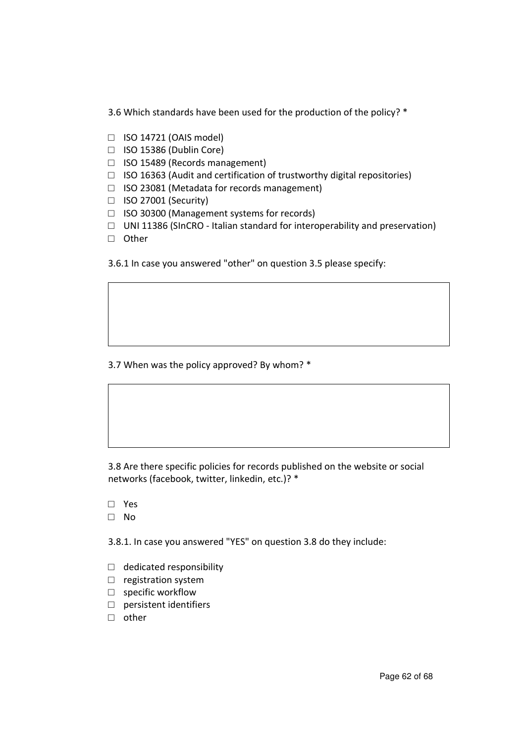3.6 Which standards have been used for the production of the policy? \*

- **□** ISO 14721 (OAIS model)
- **□** ISO 15386 (Dublin Core)
- **□** ISO 15489 (Records management)
- **□** ISO 16363 (Audit and certification of trustworthy digital repositories)
- **□** ISO 23081 (Metadata for records management)
- **□** ISO 27001 (Security)
- **□** ISO 30300 (Management systems for records)
- **□** UNI 11386 (SInCRO Italian standard for interoperability and preservation)
- **□** Other
- 3.6.1 In case you answered "other" on question 3.5 please specify:

3.7 When was the policy approved? By whom? \*

3.8 Are there specific policies for records published on the website or social networks (facebook, twitter, linkedin, etc.)? \*

- **□** Yes
- **□** No

3.8.1. In case you answered "YES" on question 3.8 do they include:

- **□** dedicated responsibility
- **□** registration system
- **□** specific workflow
- **□** persistent identifiers
- **□** other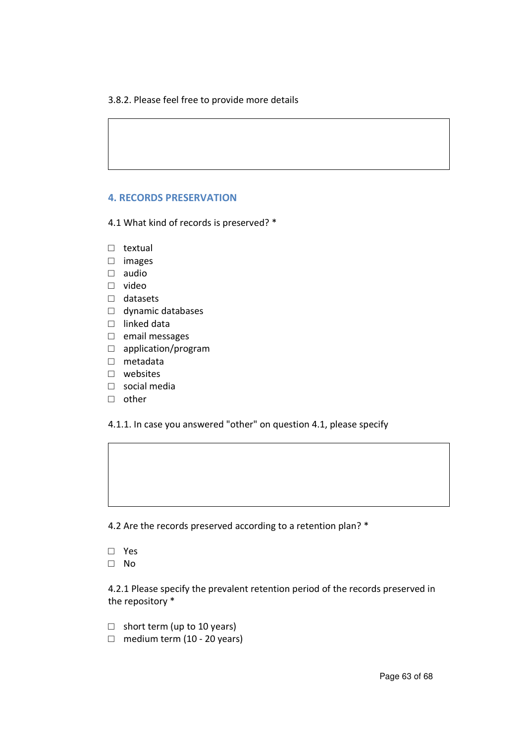#### 3.8.2. Please feel free to provide more details

#### **4. RECORDS PRESERVATION**

4.1 What kind of records is preserved? \*

- **□** textual
- **□** images
- **□** audio
- **□** video
- **□** datasets
- **□** dynamic databases
- **□** linked data
- **□** email messages
- **□** application/program
- **□** metadata
- **□** websites
- **□** social media
- **□** other

4.1.1. In case you answered "other" on question 4.1, please specify

4.2 Are the records preserved according to a retention plan? \*

**□** Yes **□** No

4.2.1 Please specify the prevalent retention period of the records preserved in the repository \*

- **□** short term (up to 10 years)
- **□** medium term (10 20 years)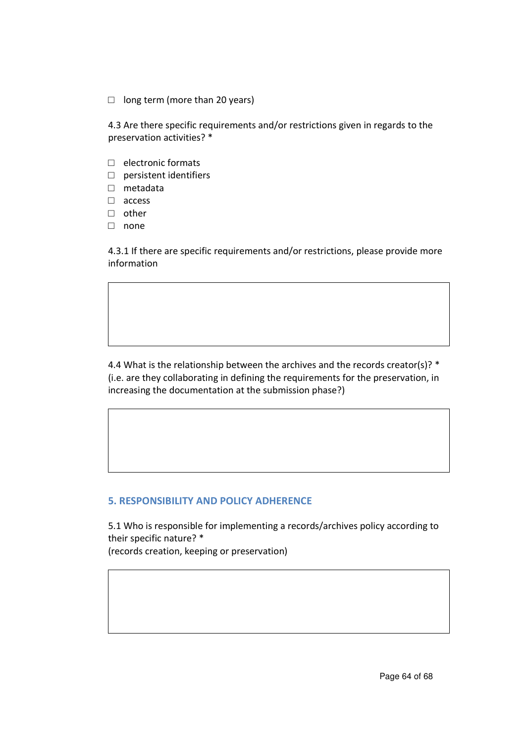**□** long term (more than 20 years)

4.3 Are there specific requirements and/or restrictions given in regards to the preservation activities? \*

- **□** electronic formats
- **□** persistent identifiers
- **□** metadata
- **□** access
- **□** other
- **□** none

4.3.1 If there are specific requirements and/or restrictions, please provide more information

4.4 What is the relationship between the archives and the records creator(s)?  $*$ (i.e. are they collaborating in defining the requirements for the preservation, in increasing the documentation at the submission phase?)

# **5. RESPONSIBILITY AND POLICY ADHERENCE**

5.1 Who is responsible for implementing a records/archives policy according to their specific nature? \* (records creation, keeping or preservation)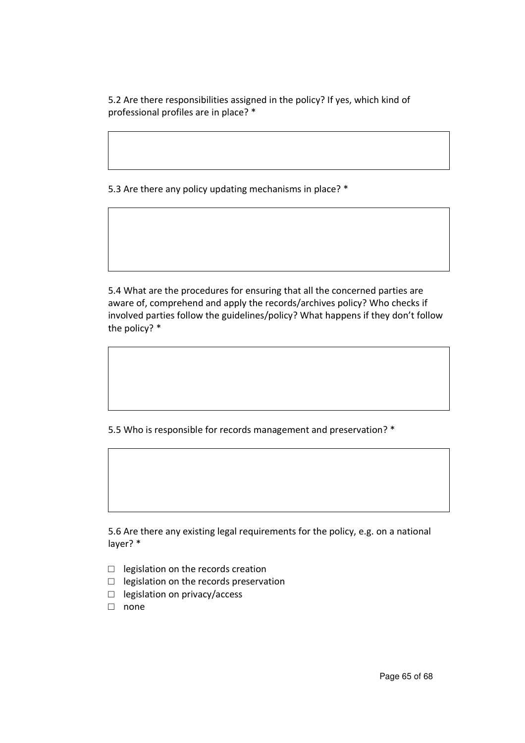5.2 Are there responsibilities assigned in the policy? If yes, which kind of professional profiles are in place? \*

5.3 Are there any policy updating mechanisms in place? \*

5.4 What are the procedures for ensuring that all the concerned parties are aware of, comprehend and apply the records/archives policy? Who checks if involved parties follow the guidelines/policy? What happens if they don't follow the policy? \*

5.5 Who is responsible for records management and preservation? \*

5.6 Are there any existing legal requirements for the policy, e.g. on a national layer? \*

- **□** legislation on the records creation
- **□** legislation on the records preservation
- **□** legislation on privacy/access
- **□** none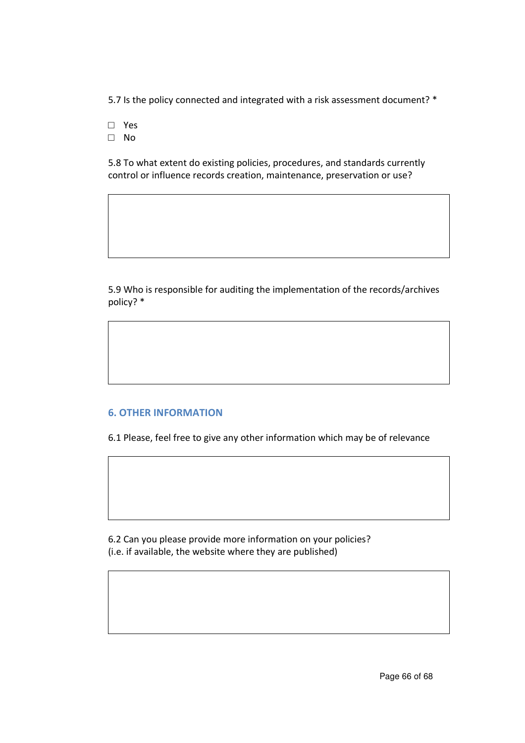5.7 Is the policy connected and integrated with a risk assessment document? \*

- **□** Yes
- **□** No

5.8 To what extent do existing policies, procedures, and standards currently control or influence records creation, maintenance, preservation or use?

5.9 Who is responsible for auditing the implementation of the records/archives policy? \*

# **6. OTHER INFORMATION**

6.1 Please, feel free to give any other information which may be of relevance

6.2 Can you please provide more information on your policies? (i.e. if available, the website where they are published)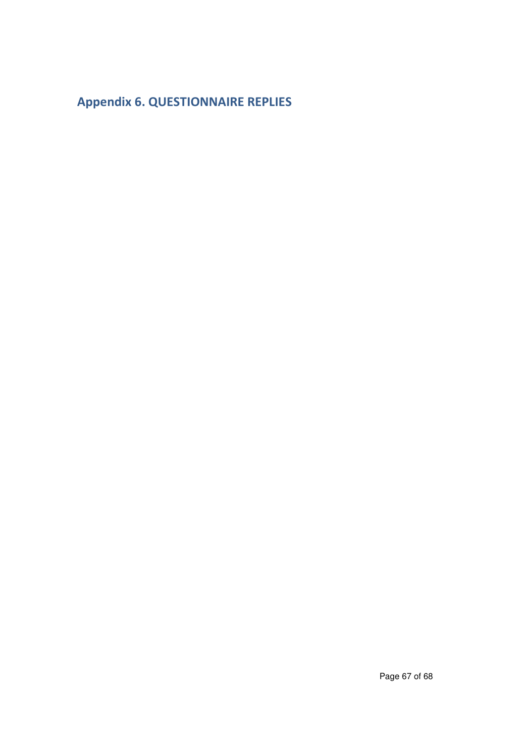# **Appendix 6. QUESTIONNAIRE REPLIES**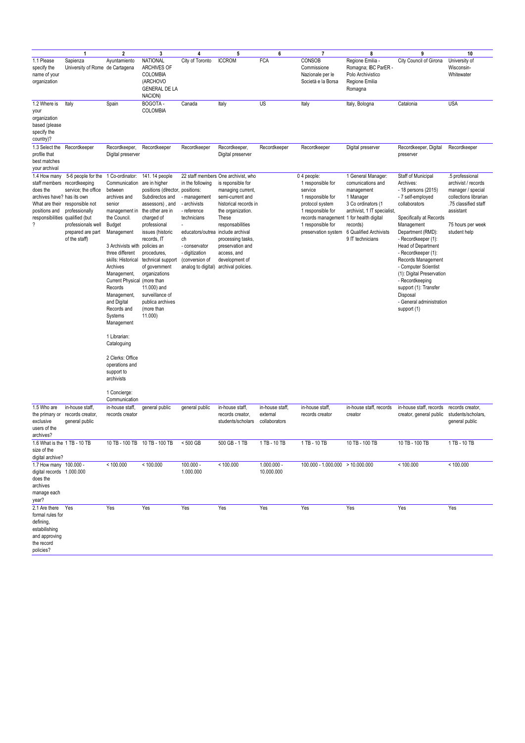|                                                                                                                                                         | $\overline{1}$                                                                                                                                                             | $\overline{\mathbf{2}}$                                                                                                                                                                                                                                                                                                                                                                                                                                  | 3                                                                                                                                                                                                                                                                                                                                                                 | 4                                                                                                                                                                                                                       | 5                                                                                                                                                                                                                                                      | 6                                            | $\overline{7}$                                                                                                                                                                                  | 8                                                                                                                                                                                 | 9                                                                                                                                                                                                                                                                                                                                                                                                            | 10                                                                                                                                                            |
|---------------------------------------------------------------------------------------------------------------------------------------------------------|----------------------------------------------------------------------------------------------------------------------------------------------------------------------------|----------------------------------------------------------------------------------------------------------------------------------------------------------------------------------------------------------------------------------------------------------------------------------------------------------------------------------------------------------------------------------------------------------------------------------------------------------|-------------------------------------------------------------------------------------------------------------------------------------------------------------------------------------------------------------------------------------------------------------------------------------------------------------------------------------------------------------------|-------------------------------------------------------------------------------------------------------------------------------------------------------------------------------------------------------------------------|--------------------------------------------------------------------------------------------------------------------------------------------------------------------------------------------------------------------------------------------------------|----------------------------------------------|-------------------------------------------------------------------------------------------------------------------------------------------------------------------------------------------------|-----------------------------------------------------------------------------------------------------------------------------------------------------------------------------------|--------------------------------------------------------------------------------------------------------------------------------------------------------------------------------------------------------------------------------------------------------------------------------------------------------------------------------------------------------------------------------------------------------------|---------------------------------------------------------------------------------------------------------------------------------------------------------------|
| 1.1 Please<br>specify the<br>name of your<br>organization                                                                                               | Sapienza<br>University of Rome de Cartagena                                                                                                                                | Ayuntamiento                                                                                                                                                                                                                                                                                                                                                                                                                                             | <b>NATIONAL</b><br><b>ARCHIVES OF</b><br>COLOMBIA<br>(ARCHOVO<br><b>GENERAL DE LA</b><br>NACION)                                                                                                                                                                                                                                                                  | City of Toronto                                                                                                                                                                                                         | <b>ICCROM</b>                                                                                                                                                                                                                                          | <b>FCA</b>                                   | CONSOB<br>Commissione<br>Nazionale per le<br>Società e la Borsa                                                                                                                                 | Regione Emilia -<br>Romagna; IBC ParER -<br>Polo Archivistico<br>Regione Emilia<br>Romagna                                                                                        | City Council of Girona                                                                                                                                                                                                                                                                                                                                                                                       | University of<br>Wisconsin-<br>Whitewater                                                                                                                     |
| 1.2 Where is<br>your<br>organization<br>based (please<br>specify the<br>country)?                                                                       | Italy                                                                                                                                                                      | Spain                                                                                                                                                                                                                                                                                                                                                                                                                                                    | BOGOTA-<br>COLOMBIA                                                                                                                                                                                                                                                                                                                                               | Canada                                                                                                                                                                                                                  | Italy                                                                                                                                                                                                                                                  | US                                           | Italy                                                                                                                                                                                           | Italy, Bologna                                                                                                                                                                    | Catalonia                                                                                                                                                                                                                                                                                                                                                                                                    | <b>USA</b>                                                                                                                                                    |
| 1.3 Select the<br>profile that<br>best matches<br>your archival                                                                                         | Recordkeeper                                                                                                                                                               | Recordkeeper,<br>Digital preserver                                                                                                                                                                                                                                                                                                                                                                                                                       | Recordkeeper                                                                                                                                                                                                                                                                                                                                                      | Recordkeeper                                                                                                                                                                                                            | Recordkeeper,<br>Digital preserver                                                                                                                                                                                                                     | Recordkeeper                                 | Recordkeeper                                                                                                                                                                                    | Digital preserver                                                                                                                                                                 | Recordkeeper, Digital<br>preserver                                                                                                                                                                                                                                                                                                                                                                           | Recordkeeper                                                                                                                                                  |
| 1.4 How many<br>staff members<br>does the<br>archives have? has its own<br>positions and<br>responsibilities qualified (but<br>$\overline{\mathcal{E}}$ | 5-6 people for the<br>recordkeeping<br>service; the office<br>What are their responsible not<br>professionally<br>professionals well<br>prepared are part<br>of the staff) | 1 Co-ordinator:<br>Communication<br>between<br>archives and<br>senior<br>management in<br>the Council.<br>Budget<br>Management<br>3 Archivists with<br>three different<br>skills: Historical<br>Archives<br>Management,<br>Current Physical (more than<br>Records<br>Management,<br>and Digital<br>Records and<br>Systems<br>Management<br>1 Librarian:<br>Cataloguing<br>2 Clerks: Office<br>operations and<br>support to<br>archivists<br>1 Concierge: | 141. 14 people<br>are in higher<br>positions (dIrector, positions:<br>Subdirectos and<br>assessors), and<br>the other are in<br>charged of<br>professional<br>issues (historic<br>records, IT<br>policies an<br>procedures,<br>technical support<br>of government<br>organizations<br>11.000) and<br>surveillance of<br>publica archives<br>(more than<br>11.000) | in the following<br>- management<br>- archivists<br>- reference<br>technicians<br>educators/outrea include archival<br>ch<br>- conservator<br>- digitization<br>(conversion of<br>analog to digital) archival policies. | 22 staff members One archivist, who<br>is reponsible for<br>managing current,<br>semi-current and<br>historical records in<br>the organization.<br>These<br>responsabilities<br>processing tasks,<br>preservation and<br>access, and<br>development of |                                              | 0 4 people:<br>1 responsible for<br>service<br>1 responsible for<br>protocol system<br>1 responsible for<br>records management 1 for health digital<br>1 responsible for<br>preservation system | 1 General Manager:<br>comunications and<br>management<br>1 Manager<br>3 Co ordinators (1<br>archivist, 1 IT specialist,<br>records)<br>6 Qualified Archivists<br>9 IT technicians | Staff of Municipal<br>Archives:<br>- 18 persons (2015)<br>- 7 self-employed<br>collaborators<br>Specifically at Records<br>Management<br>Department (RMD):<br>- Recordkeeper (1):<br>Head of Department<br>- Recordkeeper (1):<br>Records Management<br>- Computer Scientist<br>(1): Digital Preservation<br>- Recordkeeping<br>support (1): Transfer<br>Disposal<br>- General administration<br>support (1) | 5 professional<br>archivist / records<br>manager / special<br>collections librarian<br>.75 classified staff<br>assistant<br>75 hours per week<br>student help |
| 1.5 Who are<br>the primary or<br>exclusive<br>users of the<br>archives?                                                                                 | in-house staff,<br>records creator,<br>general public                                                                                                                      | Communication<br>in-house staff,<br>records creator                                                                                                                                                                                                                                                                                                                                                                                                      | general public                                                                                                                                                                                                                                                                                                                                                    | general public                                                                                                                                                                                                          | in-house staff,<br>records creator,<br>students/scholars                                                                                                                                                                                               | in-house staff,<br>external<br>collaborators | in-house staff,<br>records creator                                                                                                                                                              | in-house staff, records<br>creator                                                                                                                                                | in-house staff, records<br>creator, general public                                                                                                                                                                                                                                                                                                                                                           | records creator,<br>students/scholars,<br>general public                                                                                                      |
| 1.6 What is the 1 TB - 10 TB<br>size of the<br>digital archive?                                                                                         |                                                                                                                                                                            | 10 TB - 100 TB                                                                                                                                                                                                                                                                                                                                                                                                                                           | 10 TB - 100 TB                                                                                                                                                                                                                                                                                                                                                    | < 500 GB                                                                                                                                                                                                                | 500 GB - 1 TB                                                                                                                                                                                                                                          | 1 TB - 10 TB                                 | 1 TB - 10 TB                                                                                                                                                                                    | 10 TB - 100 TB                                                                                                                                                                    | 10 TB - 100 TB                                                                                                                                                                                                                                                                                                                                                                                               | 1 TB - 10 TB                                                                                                                                                  |
| 1.7 How many 100.000 -<br>digital records 1.000.000<br>does the<br>archives<br>manage each<br>year?                                                     |                                                                                                                                                                            | < 100.000                                                                                                                                                                                                                                                                                                                                                                                                                                                | < 100.000                                                                                                                                                                                                                                                                                                                                                         | $100.000 -$<br>1.000.000                                                                                                                                                                                                | < 100.000                                                                                                                                                                                                                                              | $1.000.000 -$<br>10.000.000                  | $100.000 - 1.000.000 > 10.000.000$                                                                                                                                                              |                                                                                                                                                                                   | < 100.000                                                                                                                                                                                                                                                                                                                                                                                                    | < 100.000                                                                                                                                                     |
| 2.1 Are there<br>formal rules for<br>defining,<br>estabilishing<br>and approving<br>the record<br>policies?                                             | Yes                                                                                                                                                                        | Yes                                                                                                                                                                                                                                                                                                                                                                                                                                                      | Yes                                                                                                                                                                                                                                                                                                                                                               | Yes                                                                                                                                                                                                                     | Yes                                                                                                                                                                                                                                                    | Yes                                          | Yes                                                                                                                                                                                             | Yes                                                                                                                                                                               | Yes                                                                                                                                                                                                                                                                                                                                                                                                          | Yes                                                                                                                                                           |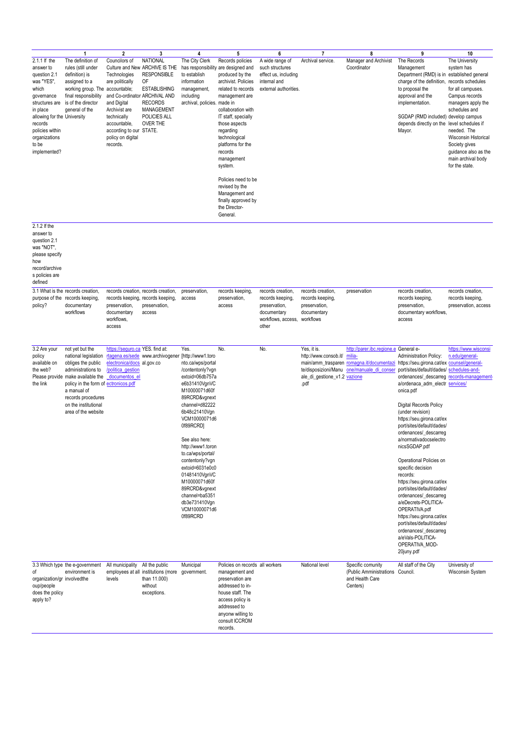|                                                                                                                                                                                                                     | $\overline{1}$                                                                                                                                                                                                                                       | 2                                                                                                                                                                                                            | 3                                                                                                                                                                       |                                                                                                                                                                                                                                                                                                                                                                                                           | 5                                                                                                                                                                                                                                                                                                                                                                                                             | 6                                                                                                    | $\overline{7}$                                                                                       | 8                                                                                                                     | 9                                                                                                                                                                                                                                                                                                                                                                                                                                                                                                                                                                                                                                                                                                                         | 10                                                                                                                                                                                                                                                      |
|---------------------------------------------------------------------------------------------------------------------------------------------------------------------------------------------------------------------|------------------------------------------------------------------------------------------------------------------------------------------------------------------------------------------------------------------------------------------------------|--------------------------------------------------------------------------------------------------------------------------------------------------------------------------------------------------------------|-------------------------------------------------------------------------------------------------------------------------------------------------------------------------|-----------------------------------------------------------------------------------------------------------------------------------------------------------------------------------------------------------------------------------------------------------------------------------------------------------------------------------------------------------------------------------------------------------|---------------------------------------------------------------------------------------------------------------------------------------------------------------------------------------------------------------------------------------------------------------------------------------------------------------------------------------------------------------------------------------------------------------|------------------------------------------------------------------------------------------------------|------------------------------------------------------------------------------------------------------|-----------------------------------------------------------------------------------------------------------------------|---------------------------------------------------------------------------------------------------------------------------------------------------------------------------------------------------------------------------------------------------------------------------------------------------------------------------------------------------------------------------------------------------------------------------------------------------------------------------------------------------------------------------------------------------------------------------------------------------------------------------------------------------------------------------------------------------------------------------|---------------------------------------------------------------------------------------------------------------------------------------------------------------------------------------------------------------------------------------------------------|
| 2.1.1 If the<br>answer to<br>question 2.1<br>was "YES",<br>which<br>governance<br>structures are<br>in place<br>allowing for the University<br>records<br>policies within<br>organizations<br>to be<br>implemented? | The definition of<br>rules (still under<br>definition) is<br>assigned to a<br>working group. The accountable;<br>final responsibility<br>is of the director<br>general of the                                                                        | Councilors of<br>Technologies<br>are politically<br>and Co-ordinator ARCHIVAL AND<br>and Digital<br>Archivist are<br>technically<br>accountable,<br>according to our STATE.<br>policy on digital<br>records. | <b>NATIONAL</b><br>Culture and New ARCHIVE IS THE<br><b>RESPONSIBLE</b><br>0F<br><b>ESTABLISHING</b><br><b>RECORDS</b><br>MANAGEMENT<br>POLICIES ALL<br><b>OVER THE</b> | 4<br>The City Clerk<br>to establish<br>information<br>management,<br>including<br>archival, policies. made in                                                                                                                                                                                                                                                                                             | Records policies<br>has responsibility are designed and<br>produced by the<br>archivist. Policies<br>related to records<br>management are<br>collaboration with<br>IT staff, specially<br>those aspects<br>regarding<br>technological<br>platforms for the<br>records<br>management<br>system.<br>Policies need to be<br>revised by the<br>Management and<br>finally approved by<br>the Director-<br>General. | A wide range of<br>such structures<br>effect us, including<br>internal and<br>external authorities.  | Archival service.                                                                                    | Manager and Archivist<br>Coordinator                                                                                  | The Records<br>Management<br>Department (RMD) is in established general<br>charge of the definition,<br>to proposal the<br>approval and the<br>implementation.<br>SGDAP (RMD included) develop campus<br>depends directly on the level schedules if<br>Mayor.                                                                                                                                                                                                                                                                                                                                                                                                                                                             | The University<br>system has<br>records schedules<br>for all campuses.<br>Campus records<br>managers apply the<br>schedules and<br>needed. The<br>Wisconsin Historical<br>Society gives<br>guidance also as the<br>main archival body<br>for the state. |
| 2.1.2 If the<br>answer to<br>question 2.1<br>was "NOT",<br>please specify<br>how<br>record/archive<br>s policies are<br>defined                                                                                     |                                                                                                                                                                                                                                                      |                                                                                                                                                                                                              |                                                                                                                                                                         |                                                                                                                                                                                                                                                                                                                                                                                                           |                                                                                                                                                                                                                                                                                                                                                                                                               |                                                                                                      |                                                                                                      |                                                                                                                       |                                                                                                                                                                                                                                                                                                                                                                                                                                                                                                                                                                                                                                                                                                                           |                                                                                                                                                                                                                                                         |
| purpose of the<br>policy?                                                                                                                                                                                           | 3.1 What is the records creation,<br>records keeping.<br>documentary<br>workflows                                                                                                                                                                    | preservation,<br>documentary<br>workflows.<br>access                                                                                                                                                         | records creation, records creation,<br>records keeping, records keeping,<br>preservation,<br>access                                                                     | preservation,<br>access                                                                                                                                                                                                                                                                                                                                                                                   | records keeping,<br>preservation,<br>access                                                                                                                                                                                                                                                                                                                                                                   | records creation,<br>records keeping,<br>preservation,<br>documentary<br>workflows, access,<br>other | records creation,<br>records keeping,<br>preservation,<br>documentary<br>workflows                   | preservation                                                                                                          | records creation,<br>records keeping,<br>preservation,<br>documentary workflows<br>access                                                                                                                                                                                                                                                                                                                                                                                                                                                                                                                                                                                                                                 | records creation,<br>records keeping,<br>preservation, access                                                                                                                                                                                           |
| 3.2 Are your<br>policy<br>available on<br>the web?<br>the link                                                                                                                                                      | not yet but the<br>national legislation<br>obliges the public<br>administrations to<br>Please provide make available the<br>policy in the form of ectronicos.pdf<br>a manual of<br>records procedures<br>on the institutional<br>area of the website | https://seguro.ca YES. find at:<br>electronica/docs al.gov.co<br>/politica gestion<br>documentos el                                                                                                          | rtagena.es/sede www.archivogener [http://www1.toro                                                                                                                      | Yes.<br>nto.ca/wps/portal<br>/contentonly?vgn<br>extoid=06db757a<br>e6b31410VgnVC<br>M10000071d60f<br>89RCRD&vgnext<br>channel=d82222<br>6b48c21410Vgn<br>VCM10000071d6<br>0f89RCRD1<br>See also here:<br>http://www1.toron<br>to.ca/wps/portal/<br>contentonly?vgn<br>extoid=6031e0c0<br>01481410VgnVC<br>M10000071d60f<br>89RCRD&vgnext<br>channel=ba5351<br>db3e731410Vgn<br>VCM10000071d6<br>0f89RCRD | No.                                                                                                                                                                                                                                                                                                                                                                                                           | No.                                                                                                  | Yes, it is.<br>http://www.consob.it/<br>te/disposizioni/Manu<br>ale_di_gestione_v1.2 vazione<br>.pdf | http://parer.ibc.regione.e General e-<br>milia-<br>main/amm_trasparen romagna.it/documentazi<br>one/manuale di conser | Administration Policy:<br>https://seu.girona.cat/ex counsel/general-<br>port/sites/default/dades/ schedules-and-<br>ordenances/_descarreg_records-management-<br>a/ordenaca_adm_electr services/<br>onica.pdf<br>Digital Records Policy<br>(under revision)<br>https://seu.girona.cat/ex<br>port/sites/default/dades/<br>ordenances/_descarreg<br>a/normativadocselectro<br>nicsSGDAP.pdf<br>Operational Policies on<br>specific decision<br>records:<br>https://seu.girona.cat/ex<br>port/sites/default/dades/<br>ordenances/_descarreg<br>a/eDecrets-POLITICA-<br>OPERATIVA.pdf<br>https://seu.girona.cat/ex<br>port/sites/default/dades/<br>ordenances/_descarreg<br>a/eVals-POLITICA-<br>OPERATIVA_MOD-<br>20juny.pdf | https://www.wisconsi<br>n.edu/general-                                                                                                                                                                                                                  |
| οf<br>organization/gr involvedthe<br>oup/people<br>does the policy<br>apply to?                                                                                                                                     | 3.3 Which type the e-government<br>environment is                                                                                                                                                                                                    | All municipality All the public<br>levels                                                                                                                                                                    | employees at all institutions (more government.<br>than 11.000)<br>without<br>exceptions.                                                                               | Municipal                                                                                                                                                                                                                                                                                                                                                                                                 | Policies on records all workers<br>management and<br>preservation are<br>addressed to in-<br>house staff. The<br>access policy is<br>addressed to<br>anyonw willing to<br>consult ICCROM<br>records.                                                                                                                                                                                                          |                                                                                                      | National level                                                                                       | Specific comunity<br>(Public Amministrations Council.<br>and Health Care<br>Centers)                                  | All staff of the City                                                                                                                                                                                                                                                                                                                                                                                                                                                                                                                                                                                                                                                                                                     | University of<br>Wisconsin System                                                                                                                                                                                                                       |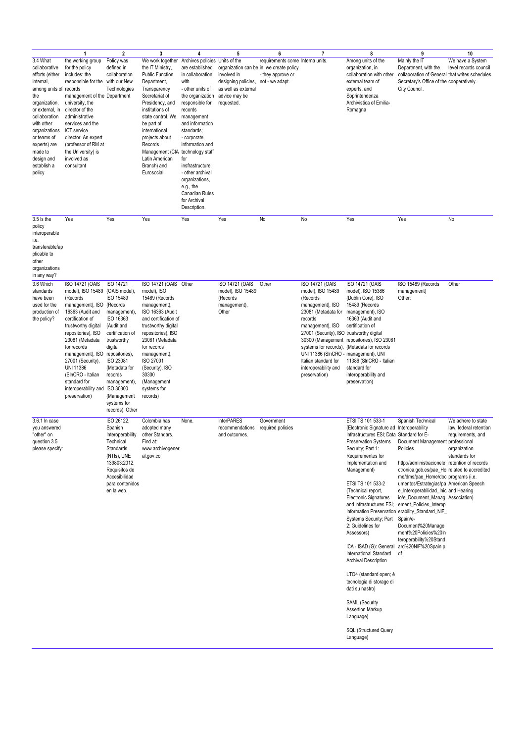|                                                                                                                                                                                                                                                                 | $\overline{1}$                                                                                                                                                                                                                                                                                                                                                                                | $\overline{\mathbf{2}}$                                                                                                                                                                                                   | 3                                                                                                                                                                                                                                                                                                           | 4                                                                                                                                                                                                                                                                                                                                                                                               | 5                                                                                                        | 6                                                                                                | $\overline{7}$                                                                                                                                                                                                                                                                   | 8                                                                                                                                                                                                                                                                                                                                                                                                                                                                                                                                                                                                                                  | 9                                                                                                                                                                                                                                                                                                                                                                                                                                                                                                                                                  | 10                                                                                                 |
|-----------------------------------------------------------------------------------------------------------------------------------------------------------------------------------------------------------------------------------------------------------------|-----------------------------------------------------------------------------------------------------------------------------------------------------------------------------------------------------------------------------------------------------------------------------------------------------------------------------------------------------------------------------------------------|---------------------------------------------------------------------------------------------------------------------------------------------------------------------------------------------------------------------------|-------------------------------------------------------------------------------------------------------------------------------------------------------------------------------------------------------------------------------------------------------------------------------------------------------------|-------------------------------------------------------------------------------------------------------------------------------------------------------------------------------------------------------------------------------------------------------------------------------------------------------------------------------------------------------------------------------------------------|----------------------------------------------------------------------------------------------------------|--------------------------------------------------------------------------------------------------|----------------------------------------------------------------------------------------------------------------------------------------------------------------------------------------------------------------------------------------------------------------------------------|------------------------------------------------------------------------------------------------------------------------------------------------------------------------------------------------------------------------------------------------------------------------------------------------------------------------------------------------------------------------------------------------------------------------------------------------------------------------------------------------------------------------------------------------------------------------------------------------------------------------------------|----------------------------------------------------------------------------------------------------------------------------------------------------------------------------------------------------------------------------------------------------------------------------------------------------------------------------------------------------------------------------------------------------------------------------------------------------------------------------------------------------------------------------------------------------|----------------------------------------------------------------------------------------------------|
| 3.4 What<br>collaborative<br>efforts (either<br>internal,<br>among units of records<br>the<br>organization,<br>or external, in<br>collaboration<br>with other<br>organizations<br>or teams of<br>experts) are<br>made to<br>design and<br>establish a<br>policy | the working group<br>for the policy<br>includes: the<br>responsible for the with our New<br>management of the Department<br>university, the<br>director of the<br>administrative<br>services and the<br>ICT service<br>director. An expert<br>(professor of RM at<br>the University) is<br>involved as<br>consultant                                                                          | Policy was<br>defined in<br>collaboration<br>Technologies                                                                                                                                                                 | We work together<br>the IT Ministry,<br><b>Public Function</b><br>Department,<br>Transparency<br>Secretariat of<br>Presidency, and<br>institutions of<br>state control. We<br>be part of<br>international<br>projects about<br>Records<br>Management (CIA<br>Latin American<br>Branch) and<br>Eurosocial.   | Archives policies Units of the<br>are established<br>in collaboration<br>with<br>- other units of<br>the organization<br>responsible for<br>records<br>management<br>and information<br>standards;<br>- corporate<br>information and<br>technology staff<br>for<br>insfrastructure;<br>- other archival<br>organizations,<br>e.g., the<br><b>Canadian Rules</b><br>for Archival<br>Description. | involved in<br>designing policies, not - we adapt.<br>as well as external<br>advice may be<br>requested. | requirements come Interna units<br>organization can be in, we create policy<br>- they approve or |                                                                                                                                                                                                                                                                                  | Among units of the<br>organization, in<br>collaboration with other<br>external team of<br>experts, and<br>Soprintendenza<br>Archivistica of Emilia-<br>Romagna                                                                                                                                                                                                                                                                                                                                                                                                                                                                     | Mainly the IT<br>Department, with the<br>collaboration of General that writes schedules<br>Secretary's Office of the cooperatively.<br>City Council.                                                                                                                                                                                                                                                                                                                                                                                               | We have a System<br>level records council                                                          |
| $3.5$ is the<br>policy<br>interoperable<br>i.e.<br>transferable/ap<br>plicable to<br>other<br>organizations<br>in any way?                                                                                                                                      | Yes                                                                                                                                                                                                                                                                                                                                                                                           | Yes                                                                                                                                                                                                                       | Yes                                                                                                                                                                                                                                                                                                         | Yes                                                                                                                                                                                                                                                                                                                                                                                             | Yes                                                                                                      | No                                                                                               | No                                                                                                                                                                                                                                                                               | Yes                                                                                                                                                                                                                                                                                                                                                                                                                                                                                                                                                                                                                                | Yes                                                                                                                                                                                                                                                                                                                                                                                                                                                                                                                                                | No                                                                                                 |
| 3.6 Which<br>standards<br>have been<br>used for the<br>production of<br>the policy?                                                                                                                                                                             | <b>ISO 14721 (OAIS</b><br>model), ISO 15489 (OAIS model),<br>(Records<br>management), ISO (Records<br>16363 (Audit and<br>certification of<br>trustworthy digital<br>repositories), ISO<br>23081 (Metadata<br>for records<br>management), ISO repositories),<br>27001 (Security),<br><b>UNI 11386</b><br>(SInCRO - Italian<br>standard for<br>interoperability and ISO 30300<br>preservation) | ISO 14721<br>ISO 15489<br>management),<br>ISO 16363<br>(Audit and<br>certification of<br>trustworthy<br>digital<br>ISO 23081<br>(Metadata for<br>records<br>management),<br>(Management<br>systems for<br>records), Other | ISO 14721 (OAIS Other<br>model), ISO<br>15489 (Records<br>management),<br>ISO 16363 (Audit<br>and certification of<br>trustworthy digital<br>repositories), ISO<br>23081 (Metadata<br>for records<br>management),<br><b>ISO 27001</b><br>(Security), ISO<br>30300<br>(Management<br>systems for<br>records) |                                                                                                                                                                                                                                                                                                                                                                                                 | ISO 14721 (OAIS<br>model), ISO 15489<br>(Records<br>management),<br>Other                                | Other                                                                                            | ISO 14721 (OAIS<br>model), ISO 15489<br>(Records<br>management), ISO<br>23081 (Metadata for<br>records<br>management), ISO<br>27001 (Security), ISO trustworthy digital<br>UNI 11386 (SInCRO - management), UNI<br>Italian standard for<br>interoperability and<br>preservation) | ISO 14721 (OAIS<br>model), ISO 15386<br>(Dublin Core), ISO<br>15489 (Records<br>management), ISO<br>16363 (Audit and<br>certification of<br>30300 (Management repositories), ISO 23081<br>systems for records), (Metadata for records<br>11386 (SInCRO - Italian<br>standard for<br>interoperability and<br>preservation)                                                                                                                                                                                                                                                                                                          | ISO 15489 (Records<br>management)<br>Other:                                                                                                                                                                                                                                                                                                                                                                                                                                                                                                        | Other                                                                                              |
| 3.6.1 In case<br>you answered<br>"other" on<br>question 3.5<br>please specify:                                                                                                                                                                                  |                                                                                                                                                                                                                                                                                                                                                                                               | ISO 26122,<br>Spanish<br>Interoperability<br>Technical<br>Standards<br>(NTIs), UNE<br>139803:2012.<br>Requisitos de<br>Accesibilidad<br>para contenidos<br>en la web.                                                     | Colombia has<br>adopted many<br>other Standars.<br>Find at:<br>www.archivogener<br>al.gov.co                                                                                                                                                                                                                | None.                                                                                                                                                                                                                                                                                                                                                                                           | <b>InterPARES</b><br>recommendations<br>and outcomes.                                                    | Government<br>required policies                                                                  |                                                                                                                                                                                                                                                                                  | ETSI TS 101 533-1<br>(Electronic Signature ad Interoperability<br>Infrastructures ESI; Data Standard for E-<br>Security; Part 1:<br>Requirementes for<br>Implementation and<br>Management)<br>ETSI TS 101 533-2<br>(Technical report,<br><b>Electronic Signatures</b><br>and Infrastructures ESI;<br>Systems Security; Part<br>2: Guidelines for<br>Assessors)<br>ICA - ISAD (G): General<br>International Standard<br><b>Archival Description</b><br>LTO4 (standard open; è<br>tecnologia di storage di<br>dati su nastro)<br><b>SAML</b> (Security<br>Assertion Markup<br>Language)<br><b>SQL (Structured Query</b><br>Language) | Spanish Technical<br>Preservation Systems  Document Management professional<br>Policies<br>http://administracionele retention of records<br>ctronica.gob.es/pae_Ho related to accredited<br>me/dms/pae_Home/doc programs (i.e.<br>umentos/Estrategias/pa American Speech<br>e_Interoperabilidad_Inic and Hearing<br>io/e_Document_Manag Association)<br>ement_Policies_Interop<br>Information Preservation erability_Standard_NIF_<br>Spain/e-<br>Document%20Manage<br>ment%20Policies%20In<br>teroperability%20Stand<br>ard%20NIF%20Spain.p<br>df | We adhere to state<br>law, federal retention<br>requirements, and<br>organization<br>standards for |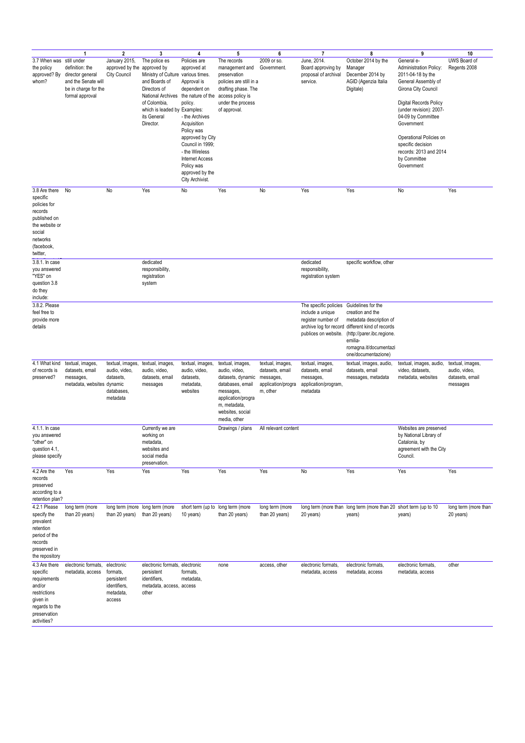|                                                                                                                                        | $\overline{1}$                                                                                        | $\overline{\mathbf{2}}$                                                     | 3                                                                                                                                                                                                                        | 4                                                                                                                                                                                                                                                            | 5                                                                                                                                                                 | 6                                                                                  | $\overline{7}$                                                                       | 8                                                                                                                                                                                                              | 9                                                                                                                                                                                                                                                                                                        | 10                                                               |
|----------------------------------------------------------------------------------------------------------------------------------------|-------------------------------------------------------------------------------------------------------|-----------------------------------------------------------------------------|--------------------------------------------------------------------------------------------------------------------------------------------------------------------------------------------------------------------------|--------------------------------------------------------------------------------------------------------------------------------------------------------------------------------------------------------------------------------------------------------------|-------------------------------------------------------------------------------------------------------------------------------------------------------------------|------------------------------------------------------------------------------------|--------------------------------------------------------------------------------------|----------------------------------------------------------------------------------------------------------------------------------------------------------------------------------------------------------------|----------------------------------------------------------------------------------------------------------------------------------------------------------------------------------------------------------------------------------------------------------------------------------------------------------|------------------------------------------------------------------|
| 3.7 When was still under<br>the policy<br>approved? By<br>whom?                                                                        | definition: the<br>director general<br>and the Senate will<br>be in charge for the<br>formal approval | January 2015,<br>approved by the approved by<br><b>City Council</b>         | The police es<br>Ministry of Culture various times.<br>and Boards of<br>Directors of<br>National Archives the nature of the access policy is<br>of Colombia,<br>which is leaded by Examples:<br>its General<br>Director. | Policies are<br>approved at<br>Approval is<br>dependent on<br>policy.<br>- the Archives<br>Acquisition<br>Policy was<br>approved by City<br>Council in 1999:<br>- the Wireless<br><b>Internet Access</b><br>Policy was<br>approved by the<br>City Archivist. | The records<br>management and<br>preservation<br>policies are still in a<br>drafting phase. The<br>under the process<br>of approval.                              | 2009 or so.<br>Government.                                                         | June, 2014.<br>Board approving by<br>proposal of archival<br>service.                | October 2014 by the<br>Manager<br>December 2014 by<br>AGID (Agenzia Italia<br>Digitale)                                                                                                                        | General e-<br>Administration Policy:<br>2011-04-18 by the<br>General Assembly of<br>Girona City Council<br>Digital Records Policy<br>(under revision): 2007-<br>04-09 by Committee<br>Government<br>Operational Policies on<br>specific decision<br>records: 2013 and 2014<br>by Committee<br>Government | UWS Board of<br>Regents 2008                                     |
| 3.8 Are there<br>specific<br>policies for<br>records<br>published on<br>the website or<br>social<br>networks<br>(facebook,<br>twitter, | No                                                                                                    | No                                                                          | Yes                                                                                                                                                                                                                      | No                                                                                                                                                                                                                                                           | Yes                                                                                                                                                               | No                                                                                 | Yes                                                                                  | Yes                                                                                                                                                                                                            | No                                                                                                                                                                                                                                                                                                       | Yes                                                              |
| 3.8.1. In case<br>you answered<br>"YES" on<br>question 3.8<br>do they<br>include:                                                      |                                                                                                       |                                                                             | dedicated<br>responsibility,<br>registration<br>system                                                                                                                                                                   |                                                                                                                                                                                                                                                              |                                                                                                                                                                   |                                                                                    | dedicated<br>responsibility,<br>registration system                                  | specific workflow, other                                                                                                                                                                                       |                                                                                                                                                                                                                                                                                                          |                                                                  |
| 3.8.2. Please<br>feel free to<br>provide more<br>details                                                                               |                                                                                                       |                                                                             |                                                                                                                                                                                                                          |                                                                                                                                                                                                                                                              |                                                                                                                                                                   |                                                                                    | The specific policies Guidelines for the<br>include a unique<br>register number of   | creation and the<br>metadata description of<br>archive log for record different kind of records<br>publices on website. (http://parer.ibc.regione.<br>emilia-<br>romagna.it/documentazi<br>one/documentazione) |                                                                                                                                                                                                                                                                                                          |                                                                  |
| 4.1 What kind<br>of records is<br>preserved?                                                                                           | textual, images,<br>datasets, email<br>messages,<br>metadata, websites dynamic                        | textual, images,<br>audio, video,<br>datasets,<br>databases.<br>metadata    | textual, images,<br>audio, video,<br>datasets, email<br>messages                                                                                                                                                         | textual, images,<br>audio, video,<br>datasets,<br>metadata,<br>websites                                                                                                                                                                                      | textual, images,<br>audio, video,<br>datasets, dynamic<br>databases, email<br>messages,<br>application/progra<br>m, metadata,<br>websites, social<br>media, other | textual, images,<br>datasets, email<br>messages,<br>application/progra<br>m, other | textual, images,<br>datasets, email<br>messages,<br>application/program,<br>metadata | textual, images, audio,<br>datasets, email<br>messages, metadata                                                                                                                                               | textual, images, audio,<br>video, datasets,<br>metadata, websites                                                                                                                                                                                                                                        | textual, images,<br>audio, video,<br>datasets, email<br>messages |
| 4.1.1. In case<br>you answered<br>"other" on<br>question 4.1,<br>please specify                                                        |                                                                                                       |                                                                             | Currently we are<br>working on<br>metadata,<br>websites and<br>social media<br>preservation.                                                                                                                             |                                                                                                                                                                                                                                                              | Drawings / plans                                                                                                                                                  | All relevant content                                                               |                                                                                      |                                                                                                                                                                                                                | Websites are preserved<br>by National Library of<br>Catalonia, by<br>agreement with the City<br>Council.                                                                                                                                                                                                 |                                                                  |
| 4.2 Are the<br>records<br>preserved<br>according to a<br>retention plan?                                                               | Yes                                                                                                   | Yes                                                                         | Yes                                                                                                                                                                                                                      | Yes                                                                                                                                                                                                                                                          | Yes                                                                                                                                                               | Yes                                                                                | No                                                                                   | Yes                                                                                                                                                                                                            | Yes                                                                                                                                                                                                                                                                                                      | Yes                                                              |
| 4.2.1 Please<br>specify the<br>prevalent<br>retention<br>period of the<br>records<br>preserved in<br>the repository                    | long term (more<br>than 20 years)                                                                     | than 20 years) than 20 years)                                               | long term (more long term (more                                                                                                                                                                                          | short term (up to long term (more<br>10 years)                                                                                                                                                                                                               | than 20 years)                                                                                                                                                    | long term (more<br>than 20 years)                                                  | 20 years)                                                                            | long term (more than long term (more than 20 short term (up to 10<br>years)                                                                                                                                    | years)                                                                                                                                                                                                                                                                                                   | long term (more than<br>20 years)                                |
| 4.3 Are there<br>specific<br>requirements<br>and/or<br>restrictions<br>given in<br>regards to the<br>preservation<br>activities?       | electronic formats,<br>metadata, access                                                               | electronic<br>formats,<br>persistent<br>identifiers,<br>metadata,<br>access | electronic formats, electronic<br>persistent<br>identifiers,<br>metadata, access, access<br>other                                                                                                                        | formats,<br>metadata,                                                                                                                                                                                                                                        | none                                                                                                                                                              | access, other                                                                      | electronic formats,<br>metadata, access                                              | electronic formats,<br>metadata, access                                                                                                                                                                        | electronic formats,<br>metadata, access                                                                                                                                                                                                                                                                  | other                                                            |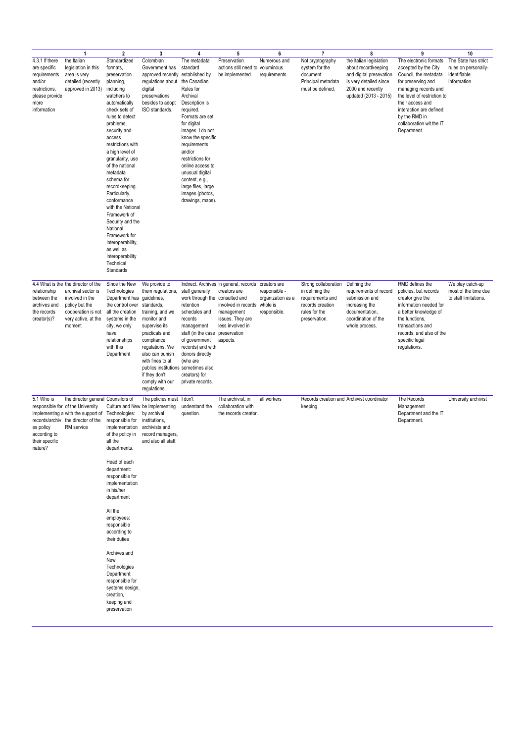|                                                                                                                    | 1                                                                                                                                                                                      | $\overline{\mathbf{2}}$                                                                                                                                                                                                                                                                                                                                                                                                                                                                                         | 3                                                                                                                                                                                                                                                                                         | 4                                                                                                                                                                                                                                                                                                                                               | 5                                                                                                                                                        | 6                                                                  | $\overline{7}$                                                                                                    | 8                                                                                                                                                 | 9                                                                                                                                                                                                                                                               | 10                                                                          |
|--------------------------------------------------------------------------------------------------------------------|----------------------------------------------------------------------------------------------------------------------------------------------------------------------------------------|-----------------------------------------------------------------------------------------------------------------------------------------------------------------------------------------------------------------------------------------------------------------------------------------------------------------------------------------------------------------------------------------------------------------------------------------------------------------------------------------------------------------|-------------------------------------------------------------------------------------------------------------------------------------------------------------------------------------------------------------------------------------------------------------------------------------------|-------------------------------------------------------------------------------------------------------------------------------------------------------------------------------------------------------------------------------------------------------------------------------------------------------------------------------------------------|----------------------------------------------------------------------------------------------------------------------------------------------------------|--------------------------------------------------------------------|-------------------------------------------------------------------------------------------------------------------|---------------------------------------------------------------------------------------------------------------------------------------------------|-----------------------------------------------------------------------------------------------------------------------------------------------------------------------------------------------------------------------------------------------------------------|-----------------------------------------------------------------------------|
| 4.3.1 If there<br>are specific<br>requirements<br>and/or<br>restrictions,<br>please provide<br>more<br>information | the Italian<br>legislation in this<br>area is very<br>detailed (recently<br>approved in 2013)                                                                                          | Standardized<br>formats,<br>preservation<br>planning,<br>including<br>watchers to<br>automatically<br>check sets of<br>rules to detect<br>problems,<br>security and<br>access<br>restrictions with<br>a high level of<br>granularity, use<br>of the national<br>metadata<br>schema for<br>recordkeeping.<br>Particularly,<br>conformance<br>with the National<br>Framework of<br>Security and the<br>National<br>Framework for<br>Interoperability,<br>as well as<br>Interoperability<br>Technical<br>Standards | Colombian<br>Government has<br>approved recently established by<br>regulations about<br>digital<br>preservations<br>besides to adopt<br>ISO standards.                                                                                                                                    | The metadata<br>standard<br>the Canadian<br>Rules for<br>Archival<br>Description is<br>required.<br>Formats are set<br>for digital<br>images. I do not<br>know the specific<br>requirements<br>and/or<br>restrictions for<br>online access to<br>unusual digital<br>content, e.g.,<br>large files, large<br>images (photos,<br>drawings, maps). | Preservation<br>actions still need to voluminous<br>be implemented.                                                                                      | Numerous and<br>requirements.                                      | Not cryptography<br>system for the<br>document.<br>Principal metadata<br>must be defined.                         | the Italian legislation<br>about recordkeeping<br>and digital presevation<br>is very detailed since<br>2000 and recently<br>updated (2013 - 2015) | The electronic formats<br>accepted by the City<br>Council, the metadata<br>for preserving and<br>managing records and<br>the level of restriction to<br>their access and<br>interaction are defined<br>by the RMD in<br>collaboration wit the IT<br>Department. | The State has strict<br>rules on personally-<br>identifiable<br>information |
| relationship<br>between the<br>archives and<br>the records<br>creator(s)?                                          | 4.4 What is the the director of the<br>archival sector is<br>involved in the<br>policy but the<br>cooperation is not<br>very active, at the<br>moment                                  | Since the New<br>Technologies<br>Department has guidelines,<br>the control over<br>all the creation<br>systems in the<br>city, we only<br>have<br>relationships<br>with this<br>Department                                                                                                                                                                                                                                                                                                                      | We provide to<br>them regulations.<br>standards,<br>training, and we<br>monitor and<br>supervise its<br>practicals and<br>compliance<br>regulations. We<br>also can punish<br>with fines to al<br>publics institutions sometimes also<br>if they don't<br>comply with our<br>regulations. | staff generally<br>work through the consulted and<br>retention<br>schedules and<br>records<br>management<br>staff (in the case preservation<br>of government<br>records) and with<br>donors directly<br>(who are<br>creators) for<br>private records.                                                                                           | Indirect. Archives In general, records<br>creators are<br>involved in records whole is<br>management<br>issues. They are<br>less involved in<br>aspects. | creators are<br>responsible -<br>organization as a<br>responsible. | Strong collaboration<br>in defining the<br>requirements and<br>records creation<br>rules for the<br>preservation. | Defining the<br>requirements of record<br>submission and<br>increasing the<br>documentation,<br>coordination of the<br>whole process.             | RMD defines the<br>policies, but records<br>creator give the<br>information needed for<br>a better knowledge of<br>the functions.<br>transactions and<br>records, and also of the<br>specific legal<br>regulations.                                             | We play catch-up<br>most of the time due<br>to staff limitations.           |
| 5.1 Who is<br>es policy<br>according to<br>their specific<br>nature?                                               | the director general Counsilors of<br>responsible for of the University<br>implementing a with the support of Technologies:<br>records/archiv the director of the<br><b>RM</b> service | responsible for<br>implementation<br>of the policy in<br>all the<br>departments.<br>Head of each<br>department:<br>responsible for<br>implementation<br>in his/her<br>department<br>All the<br>employees:<br>responsible<br>according to<br>their duties<br>Archives and<br>New<br>Technologies<br>Department:<br>responsible for<br>systems design,<br>creation,<br>keeping and<br>preservation                                                                                                                | The policies must I don't<br>Culture and New be implementing<br>by archival<br>institutions,<br>archivists and<br>record managers,<br>and also all staff.                                                                                                                                 | understand the<br>question.                                                                                                                                                                                                                                                                                                                     | The archivist, in<br>collaboration with<br>the records creator.                                                                                          | all workers                                                        | keeping.                                                                                                          | Records creation and Archivist coordinator                                                                                                        | The Records<br>Management<br>Department and the IT<br>Department.                                                                                                                                                                                               | University archivist                                                        |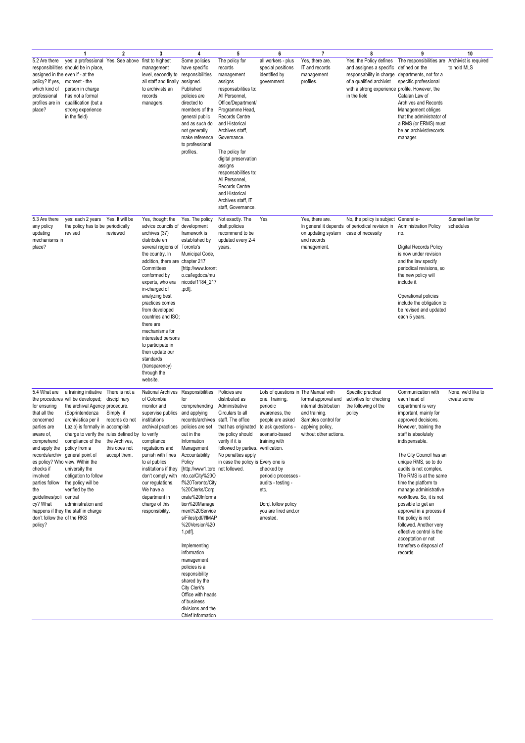|                                                                                                                                                                                                                                                               | $\mathbf{1}$                                                                                                                                                                                                                                                                                                                                                                                                                                                                                      | $\overline{\mathbf{2}}$                                                                         | 3                                                                                                                                                                                                                                                                                                                                                                                                                                                                                 | $\overline{4}$                                                                                                                                                                                                                                                                                                                                                                                                                                                                                                                                                                              | 5                                                                                                                                                                                                                                                                                                                                                                                          | 6                                                                                                                                                                                                                                                                                                 | $\overline{7}$                                                                                                                     | 8                                                                                                                                                                            | 9                                                                                                                                                                                                                                                                                                                                                                                                                                                                                                                                                        | 10                                |
|---------------------------------------------------------------------------------------------------------------------------------------------------------------------------------------------------------------------------------------------------------------|---------------------------------------------------------------------------------------------------------------------------------------------------------------------------------------------------------------------------------------------------------------------------------------------------------------------------------------------------------------------------------------------------------------------------------------------------------------------------------------------------|-------------------------------------------------------------------------------------------------|-----------------------------------------------------------------------------------------------------------------------------------------------------------------------------------------------------------------------------------------------------------------------------------------------------------------------------------------------------------------------------------------------------------------------------------------------------------------------------------|---------------------------------------------------------------------------------------------------------------------------------------------------------------------------------------------------------------------------------------------------------------------------------------------------------------------------------------------------------------------------------------------------------------------------------------------------------------------------------------------------------------------------------------------------------------------------------------------|--------------------------------------------------------------------------------------------------------------------------------------------------------------------------------------------------------------------------------------------------------------------------------------------------------------------------------------------------------------------------------------------|---------------------------------------------------------------------------------------------------------------------------------------------------------------------------------------------------------------------------------------------------------------------------------------------------|------------------------------------------------------------------------------------------------------------------------------------|------------------------------------------------------------------------------------------------------------------------------------------------------------------------------|----------------------------------------------------------------------------------------------------------------------------------------------------------------------------------------------------------------------------------------------------------------------------------------------------------------------------------------------------------------------------------------------------------------------------------------------------------------------------------------------------------------------------------------------------------|-----------------------------------|
| 5.2 Are there<br>policy? If yes,<br>which kind of<br>professional<br>profiles are in<br>place?                                                                                                                                                                | yes: a professional Yes. See above<br>responsibilities should be in place,<br>assigned in the even if - at the<br>moment - the<br>person in charge<br>has not a formal<br>qualification (but a<br>strong experience<br>in the field)                                                                                                                                                                                                                                                              |                                                                                                 | first to highest<br>management<br>level, secondly to responsibilities<br>all staff and finally<br>to archivists an<br>records<br>managers.                                                                                                                                                                                                                                                                                                                                        | Some policies<br>have specific<br>assigned.<br>Published<br>policies are<br>directed to<br>members of the<br>general public<br>and as such do<br>not generally<br>make reference<br>to professional<br>profiles.                                                                                                                                                                                                                                                                                                                                                                            | The policy for<br>records<br>management<br>assigns<br>responsabilities to:<br>All Personnel,<br>Office/Department/<br>Programme Head,<br>Records Centre<br>and Historical<br>Archives staff,<br>Governance.<br>The policy for<br>digital preservation<br>assigns<br>responsabilities to:<br>All Personnel,<br>Records Centre<br>and Historical<br>Archives staff, IT<br>staff, Governance. | all workers - plus<br>special positions<br>identified by<br>government.                                                                                                                                                                                                                           | Yes, there are<br>IT and records<br>management<br>profiles.                                                                        | Yes, the Policy defines<br>and assignes a specific<br>responsability in charge<br>of a qualified archivist<br>with a strong experience profile. However, the<br>in the field | The responsibilities are Archivist is required<br>defined on the<br>departments, not for a<br>specific professional<br>Catalan Law of<br>Archives and Records<br>Management obliges<br>that the administrator of<br>a RMS (or ERMS) must<br>be an archivist/records<br>manager.                                                                                                                                                                                                                                                                          | to hold MLS                       |
| 5.3 Are there<br>any policy<br>updating<br>mechanisms in<br>place?                                                                                                                                                                                            | yes: each 2 years<br>the policy has to be periodically<br>revised                                                                                                                                                                                                                                                                                                                                                                                                                                 | Yes. It will be<br>reviewed                                                                     | Yes, thought the<br>advice councils of development<br>archives (37)<br>distribute en<br>several regions of Toronto's<br>the country. In<br>addition, there are chapter 217<br>Committees<br>conformed by<br>experts, who era<br>in-charged of<br>analyzing best<br>practices comes<br>from developed<br>countries and ISO;<br>there are<br>mechanisms for<br>interested persons<br>to participate in<br>then update our<br>standards<br>(transparency)<br>through the<br>website. | Yes. The policy<br>framework is<br>established by<br>Municipal Code,<br>[http://www.toront<br>o.ca/legdocs/mu<br>nicode/1184_217<br>.pdf].                                                                                                                                                                                                                                                                                                                                                                                                                                                  | Not exactly. The<br>draft policies<br>recommend to be<br>updated every 2-4<br>years.                                                                                                                                                                                                                                                                                                       | Yes                                                                                                                                                                                                                                                                                               | Yes, there are.<br>on updating system<br>and records<br>management.                                                                | No, the policy is subject<br>In general it depends of periodical revision in<br>case of necessity                                                                            | General e-<br><b>Administration Policy</b><br>no.<br><b>Digital Records Policy</b><br>is now under revision<br>and the law specify<br>periodical revisions, so<br>the new policy will<br>include it.<br>Operational policies<br>include the obligation to<br>be revised and updated<br>each 5 years.                                                                                                                                                                                                                                                     | Susnset law for<br>schedules      |
| 5.4 What are<br>for ensuring<br>that all the<br>concerned<br>parties are<br>aware of,<br>comprehend<br>and apply the policy from a<br>checks if<br>involved<br>parties follow<br>the<br>guidelines/poli<br>cy? What<br>don't follow the of the RKS<br>policy? | a training initiative<br>the procedures will be developed;<br>the archival Agency procedure.<br>(Soprintendenza<br>archivistica per il<br>Lazio) is formally in accomplish<br>charge to verify the rules defined by to verify<br>compliance of the the Archives,<br>records/archiv general point of<br>es policy? Who view. Within the<br>university the<br>obligation to follow<br>the policy will be<br>verified by the<br>central<br>administration and<br>happens if they the staff in charge | There is not a<br>disciplinary<br>Simply, if<br>records do not<br>this does not<br>accept them. | <b>National Archives</b><br>of Colombia<br>monitor and<br>supervise publics<br>institutions<br>archival practices<br>compliance<br>regulations and<br>punish with fines<br>to al publics<br>institutions if they<br>don't comply with<br>our regulations.<br>We have a<br>department in<br>charge of this<br>responsibility.                                                                                                                                                      | Responsibilities<br>for<br>comprehending<br>and applying<br>records/archives staff. The office<br>policies are set<br>out in the<br>Information<br>Management<br>Accountability<br>Policy<br>[http://www1.toro_not followed.<br>nto.ca/City%20O<br>f%20Toronto/City<br>%20Clerks/Corp<br>orate%20Informa<br>tion%20Manage<br>ment%20Service<br>s/Files/pdf/l/IMAP<br>%20Version%20<br>1.pdf.<br>Implementing<br>information<br>management<br>policies is a<br>responsibility<br>shared by the<br>City Clerk's<br>Office with heads<br>of business<br>divisions and the<br>Chief Information | Policies are<br>distributed as<br>Administrative<br>Circulars to all<br>that has originated<br>the policy should<br>verify if it is<br>followed by parties. verification.<br>No penalties apply<br>in case the policy is Every one is                                                                                                                                                      | Lots of questions in The Manual with<br>one. Training,<br>periodic<br>awareness, the<br>people are asked<br>to ask questions -<br>scenario-based<br>training with<br>checked by<br>periodic processes -<br>audits - testing -<br>etc.<br>Don;t follow policy<br>you are fired and.or<br>arrested. | formal approval and<br>internal distribution<br>and training.<br>Samples control for<br>applying policy,<br>without other actions. | Specific practical<br>activities for checking<br>the following of the<br>policy                                                                                              | Communication with<br>each head of<br>department is very<br>important, mainly for<br>approved decisions.<br>However, training the<br>staff is absolutely<br>indispensable.<br>The City Council has an<br>unique RMS, so to do<br>audits is not complex.<br>The RMS is at the same<br>time the platform to<br>manage administrative<br>workflows. So, it is not<br>possible to get an<br>approval in a process if<br>the policy is not<br>followed. Another very<br>effective control is the<br>acceptation or not<br>transfers o disposal of<br>records. | None, we'd like to<br>create some |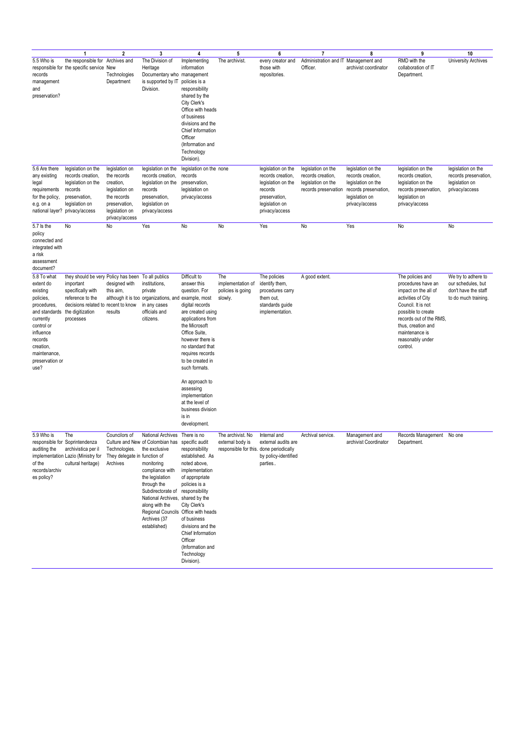|                                                                                                                                                                                              | 1                                                                                                                                                                                | $\mathbf{2}$                                                                                                                     | 3                                                                                                                                                                                                                                                                                                                      | 4                                                                                                                                                                                                                                                              | 5                                                                                | 6                                                                                                                             | $\overline{7}$                                                                        | 8                                                                                                                          | 9                                                                                                                                                                                                                                   | 10                                                                                        |
|----------------------------------------------------------------------------------------------------------------------------------------------------------------------------------------------|----------------------------------------------------------------------------------------------------------------------------------------------------------------------------------|----------------------------------------------------------------------------------------------------------------------------------|------------------------------------------------------------------------------------------------------------------------------------------------------------------------------------------------------------------------------------------------------------------------------------------------------------------------|----------------------------------------------------------------------------------------------------------------------------------------------------------------------------------------------------------------------------------------------------------------|----------------------------------------------------------------------------------|-------------------------------------------------------------------------------------------------------------------------------|---------------------------------------------------------------------------------------|----------------------------------------------------------------------------------------------------------------------------|-------------------------------------------------------------------------------------------------------------------------------------------------------------------------------------------------------------------------------------|-------------------------------------------------------------------------------------------|
| 5.5 Who is<br>records<br>management<br>and<br>preservation?                                                                                                                                  | the responsible for Archives and<br>responsible for the specific service New                                                                                                     | Technologies<br>Department                                                                                                       | The Division of<br>Heritage<br>Documentary who management<br>is supported by IT<br>Division.                                                                                                                                                                                                                           | Implementing<br>information<br>policies is a<br>responsibility<br>shared by the<br>City Clerk's<br>Office with heads<br>of business<br>divisions and the<br>Chief Information<br>Officer<br>(Information and<br>Technology<br>Division).                       | The archivist.                                                                   | every creator and<br>those with<br>repositories.                                                                              | Administration and IT Management and<br>Officer.                                      | archivist coordinator                                                                                                      | RMD with the<br>collaboration of IT<br>Department.                                                                                                                                                                                  | <b>University Archives</b>                                                                |
| 5.6 Are there<br>any existing<br>legal<br>requirements<br>for the policy,<br>e.g. on a<br>national layer?                                                                                    | legislation on the<br>records creation,<br>legislation on the<br>records<br>preservation,<br>legislation on<br>privacy/access                                                    | legislation on<br>the records<br>creation,<br>legislation on<br>the records<br>preservation,<br>legislation on<br>privacy/access | legislation on the<br>records creation,<br>legislation on the<br>records<br>preservation,<br>legislation on<br>privacy/access                                                                                                                                                                                          | legislation on the none<br>records<br>preservation,<br>legislation on<br>privacy/access                                                                                                                                                                        |                                                                                  | legislation on the<br>records creation,<br>legislation on the<br>records<br>preservation,<br>legislation on<br>privacy/access | legislation on the<br>records creation,<br>legislation on the<br>records preservation | legislation on the<br>records creation,<br>legislation on the<br>records preservation,<br>legislation on<br>privacy/access | legislation on the<br>records creation,<br>legislation on the<br>records preservation,<br>legislation on<br>privacy/access                                                                                                          | legislation on the<br>records preservation,<br>legislation on<br>privacy/access           |
| 5.7 ls the<br>policy<br>connected and<br>integrated with<br>a risk<br>assessment<br>document?                                                                                                | No                                                                                                                                                                               | No                                                                                                                               | Yes                                                                                                                                                                                                                                                                                                                    | No                                                                                                                                                                                                                                                             | No                                                                               | Yes                                                                                                                           | No                                                                                    | Yes                                                                                                                        | No                                                                                                                                                                                                                                  | No                                                                                        |
| 5.8 To what<br>extent do<br>existing<br>policies,<br>procedures,<br>and standards<br>currently<br>control or<br>influence<br>records<br>creation,<br>maintenance,<br>preservation or<br>use? | they should be very Policy has been To all publics<br>important<br>specifically with<br>reference to the<br>decisions related to recent to know<br>the digitization<br>processes | designed with<br>this aim,<br>results                                                                                            | institutions,<br>private<br>although it is too organizations, and example, most<br>in any cases<br>officials and<br>citizens.                                                                                                                                                                                          | Difficult to<br>answer this<br>question. For<br>digital records<br>are created using<br>applications from<br>the Microsoft<br>Office Suite.<br>however there is<br>no standard that<br>requires records<br>to be created in<br>such formats.<br>An approach to | The<br>implementation of<br>policies is going<br>slowly.                         | The policies<br>identify them,<br>procedures carry<br>them out,<br>standards guide<br>implementation.                         | A good extent.                                                                        |                                                                                                                            | The policies and<br>procedures have an<br>impact on the all of<br>activities of City<br>Council. It is not<br>possible to create<br>records out of the RMS,<br>thus, creation and<br>maintenance is<br>reasonably under<br>control. | We try to adhere to<br>our schedules, but<br>don't have the staff<br>to do much training. |
|                                                                                                                                                                                              |                                                                                                                                                                                  |                                                                                                                                  |                                                                                                                                                                                                                                                                                                                        | assessing<br>implementation<br>at the level of<br>business division<br>is in<br>development.                                                                                                                                                                   |                                                                                  |                                                                                                                               |                                                                                       |                                                                                                                            |                                                                                                                                                                                                                                     |                                                                                           |
| 5.9 Who is<br>auditing the<br>of the<br>records/archiv<br>es policy?                                                                                                                         | The<br>responsible for Soprintendenza<br>archivistica per il<br>implementation Lazio (Ministry for<br>cultural heritage)                                                         | Councilors of<br>Technologies.<br>They delegate in function of<br>Archives                                                       | National Archives There is no<br>Culture and New of Colombian has specific audit<br>the exclusive<br>monitoring<br>compliance with<br>the legislation<br>through the<br>Subdirectorate of<br>National Archives, shared by the<br>along with the<br>Regional Councils Office with heads<br>Archives (37<br>established) | responsibility<br>established. As<br>noted above,<br>implementation<br>of appropriate<br>policies is a<br>responsibility<br>City Clerk's<br>of business<br>divisions and the<br>Chief Information<br>Officer<br>(Information and<br>Technology<br>Division).   | The archivist. No<br>external body is<br>responsible for this. done periodically | Internal and<br>external audits are<br>by policy-identified<br>parties                                                        | Archival service.                                                                     | Management and<br>archivist Coordinator                                                                                    | Records Management No one<br>Department.                                                                                                                                                                                            |                                                                                           |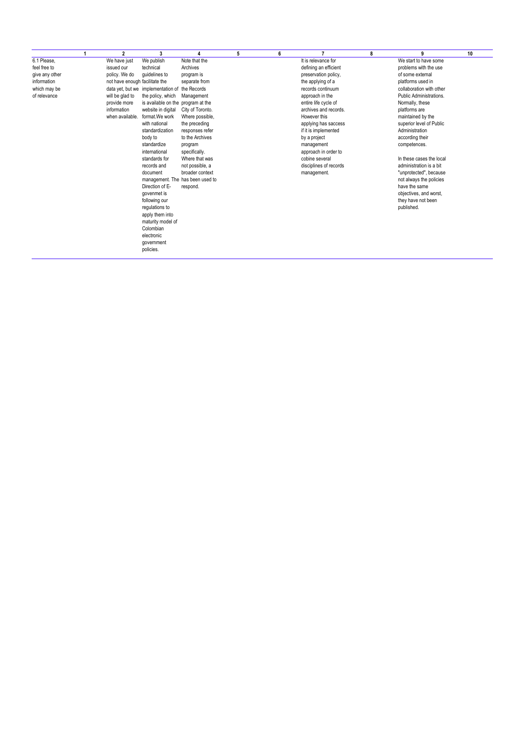|                | 2                              | 3                                              |                  | 5 | 6 |                        | 8 | 9                        | 10 |
|----------------|--------------------------------|------------------------------------------------|------------------|---|---|------------------------|---|--------------------------|----|
| 6.1 Please,    | We have just                   | We publish                                     | Note that the    |   |   | It is relevance for    |   | We start to have some    |    |
| feel free to   | issued our                     | technical                                      | Archives         |   |   | defining an efficient  |   | problems with the use    |    |
| give any other | policy. We do                  | quidelines to                                  | program is       |   |   | preservation policy.   |   | of some external         |    |
| information    | not have enough facilitate the |                                                | separate from    |   |   | the applying of a      |   | platforms used in        |    |
| which may be   |                                | data yet, but we implementation of the Records |                  |   |   | records continuum      |   | collaboration with other |    |
| of relevance   | will be glad to                | the policy, which                              | Management       |   |   | approach in the        |   | Public Administrations.  |    |
|                | provide more                   | is available on the program at the             |                  |   |   | entire life cycle of   |   | Normally, these          |    |
|                | information                    | website in digital                             | City of Toronto. |   |   | archives and records.  |   | platforms are            |    |
|                | when available.                | format. We work                                | Where possible,  |   |   | However this           |   | maintained by the        |    |
|                |                                | with national                                  | the preceding    |   |   | applying has saccess   |   | superior level of Public |    |
|                |                                | standardization                                | responses refer  |   |   | if it is implemented   |   | Administration           |    |
|                |                                | body to                                        | to the Archives  |   |   | by a project           |   | according their          |    |
|                |                                | standardize                                    | program          |   |   | management             |   | competences.             |    |
|                |                                | international                                  | specifically.    |   |   | approach in order to   |   |                          |    |
|                |                                | standards for                                  | Where that was   |   |   | cobine several         |   | In these cases the local |    |
|                |                                | records and                                    | not possible, a  |   |   | disciplines of records |   | administration is a bit  |    |
|                |                                | document                                       | broader context  |   |   | management.            |   | "unprotected", because   |    |
|                |                                | management. The has been used to               |                  |   |   |                        |   | not always the policies  |    |
|                |                                | Direction of E-                                | respond.         |   |   |                        |   | have the same            |    |
|                |                                | govenmet is                                    |                  |   |   |                        |   | objectives, and worst,   |    |
|                |                                | following our                                  |                  |   |   |                        |   | they have not been       |    |
|                |                                | regulations to                                 |                  |   |   |                        |   | published.               |    |
|                |                                | apply them into                                |                  |   |   |                        |   |                          |    |
|                |                                | maturity model of                              |                  |   |   |                        |   |                          |    |
|                |                                | Colombian                                      |                  |   |   |                        |   |                          |    |
|                |                                | electronic                                     |                  |   |   |                        |   |                          |    |
|                |                                | government                                     |                  |   |   |                        |   |                          |    |
|                |                                | policies.                                      |                  |   |   |                        |   |                          |    |